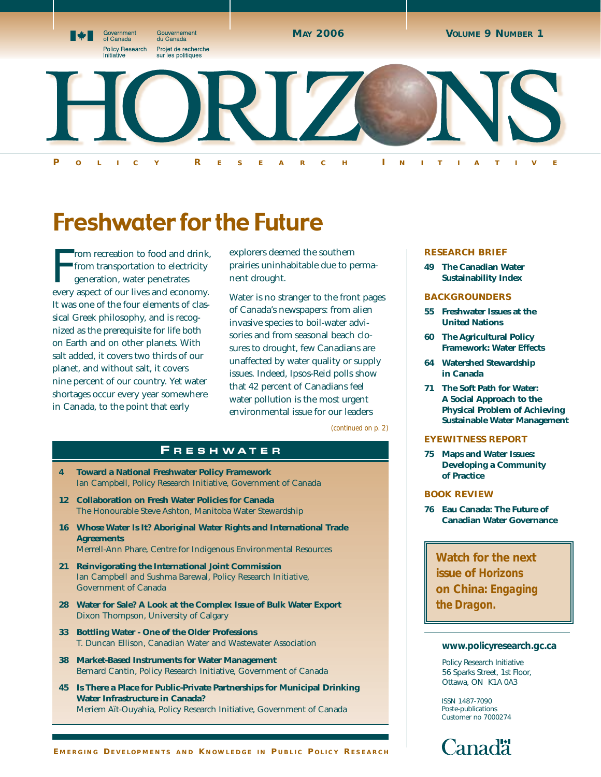

# Freshwater for the Future

From recreation to food and drink<br>from transportation to electricity<br>generation, water penetrates<br>every aspect of our lives and economy. rom recreation to food and drink, from transportation to electricity generation, water penetrates It was one of the four elements of classical Greek philosophy, and is recognized as the prerequisite for life both on Earth and on other planets. With salt added, it covers two thirds of our planet, and without salt, it covers nine percent of our country. Yet water shortages occur every year somewhere in Canada, to the point that early

explorers deemed the southern prairies uninhabitable due to permanent drought.

Water is no stranger to the front pages of Canada's newspapers: from alien invasive species to boil-water advisories and from seasonal beach closures to drought, few Canadians are unaffected by water quality or supply issues. Indeed, Ipsos-Reid polls show that 42 percent of Canadians feel water pollution is the most urgent environmental issue for our leaders

*(continued on p. 2)*

### **F R E S HWAT E R**

- **4 Toward a National Freshwater Policy Framework** Ian Campbell, Policy Research Initiative, Government of Canada
- **12 Collaboration on Fresh Water Policies for Canada** The Honourable Steve Ashton, Manitoba Water Stewardship
- **16 Whose Water Is It? Aboriginal Water Rights and International Trade Agreements**
	- Merrell-Ann Phare, Centre for Indigenous Environmental Resources
- **21 Reinvigorating the International Joint Commission** Ian Campbell and Sushma Barewal, Policy Research Initiative, Government of Canada
- **28 Water for Sale? A Look at the Complex Issue of Bulk Water Export** Dixon Thompson, University of Calgary
- **33 Bottling Water One of the Older Professions** T. Duncan Ellison, Canadian Water and Wastewater Association
- **38 Market-Based Instruments for Water Management** Bernard Cantin, Policy Research Initiative, Government of Canada
- **45 Is There a Place for Public-Private Partnerships for Municipal Drinking Water Infrastructure in Canada?** Meriem Aït-Ouyahia, Policy Research Initiative, Government of Canada

#### **RESEARCH BRIEF**

**49 The Canadian Water Sustainability Index**

#### **BACKGROUNDERS**

- **55 Freshwater Issues at the United Nations**
- **60 The Agricultural Policy Framework: Water Effects**
- **64 Watershed Stewardship in Canada**
- **71 The Soft Path for Water: A Social Approach to the Physical Problem of Achieving Sustainable Water Management**

#### **EYEWITNESS REPORT**

**75 Maps and Water Issues: Developing a Community of Practice**

#### **BOOK REVIEW**

**76 Eau Canada: The Future of Canadian Water Governance**

**Watch for the next issue of** *Horizons* **on China:** *Engaging the Dragon.*

#### **www.policyresearch.gc.ca**

Policy Research Initiative 56 Sparks Street, 1st Floor, Ottawa, ON K1A 0A3

ISSN 1487-7090 Poste-publications Customer no 7000274

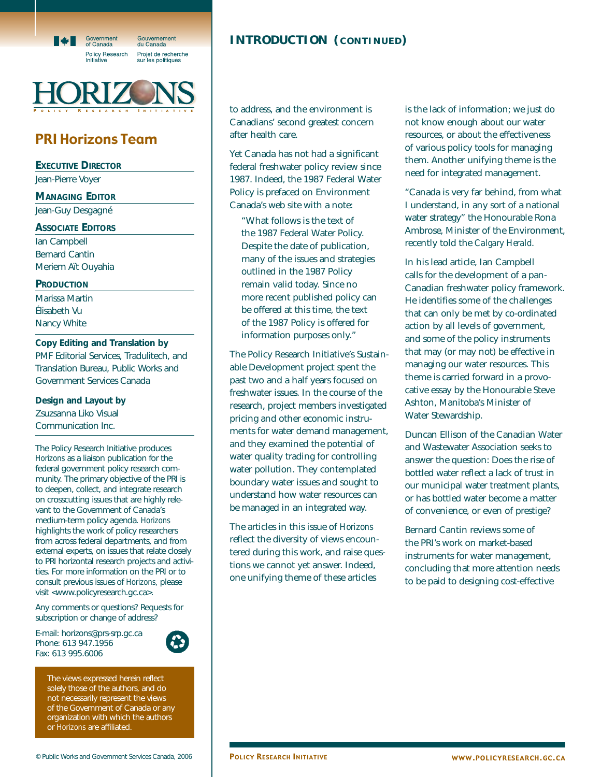

**P OLICY R ESEARCH I NITIATIVE**

# PRI Horizons Team

**EXECUTIVE DIRECTOR**

Jean-Pierre Voyer

**MANAGING EDITOR**

Jean-Guy Desgagné

**ASSOCIATE EDITORS**

Ian Campbell Bernard Cantin Meriem Aït Ouyahia

**PRODUCTION**

Marissa Martin Élisabeth Vu Nancy White

**Copy Editing and Translation by**  PMF Editorial Services, Tradulitech, and Translation Bureau, Public Works and

**Design and Layout by** Zsuzsanna Liko Visual Communication Inc.

Government Services Canada

The Policy Research Initiative produces *Horizons* as a liaison publication for the federal government policy research community. The primary objective of the PRI is to deepen, collect, and integrate research on crosscutting issues that are highly relevant to the Government of Canada's medium-term policy agenda. *Horizons* highlights the work of policy researchers from across federal departments, and from external experts, on issues that relate closely to PRI horizontal research projects and activities. For more information on the PRI or to consult previous issues of *Horizons,* please visit <www.policyresearch.gc.ca>.

Any comments or questions? Requests for subscription or change of address?

E-mail: horizons@prs-srp.gc.ca Phone: 613 947.1956 Fax: 613 995.6006



The views expressed herein reflect solely those of the authors, and do not necessarily represent the views of the Government of Canada or any organization with which the authors or *Horizons* are affiliated.

# **INTRODUCTION ( CONTINUED )**

to address, and the environment is Canadians' second greatest concern after health care.

Yet Canada has not had a significant federal freshwater policy review since 1987. Indeed, the 1987 Federal Water Policy is prefaced on Environment Canada's web site with a note:

"What follows is the text of the 1987 Federal Water Policy. Despite the date of publication, many of the issues and strategies outlined in the 1987 Policy remain valid today. Since no more recent published policy can be offered at this time, the text of the 1987 Policy is offered for information purposes only."

The Policy Research Initiative's Sustainable Development project spent the past two and a half years focused on freshwater issues. In the course of the research, project members investigated pricing and other economic instruments for water demand management, and they examined the potential of water quality trading for controlling water pollution. They contemplated boundary water issues and sought to understand how water resources can be managed in an integrated way.

The articles in this issue of *Horizons* reflect the diversity of views encountered during this work, and raise questions we cannot yet answer. Indeed, one unifying theme of these articles

is the lack of information; we just do not know enough about our water resources, or about the effectiveness of various policy tools for managing them. Another unifying theme is the need for integrated management.

"Canada is very far behind, from what I understand, in any sort of a national water strategy" the Honourable Rona Ambrose, Minister of the Environment, recently told the *Calgary Herald*.

In his lead article, Ian Campbell calls for the development of a pan-Canadian freshwater policy framework. He identifies some of the challenges that can only be met by co-ordinated action by all levels of government, and some of the policy instruments that may (or may not) be effective in managing our water resources. This theme is carried forward in a provocative essay by the Honourable Steve Ashton, Manitoba's Minister of Water Stewardship.

Duncan Ellison of the Canadian Water and Wastewater Association seeks to answer the question: Does the rise of bottled water reflect a lack of trust in our municipal water treatment plants, or has bottled water become a matter of convenience, or even of prestige?

Bernard Cantin reviews some of the PRI's work on market-based instruments for water management, concluding that more attention needs to be paid to designing cost-effective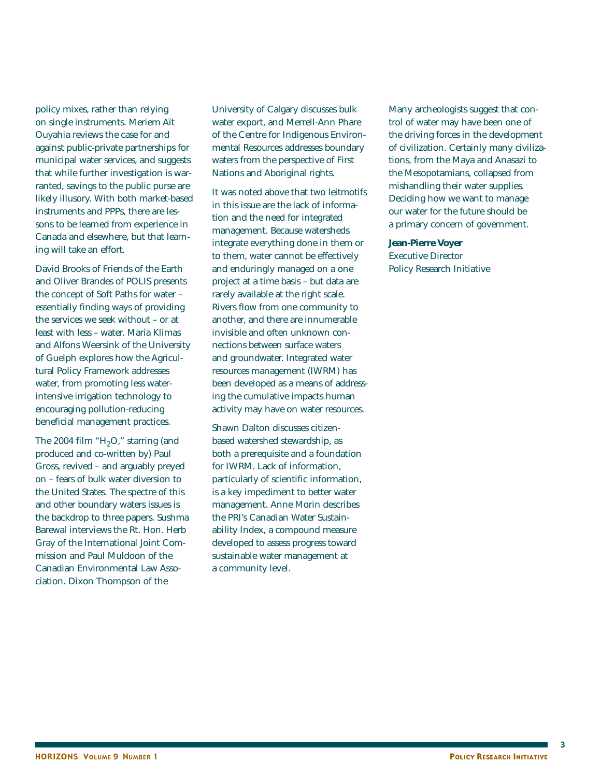policy mixes, rather than relying on single instruments. Meriem Aït Ouyahia reviews the case for and against public-private partnerships for municipal water services, and suggests that while further investigation is warranted, savings to the public purse are likely illusory. With both market-based instruments and PPPs, there are lessons to be learned from experience in Canada and elsewhere, but that learning will take an effort.

David Brooks of Friends of the Earth and Oliver Brandes of POLIS presents the concept of Soft Paths for water – essentially finding ways of providing the services we seek without – or at least with less – water. Maria Klimas and Alfons Weersink of the University of Guelph explores how the Agricultural Policy Framework addresses water, from promoting less waterintensive irrigation technology to encouraging pollution-reducing beneficial management practices.

The 2004 film " $H<sub>2</sub>O$ ," starring (and produced and co-written by) Paul Gross, revived – and arguably preyed on – fears of bulk water diversion to the United States. The spectre of this and other boundary waters issues is the backdrop to three papers. Sushma Barewal interviews the Rt. Hon. Herb Gray of the International Joint Commission and Paul Muldoon of the Canadian Environmental Law Association. Dixon Thompson of the

University of Calgary discusses bulk water export, and Merrell-Ann Phare of the Centre for Indigenous Environmental Resources addresses boundary waters from the perspective of First Nations and Aboriginal rights.

It was noted above that two leitmotifs in this issue are the lack of information and the need for integrated management. Because watersheds integrate everything done in them or to them, water cannot be effectively and enduringly managed on a one project at a time basis – but data are rarely available at the right scale. Rivers flow from one community to another, and there are innumerable invisible and often unknown connections between surface waters and groundwater. Integrated water resources management (IWRM) has been developed as a means of addressing the cumulative impacts human activity may have on water resources.

Shawn Dalton discusses citizenbased watershed stewardship, as both a prerequisite and a foundation for IWRM. Lack of information, particularly of scientific information, is a key impediment to better water management. Anne Morin describes the PRI's Canadian Water Sustainability Index, a compound measure developed to assess progress toward sustainable water management at a community level.

Many archeologists suggest that control of water may have been one of the driving forces in the development of civilization. Certainly many civilizations, from the Maya and Anasazi to the Mesopotamians, collapsed from mishandling their water supplies. Deciding how we want to manage our water for the future should be a primary concern of government.

**Jean-Pierre Voyer** Executive Director Policy Research Initiative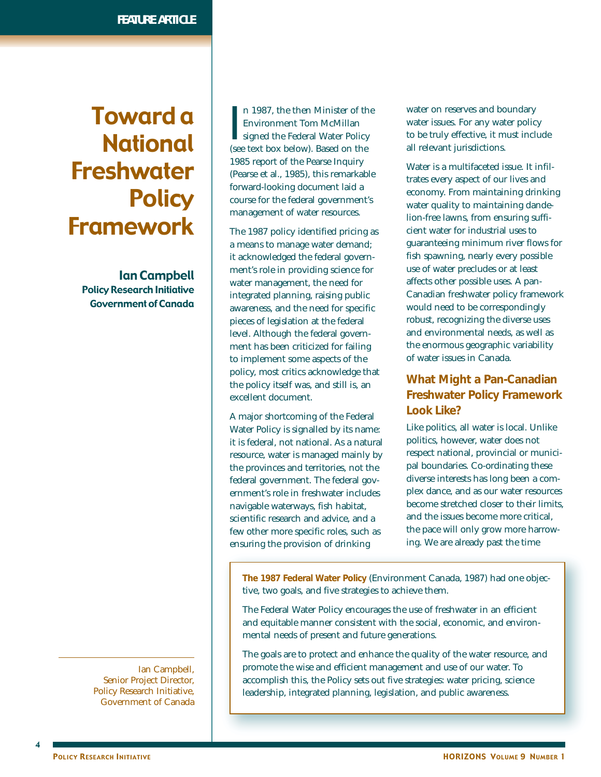# Toward a National Freshwater **Policy** Framework

Ian Campbell Policy Research Initiative Government of Canada

> Ian Campbell, Senior Project Director, Policy Research Initiative, Government of Canada

I n 1987, the then Minister of the Environment Tom McMillan signed the Federal Water Policy (see text box below). Based on the 1985 report of the Pearse Inquiry (Pearse et al., 1985), this remarkable forward-looking document laid a course for the federal government's management of water resources.

The 1987 policy identified pricing as a means to manage water demand; it acknowledged the federal government's role in providing science for water management, the need for integrated planning, raising public awareness, and the need for specific pieces of legislation at the federal level. Although the federal government has been criticized for failing to implement some aspects of the policy, most critics acknowledge that the policy itself was, and still is, an excellent document.

A major shortcoming of the Federal Water Policy is signalled by its name: it is federal, not national. As a natural resource, water is managed mainly by the provinces and territories, not the federal government. The federal government's role in freshwater includes navigable waterways, fish habitat, scientific research and advice, and a few other more specific roles, such as ensuring the provision of drinking

water on reserves and boundary water issues. For any water policy to be truly effective, it must include all relevant jurisdictions.

Water is a multifaceted issue. It infiltrates every aspect of our lives and economy. From maintaining drinking water quality to maintaining dandelion-free lawns, from ensuring sufficient water for industrial uses to guaranteeing minimum river flows for fish spawning, nearly every possible use of water precludes or at least affects other possible uses. A pan-Canadian freshwater policy framework would need to be correspondingly robust, recognizing the diverse uses and environmental needs, as well as the enormous geographic variability of water issues in Canada.

# **What Might a Pan-Canadian Freshwater Policy Framework Look Like?**

Like politics, all water is local. Unlike politics, however, water does not respect national, provincial or municipal boundaries. Co-ordinating these diverse interests has long been a complex dance, and as our water resources become stretched closer to their limits, and the issues become more critical, the pace will only grow more harrowing. We are already past the time

**The 1987 Federal Water Policy** (Environment Canada, 1987) had one objective, two goals, and five strategies to achieve them.

The Federal Water Policy encourages the use of freshwater in an efficient and equitable manner consistent with the social, economic, and environmental needs of present and future generations.

The goals are to protect and enhance the quality of the water resource, and promote the wise and efficient management and use of our water. To accomplish this, the Policy sets out five strategies: water pricing, science leadership, integrated planning, legislation, and public awareness.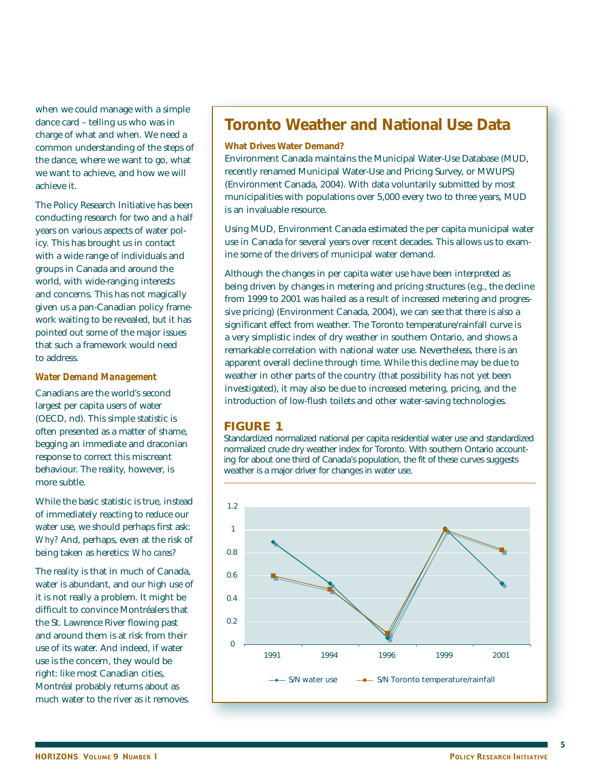when we could manage with a simple dance card – telling us who was in charge of what and when. We need a common understanding of the steps of the dance, where we want to go, what we want to achieve, and how we will achieve it.

The Policy Research Initiative has been conducting research for two and a half years on various aspects of water policy. This has brought us in contact with a wide range of individuals and groups in Canada and around the world, with wide-ranging interests and concerns. This has not magically given us a pan-Canadian policy framework waiting to be revealed, but it has pointed out some of the major issues that such a framework would need to address.

#### *Water Demand Management*

Canadians are the world's second largest per capita users of water (OECD, nd). This simple statistic is often presented as a matter of shame, begging an immediate and draconian response to correct this miscreant behaviour. The reality, however, is more subtle.

While the basic statistic is true, instead of immediately reacting to reduce our water use, we should perhaps first ask: *Why?* And, perhaps, even at the risk of being taken as heretics: *Who cares?*

The reality is that in much of Canada, water is abundant, and our high use of it is not really a problem. It might be difficult to convince Montréalers that the St. Lawrence River flowing past and around them is at risk from their use of its water. And indeed, if water use is the concern, they would be right: like most Canadian cities, Montréal probably returns about as much water to the river as it removes.

# **Toronto Weather and National Use Data**

#### **What Drives Water Demand?**

Environment Canada maintains the Municipal Water-Use Database (MUD, recently renamed Municipal Water-Use and Pricing Survey, or MWUPS) (Environment Canada, 2004). With data voluntarily submitted by most municipalities with populations over 5,000 every two to three years, MUD is an invaluable resource.

Using MUD, Environment Canada estimated the per capita municipal water use in Canada for several years over recent decades. This allows us to examine some of the drivers of municipal water demand.

Although the changes in per capita water use have been interpreted as being driven by changes in metering and pricing structures (e.g., the decline from 1999 to 2001 was hailed as a result of increased metering and progressive pricing) (Environment Canada, 2004), we can see that there is also a significant effect from weather. The Toronto temperature/rainfall curve is a very simplistic index of dry weather in southern Ontario, and shows a remarkable correlation with national water use. Nevertheless, there is an apparent overall decline through time. While this decline may be due to weather in other parts of the country (that possibility has not yet been investigated), it may also be due to increased metering, pricing, and the introduction of low-flush toilets and other water-saving technologies.

### **FIGURE 1**

Standardized normalized national per capita residential water use and standardized normalized crude dry weather index for Toronto. With southern Ontario accounting for about one third of Canada's population, the fit of these curves suggests weather is a major driver for changes in water use.

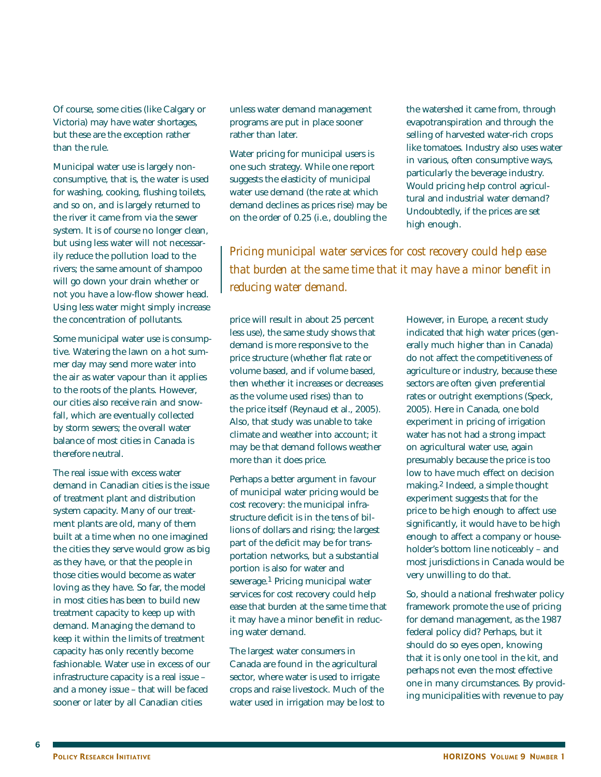Of course, some cities (like Calgary or Victoria) may have water shortages, but these are the exception rather than the rule.

Municipal water use is largely nonconsumptive, that is, the water is used for washing, cooking, flushing toilets, and so on, and is largely returned to the river it came from via the sewer system. It is of course no longer clean, but using less water will not necessarily reduce the pollution load to the rivers; the same amount of shampoo will go down your drain whether or not you have a low-flow shower head. Using less water might simply increase the concentration of pollutants.

Some municipal water use is consumptive. Watering the lawn on a hot summer day may send more water into the air as water vapour than it applies to the roots of the plants. However, our cities also receive rain and snowfall, which are eventually collected by storm sewers; the overall water balance of most cities in Canada is therefore neutral.

The real issue with excess water demand in Canadian cities is the issue of treatment plant and distribution system capacity. Many of our treatment plants are old, many of them built at a time when no one imagined the cities they serve would grow as big as they have, or that the people in those cities would become as water loving as they have. So far, the model in most cities has been to build new treatment capacity to keep up with demand. Managing the demand to keep it within the limits of treatment capacity has only recently become fashionable. Water use in excess of our infrastructure capacity is a real issue – and a money issue – that will be faced sooner or later by all Canadian cities

unless water demand management programs are put in place sooner rather than later.

Water pricing for municipal users is one such strategy. While one report suggests the elasticity of municipal water use demand (the rate at which demand declines as prices rise) may be on the order of 0.25 (i.e., doubling the the watershed it came from, through evapotranspiration and through the selling of harvested water-rich crops like tomatoes. Industry also uses water in various, often consumptive ways, particularly the beverage industry. Would pricing help control agricultural and industrial water demand? Undoubtedly, if the prices are set high enough.

*Pricing municipal water services for cost recovery could help ease that burden at the same time that it may have a minor benefit in reducing water demand.*

price will result in about 25 percent less use), the same study shows that demand is more responsive to the price structure (whether flat rate or volume based, and if volume based, then whether it increases or decreases as the volume used rises) than to the price itself (Reynaud et al., 2005). Also, that study was unable to take climate and weather into account; it may be that demand follows weather more than it does price.

Perhaps a better argument in favour of municipal water pricing would be cost recovery: the municipal infrastructure deficit is in the tens of billions of dollars and rising; the largest part of the deficit may be for transportation networks, but a substantial portion is also for water and sewerage.1 Pricing municipal water services for cost recovery could help ease that burden at the same time that it may have a minor benefit in reducing water demand.

The largest water consumers in Canada are found in the agricultural sector, where water is used to irrigate crops and raise livestock. Much of the water used in irrigation may be lost to

However, in Europe, a recent study indicated that high water prices (generally much higher than in Canada) do not affect the competitiveness of agriculture or industry, because these sectors are often given preferential rates or outright exemptions (Speck, 2005). Here in Canada, one bold experiment in pricing of irrigation water has not had a strong impact on agricultural water use, again presumably because the price is too low to have much effect on decision making.2 Indeed, a simple thought experiment suggests that for the price to be high enough to affect use significantly, it would have to be high enough to affect a company or householder's bottom line noticeably – and most jurisdictions in Canada would be very unwilling to do that.

So, should a national freshwater policy framework promote the use of pricing for demand management, as the 1987 federal policy did? Perhaps, but it should do so eyes open, knowing that it is only one tool in the kit, and perhaps not even the most effective one in many circumstances. By providing municipalities with revenue to pay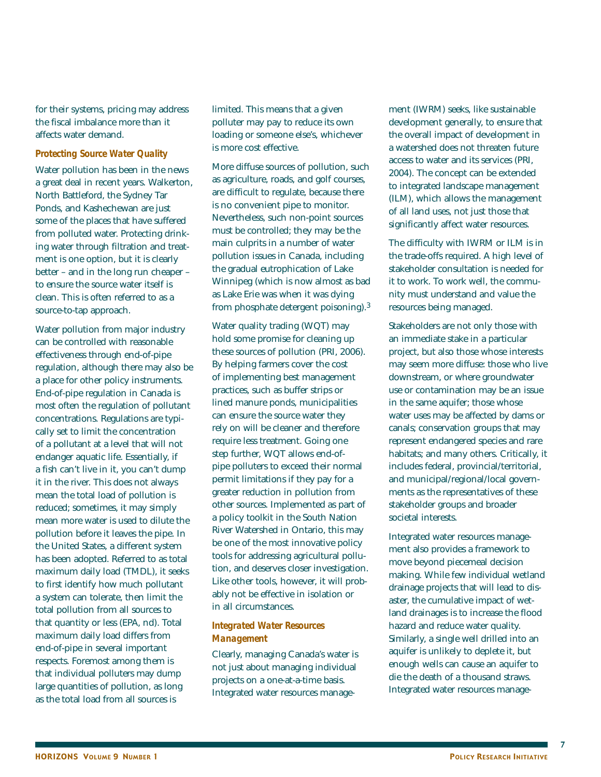for their systems, pricing may address the fiscal imbalance more than it affects water demand.

#### *Protecting Source Water Quality*

Water pollution has been in the news a great deal in recent years. Walkerton, North Battleford, the Sydney Tar Ponds, and Kashechewan are just some of the places that have suffered from polluted water. Protecting drinking water through filtration and treatment is one option, but it is clearly better – and in the long run cheaper – to ensure the source water itself is clean. This is often referred to as a source-to-tap approach.

Water pollution from major industry can be controlled with reasonable effectiveness through end-of-pipe regulation, although there may also be a place for other policy instruments. End-of-pipe regulation in Canada is most often the regulation of pollutant concentrations. Regulations are typically set to limit the concentration of a pollutant at a level that will not endanger aquatic life. Essentially, if a fish can't live in it, you can't dump it in the river. This does not always mean the total load of pollution is reduced; sometimes, it may simply mean more water is used to dilute the pollution before it leaves the pipe. In the United States, a different system has been adopted. Referred to as total maximum daily load (TMDL), it seeks to first identify how much pollutant a system can tolerate, then limit the total pollution from all sources to that quantity or less (EPA, nd). Total maximum daily load differs from end-of-pipe in several important respects. Foremost among them is that individual polluters may dump large quantities of pollution, as long as the total load from all sources is

limited. This means that a given polluter may pay to reduce its own loading or someone else's, whichever is more cost effective.

More diffuse sources of pollution, such as agriculture, roads, and golf courses, are difficult to regulate, because there is no convenient pipe to monitor. Nevertheless, such non-point sources must be controlled; they may be the main culprits in a number of water pollution issues in Canada, including the gradual eutrophication of Lake Winnipeg (which is now almost as bad as Lake Erie was when it was dying from phosphate detergent poisoning).3

Water quality trading (WQT) may hold some promise for cleaning up these sources of pollution (PRI, 2006). By helping farmers cover the cost of implementing best management practices, such as buffer strips or lined manure ponds, municipalities can ensure the source water they rely on will be cleaner and therefore require less treatment. Going one step further, WQT allows end-ofpipe polluters to exceed their normal permit limitations if they pay for a greater reduction in pollution from other sources. Implemented as part of a policy toolkit in the South Nation River Watershed in Ontario, this may be one of the most innovative policy tools for addressing agricultural pollution, and deserves closer investigation. Like other tools, however, it will probably not be effective in isolation or in all circumstances.

### *Integrated Water Resources Management*

Clearly, managing Canada's water is not just about managing individual projects on a one-at-a-time basis. Integrated water resources management (IWRM) seeks, like sustainable development generally, to ensure that the overall impact of development in a watershed does not threaten future access to water and its services (PRI, 2004). The concept can be extended to integrated landscape management (ILM), which allows the management of all land uses, not just those that significantly affect water resources.

The difficulty with IWRM or ILM is in the trade-offs required. A high level of stakeholder consultation is needed for it to work. To work well, the community must understand and value the resources being managed.

Stakeholders are not only those with an immediate stake in a particular project, but also those whose interests may seem more diffuse: those who live downstream, or where groundwater use or contamination may be an issue in the same aquifer; those whose water uses may be affected by dams or canals; conservation groups that may represent endangered species and rare habitats; and many others. Critically, it includes federal, provincial/territorial, and municipal/regional/local governments as the representatives of these stakeholder groups and broader societal interests.

Integrated water resources management also provides a framework to move beyond piecemeal decision making. While few individual wetland drainage projects that will lead to disaster, the cumulative impact of wetland drainages is to increase the flood hazard and reduce water quality. Similarly, a single well drilled into an aquifer is unlikely to deplete it, but enough wells can cause an aquifer to die the death of a thousand straws. Integrated water resources manage-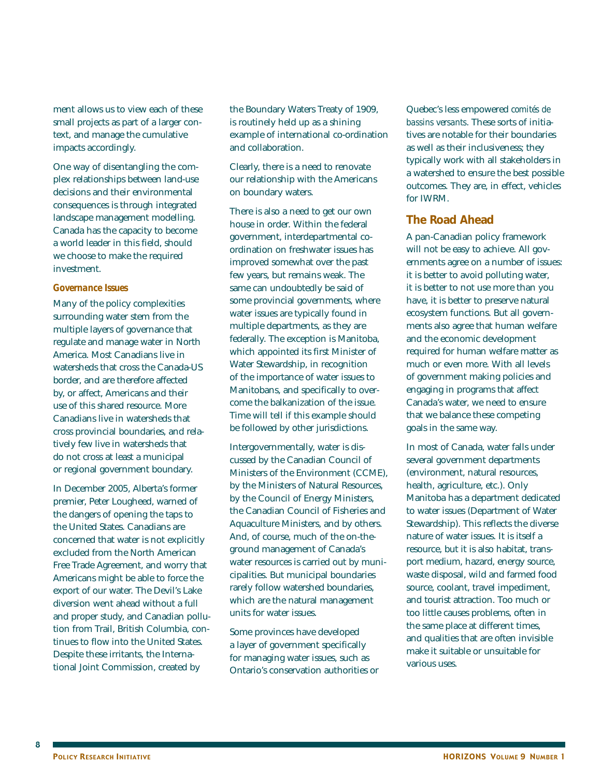ment allows us to view each of these small projects as part of a larger context, and manage the cumulative impacts accordingly.

One way of disentangling the complex relationships between land-use decisions and their environmental consequences is through integrated landscape management modelling. Canada has the capacity to become a world leader in this field, should we choose to make the required investment.

#### *Governance Issues*

Many of the policy complexities surrounding water stem from the multiple layers of governance that regulate and manage water in North America. Most Canadians live in watersheds that cross the Canada-US border, and are therefore affected by, or affect, Americans and their use of this shared resource. More Canadians live in watersheds that cross provincial boundaries, and relatively few live in watersheds that do not cross at least a municipal or regional government boundary.

In December 2005, Alberta's former premier, Peter Lougheed, warned of the dangers of opening the taps to the United States. Canadians are concerned that water is not explicitly excluded from the North American Free Trade Agreement, and worry that Americans might be able to force the export of our water. The Devil's Lake diversion went ahead without a full and proper study, and Canadian pollution from Trail, British Columbia, continues to flow into the United States. Despite these irritants, the International Joint Commission, created by

the Boundary Waters Treaty of 1909, is routinely held up as a shining example of international co-ordination and collaboration.

Clearly, there is a need to renovate our relationship with the Americans on boundary waters.

There is also a need to get our own house in order. Within the federal government, interdepartmental coordination on freshwater issues has improved somewhat over the past few years, but remains weak. The same can undoubtedly be said of some provincial governments, where water issues are typically found in multiple departments, as they are federally. The exception is Manitoba, which appointed its first Minister of Water Stewardship, in recognition of the importance of water issues to Manitobans, and specifically to overcome the balkanization of the issue. Time will tell if this example should be followed by other jurisdictions.

Intergovernmentally, water is discussed by the Canadian Council of Ministers of the Environment (CCME), by the Ministers of Natural Resources, by the Council of Energy Ministers, the Canadian Council of Fisheries and Aquaculture Ministers, and by others. And, of course, much of the on-theground management of Canada's water resources is carried out by municipalities. But municipal boundaries rarely follow watershed boundaries, which are the natural management units for water issues.

Some provinces have developed a layer of government specifically for managing water issues, such as Ontario's conservation authorities or Quebec's less empowered *comités de bassins versants*. These sorts of initiatives are notable for their boundaries as well as their inclusiveness; they typically work with all stakeholders in a watershed to ensure the best possible outcomes. They are, in effect, vehicles for IWRM.

### **The Road Ahead**

A pan-Canadian policy framework will not be easy to achieve. All governments agree on a number of issues: it is better to avoid polluting water, it is better to not use more than you have, it is better to preserve natural ecosystem functions. But all governments also agree that human welfare and the economic development required for human welfare matter as much or even more. With all levels of government making policies and engaging in programs that affect Canada's water, we need to ensure that we balance these competing goals in the same way.

In most of Canada, water falls under several government departments (environment, natural resources, health, agriculture, etc.). Only Manitoba has a department dedicated to water issues (Department of Water Stewardship). This reflects the diverse nature of water issues. It is itself a resource, but it is also habitat, transport medium, hazard, energy source, waste disposal, wild and farmed food source, coolant, travel impediment, and tourist attraction. Too much or too little causes problems, often in the same place at different times, and qualities that are often invisible make it suitable or unsuitable for various uses.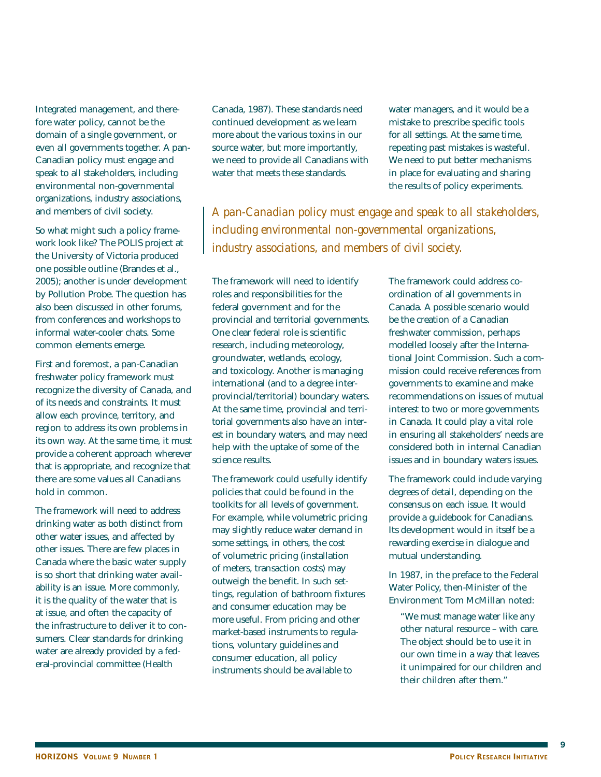Integrated management, and therefore water policy, cannot be the domain of a single government, or even all governments together. A pan-Canadian policy must engage and speak to all stakeholders, including environmental non-governmental organizations, industry associations, and members of civil society.

So what might such a policy framework look like? The POLIS project at the University of Victoria produced one possible outline (Brandes et al., 2005); another is under development by Pollution Probe. The question has also been discussed in other forums, from conferences and workshops to informal water-cooler chats. Some common elements emerge.

First and foremost, a pan-Canadian freshwater policy framework must recognize the diversity of Canada, and of its needs and constraints. It must allow each province, territory, and region to address its own problems in its own way. At the same time, it must provide a coherent approach wherever that is appropriate, and recognize that there are some values all Canadians hold in common.

The framework will need to address drinking water as both distinct from other water issues, and affected by other issues. There are few places in Canada where the basic water supply is so short that drinking water availability is an issue. More commonly, it is the quality of the water that is at issue, and often the capacity of the infrastructure to deliver it to consumers. Clear standards for drinking water are already provided by a federal-provincial committee (Health

Canada, 1987). These standards need continued development as we learn more about the various toxins in our source water, but more importantly, we need to provide all Canadians with water that meets these standards.

water managers, and it would be a mistake to prescribe specific tools for all settings. At the same time, repeating past mistakes is wasteful. We need to put better mechanisms in place for evaluating and sharing the results of policy experiments.

*A pan-Canadian policy must engage and speak to all stakeholders, including environmental non-governmental organizations, industry associations, and members of civil society.*

The framework will need to identify roles and responsibilities for the federal government and for the provincial and territorial governments. One clear federal role is scientific research, including meteorology, groundwater, wetlands, ecology, and toxicology. Another is managing international (and to a degree interprovincial/territorial) boundary waters. At the same time, provincial and territorial governments also have an interest in boundary waters, and may need help with the uptake of some of the science results.

The framework could usefully identify policies that could be found in the toolkits for all levels of government. For example, while volumetric pricing may slightly reduce water demand in some settings, in others, the cost of volumetric pricing (installation of meters, transaction costs) may outweigh the benefit. In such settings, regulation of bathroom fixtures and consumer education may be more useful. From pricing and other market-based instruments to regulations, voluntary guidelines and consumer education, all policy instruments should be available to

The framework could address coordination of all governments in Canada. A possible scenario would be the creation of a Canadian freshwater commission, perhaps modelled loosely after the International Joint Commission. Such a commission could receive references from governments to examine and make recommendations on issues of mutual interest to two or more governments in Canada. It could play a vital role in ensuring all stakeholders' needs are considered both in internal Canadian issues and in boundary waters issues.

The framework could include varying degrees of detail, depending on the consensus on each issue. It would provide a guidebook for Canadians. Its development would in itself be a rewarding exercise in dialogue and mutual understanding.

In 1987, in the preface to the Federal Water Policy, then-Minister of the Environment Tom McMillan noted:

"We must manage water like any other natural resource – with care. The object should be to use it in our own time in a way that leaves it unimpaired for our children and their children after them."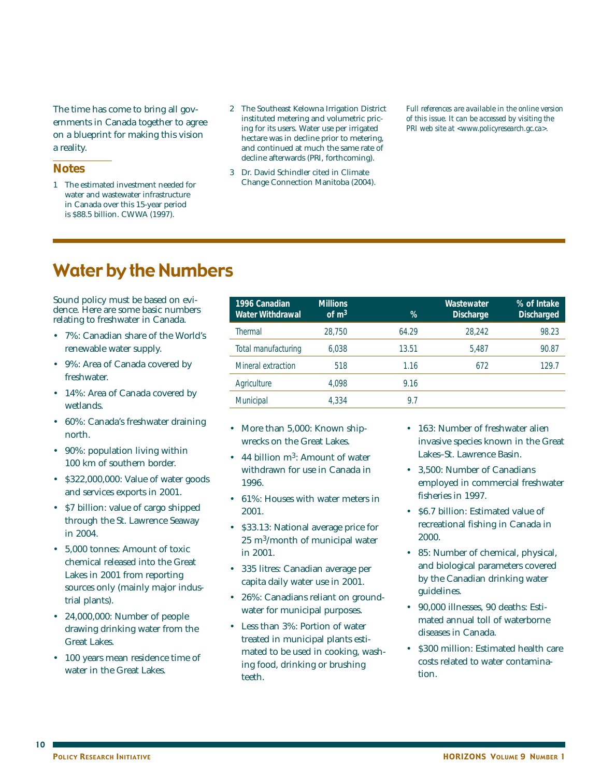The time has come to bring all governments in Canada together to agree on a blueprint for making this vision a reality.

### **Notes**

- 1 The estimated investment needed for water and wastewater infrastructure in Canada over this 15-year period is \$88.5 billion. CWWA (1997).
- 2 The Southeast Kelowna Irrigation District instituted metering and volumetric pricing for its users. Water use per irrigated hectare was in decline prior to metering, and continued at much the same rate of decline afterwards (PRI, forthcoming).
- 3 Dr. David Schindler cited in Climate Change Connection Manitoba (2004).

*Full references are available in the online version of this issue. It can be accessed by visiting the PRI web site at <www.policyresearch.gc.ca>.* 

# Water by the Numbers

Sound policy must be based on evidence. Here are some basic numbers relating to freshwater in Canada.

- 7%: Canadian share of the World's renewable water supply.
- 9%: Area of Canada covered by freshwater.
- 14%: Area of Canada covered by wetlands.
- 60%: Canada's freshwater draining north.
- 90%: population living within 100 km of southern border.
- \$322,000,000: Value of water goods and services exports in 2001.
- \$7 billion: value of cargo shipped through the St. Lawrence Seaway in 2004.
- 5,000 tonnes: Amount of toxic chemical released into the Great Lakes in 2001 from reporting sources only (mainly major industrial plants).
- 24,000,000: Number of people drawing drinking water from the Great Lakes.
- 100 years mean residence time of water in the Great Lakes.

| 1996 Canadian<br><b>Water Withdrawal</b> | <b>Millions</b><br>of $m3$ | %     | Wastewater<br><b>Discharge</b> | % of Intake<br><b>Discharged</b> |
|------------------------------------------|----------------------------|-------|--------------------------------|----------------------------------|
| <b>Thermal</b>                           | 28,750                     | 64.29 | 28.242                         | 98.23                            |
| Total manufacturing                      | 6.038                      | 13.51 | 5.487                          | 90.87                            |
| Mineral extraction                       | 518                        | 1.16  | 672                            | 129.7                            |
| Agriculture                              | 4.098                      | 9.16  |                                |                                  |
| <b>Municipal</b>                         | 4.334                      | 9.7   |                                |                                  |

- More than 5,000: Known shipwrecks on the Great Lakes.
- 44 billion m<sup>3</sup>: Amount of water withdrawn for use in Canada in 1996.
- 61%<sup>·</sup> Houses with water meters in 2001.
- \$33.13: National average price for 25 m3/month of municipal water in 2001.
- 335 litres: Canadian average per capita daily water use in 2001.
- 26%: Canadians reliant on groundwater for municipal purposes.
- Less than 3%: Portion of water treated in municipal plants estimated to be used in cooking, washing food, drinking or brushing teeth.
- 163: Number of freshwater alien invasive species known in the Great Lakes–St. Lawrence Basin.
- 3,500: Number of Canadians employed in commercial freshwater fisheries in 1997.
- \$6.7 billion: Estimated value of recreational fishing in Canada in 2000.
- 85: Number of chemical, physical, and biological parameters covered by the Canadian drinking water guidelines.
- 90,000 illnesses, 90 deaths: Estimated annual toll of waterborne diseases in Canada.
- \$300 million: Estimated health care costs related to water contamination.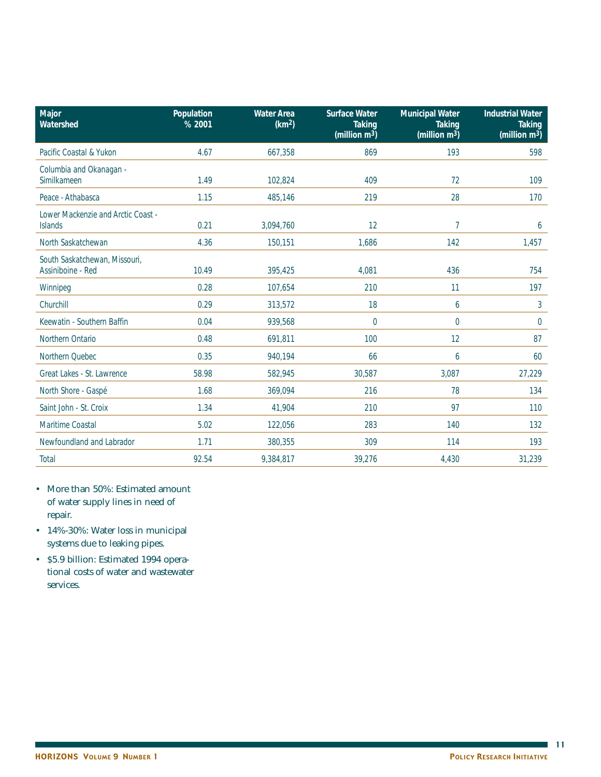| Major<br>Watershed                                   | Population<br>% 2001 | <b>Water Area</b><br>(km <sup>2</sup> ) | <b>Surface Water</b><br><b>Taking</b><br>(million $m^3$ ) | <b>Municipal Water</b><br><b>Taking</b><br>(million $m^3$ ) | <b>Industrial Water</b><br><b>Taking</b><br>(million $m^3$ ) |
|------------------------------------------------------|----------------------|-----------------------------------------|-----------------------------------------------------------|-------------------------------------------------------------|--------------------------------------------------------------|
| Pacific Coastal & Yukon                              | 4.67                 | 667,358                                 | 869                                                       | 193                                                         | 598                                                          |
| Columbia and Okanagan -<br>Similkameen               | 1.49                 | 102,824                                 | 409                                                       | 72                                                          | 109                                                          |
| Peace - Athabasca                                    | 1.15                 | 485,146                                 | 219                                                       | 28                                                          | 170                                                          |
| Lower Mackenzie and Arctic Coast -<br><b>Islands</b> | 0.21                 | 3,094,760                               | 12                                                        | 7                                                           | 6                                                            |
| North Saskatchewan                                   | 4.36                 | 150,151                                 | 1,686                                                     | 142                                                         | 1,457                                                        |
| South Saskatchewan, Missouri,<br>Assiniboine - Red   | 10.49                | 395,425                                 | 4,081                                                     | 436                                                         | 754                                                          |
| Winnipeg                                             | 0.28                 | 107,654                                 | 210                                                       | 11                                                          | 197                                                          |
| Churchill                                            | 0.29                 | 313,572                                 | 18                                                        | 6                                                           | 3                                                            |
| Keewatin - Southern Baffin                           | 0.04                 | 939.568                                 | 0                                                         | 0                                                           | $\mathbf 0$                                                  |
| Northern Ontario                                     | 0.48                 | 691,811                                 | 100                                                       | 12                                                          | 87                                                           |
| Northern Quebec                                      | 0.35                 | 940,194                                 | 66                                                        | 6                                                           | 60                                                           |
| Great Lakes - St. Lawrence                           | 58.98                | 582,945                                 | 30,587                                                    | 3,087                                                       | 27,229                                                       |
| North Shore - Gaspé                                  | 1.68                 | 369,094                                 | 216                                                       | 78                                                          | 134                                                          |
| Saint John - St. Croix                               | 1.34                 | 41,904                                  | 210                                                       | 97                                                          | 110                                                          |
| Maritime Coastal                                     | 5.02                 | 122,056                                 | 283                                                       | 140                                                         | 132                                                          |
| Newfoundland and Labrador                            | 1.71                 | 380,355                                 | 309                                                       | 114                                                         | 193                                                          |
| <b>Total</b>                                         | 92.54                | 9,384,817                               | 39,276                                                    | 4,430                                                       | 31,239                                                       |

- More than 50%: Estimated amount of water supply lines in need of repair.
- 14%-30%: Water loss in municipal systems due to leaking pipes.
- \$5.9 billion: Estimated 1994 operational costs of water and wastewater services.

 $\blacksquare$ 11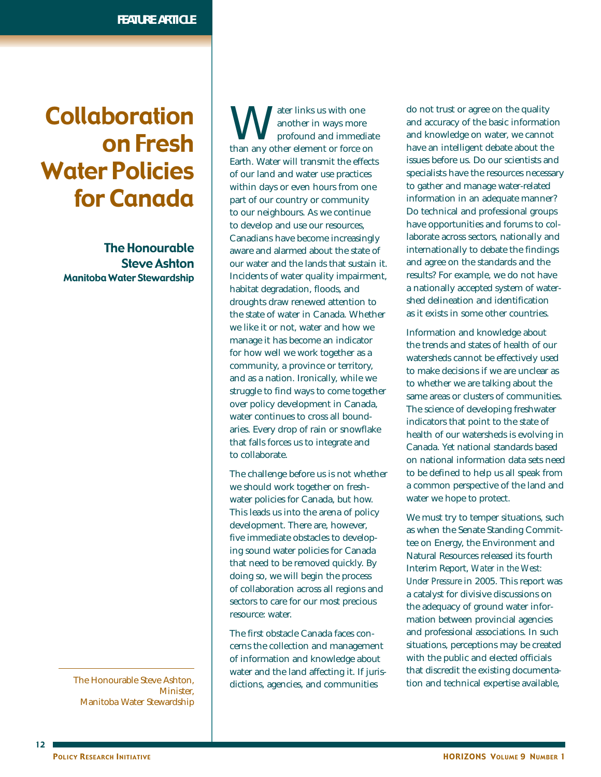# Collaboration on Fresh Water Policies for Canada

The Honourable Steve Ashton Manitoba Water Stewardship

The Honourable Steve Ashton, Minister, Manitoba Water Stewardship

Mater links us with one<br>profound and immed<br>than any other element or force of another in ways more profound and immediate than any other element or force on Earth. Water will transmit the effects of our land and water use practices within days or even hours from one part of our country or community to our neighbours. As we continue to develop and use our resources, Canadians have become increasingly aware and alarmed about the state of our water and the lands that sustain it. Incidents of water quality impairment, habitat degradation, floods, and droughts draw renewed attention to the state of water in Canada. Whether we like it or not, water and how we manage it has become an indicator for how well we work together as a community, a province or territory, and as a nation. Ironically, while we struggle to find ways to come together over policy development in Canada, water continues to cross all boundaries. Every drop of rain or snowflake that falls forces us to integrate and to collaborate.

The challenge before us is not whether we should work together on freshwater policies for Canada, but how. This leads us into the arena of policy development. There are, however, five immediate obstacles to developing sound water policies for Canada that need to be removed quickly. By doing so, we will begin the process of collaboration across all regions and sectors to care for our most precious resource: water.

The first obstacle Canada faces concerns the collection and management of information and knowledge about water and the land affecting it. If jurisdictions, agencies, and communities

do not trust or agree on the quality and accuracy of the basic information and knowledge on water, we cannot have an intelligent debate about the issues before us. Do our scientists and specialists have the resources necessary to gather and manage water-related information in an adequate manner? Do technical and professional groups have opportunities and forums to collaborate across sectors, nationally and internationally to debate the findings and agree on the standards and the results? For example, we do not have a nationally accepted system of watershed delineation and identification as it exists in some other countries.

Information and knowledge about the trends and states of health of our watersheds cannot be effectively used to make decisions if we are unclear as to whether we are talking about the same areas or clusters of communities. The science of developing freshwater indicators that point to the state of health of our watersheds is evolving in Canada. Yet national standards based on national information data sets need to be defined to help us all speak from a common perspective of the land and water we hope to protect.

We must try to temper situations, such as when the Senate Standing Committee on Energy, the Environment and Natural Resources released its fourth Interim Report, *Water in the West: Under Pressure* in 2005. This report was a catalyst for divisive discussions on the adequacy of ground water information between provincial agencies and professional associations. In such situations, perceptions may be created with the public and elected officials that discredit the existing documentation and technical expertise available,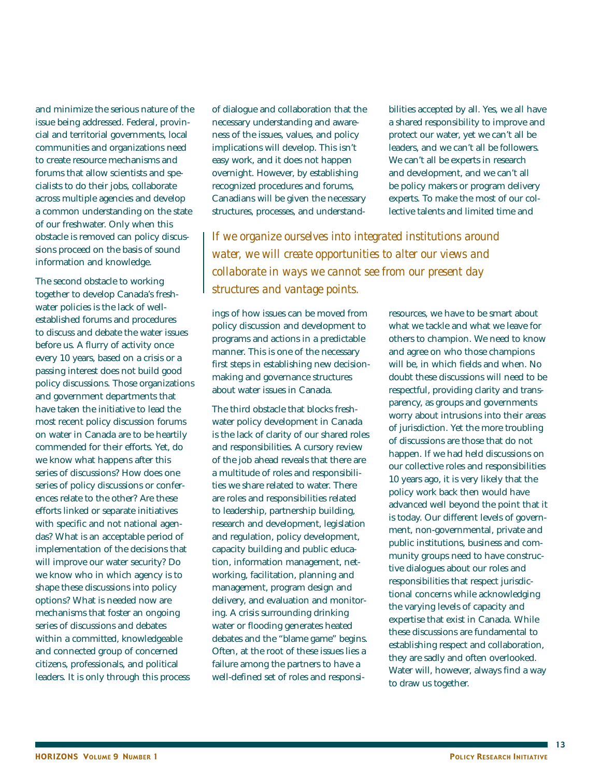and minimize the serious nature of the issue being addressed. Federal, provincial and territorial governments, local communities and organizations need to create resource mechanisms and forums that allow scientists and specialists to do their jobs, collaborate across multiple agencies and develop a common understanding on the state of our freshwater. Only when this obstacle is removed can policy discussions proceed on the basis of sound information and knowledge.

The second obstacle to working together to develop Canada's freshwater policies is the lack of wellestablished forums and procedures to discuss and debate the water issues before us. A flurry of activity once every 10 years, based on a crisis or a passing interest does not build good policy discussions. Those organizations and government departments that have taken the initiative to lead the most recent policy discussion forums on water in Canada are to be heartily commended for their efforts. Yet, do we know what happens after this series of discussions? How does one series of policy discussions or conferences relate to the other? Are these efforts linked or separate initiatives with specific and not national agendas? What is an acceptable period of implementation of the decisions that will improve our water security? Do we know who in which agency is to shape these discussions into policy options? What is needed now are mechanisms that foster an ongoing series of discussions and debates within a committed, knowledgeable and connected group of concerned citizens, professionals, and political leaders. It is only through this process

of dialogue and collaboration that the necessary understanding and awareness of the issues, values, and policy implications will develop. This isn't easy work, and it does not happen overnight. However, by establishing recognized procedures and forums, Canadians will be given the necessary structures, processes, and understandbilities accepted by all. Yes, we all have a shared responsibility to improve and protect our water, yet we can't all be leaders, and we can't all be followers. We can't all be experts in research and development, and we can't all be policy makers or program delivery experts. To make the most of our collective talents and limited time and

*If we organize ourselves into integrated institutions around water, we will create opportunities to alter our views and collaborate in ways we cannot see from our present day structures and vantage points.*

ings of how issues can be moved from policy discussion and development to programs and actions in a predictable manner. This is one of the necessary first steps in establishing new decisionmaking and governance structures about water issues in Canada.

The third obstacle that blocks freshwater policy development in Canada is the lack of clarity of our shared roles and responsibilities. A cursory review of the job ahead reveals that there are a multitude of roles and responsibilities we share related to water. There are roles and responsibilities related to leadership, partnership building, research and development, legislation and regulation, policy development, capacity building and public education, information management, networking, facilitation, planning and management, program design and delivery, and evaluation and monitoring. A crisis surrounding drinking water or flooding generates heated debates and the "blame game" begins. Often, at the root of these issues lies a failure among the partners to have a well-defined set of roles and responsi-

resources, we have to be smart about what we tackle and what we leave for others to champion. We need to know and agree on who those champions will be, in which fields and when. No doubt these discussions will need to be respectful, providing clarity and transparency, as groups and governments worry about intrusions into their areas of jurisdiction. Yet the more troubling of discussions are those that do not happen. If we had held discussions on our collective roles and responsibilities 10 years ago, it is very likely that the policy work back then would have advanced well beyond the point that it is today. Our different levels of government, non-governmental, private and public institutions, business and community groups need to have constructive dialogues about our roles and responsibilities that respect jurisdictional concerns while acknowledging the varying levels of capacity and expertise that exist in Canada. While these discussions are fundamental to establishing respect and collaboration, they are sadly and often overlooked. Water will, however, always find a way to draw us together.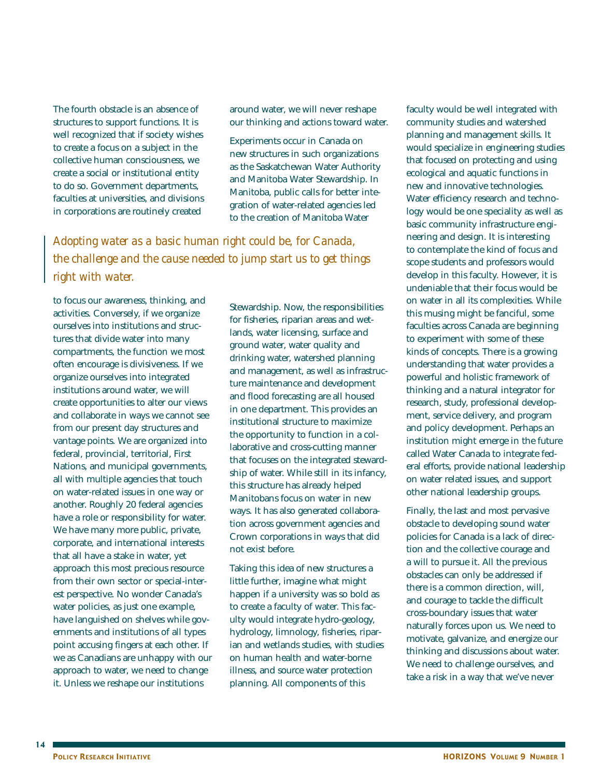The fourth obstacle is an absence of structures to support functions. It is well recognized that if society wishes to create a focus on a subject in the collective human consciousness, we create a social or institutional entity to do so. Government departments, faculties at universities, and divisions in corporations are routinely created

around water, we will never reshape our thinking and actions toward water.

Experiments occur in Canada on new structures in such organizations as the Saskatchewan Water Authority and Manitoba Water Stewardship. In Manitoba, public calls for better integration of water-related agencies led to the creation of Manitoba Water

*Adopting water as a basic human right could be, for Canada, the challenge and the cause needed to jump start us to get things right with water.*

to focus our awareness, thinking, and activities. Conversely, if we organize ourselves into institutions and structures that divide water into many compartments, the function we most often encourage is divisiveness. If we organize ourselves into integrated institutions around water, we will create opportunities to alter our views and collaborate in ways we cannot see from our present day structures and vantage points. We are organized into federal, provincial, territorial, First Nations, and municipal governments, all with multiple agencies that touch on water-related issues in one way or another. Roughly 20 federal agencies have a role or responsibility for water. We have many more public, private, corporate, and international interests that all have a stake in water, yet approach this most precious resource from their own sector or special-interest perspective. No wonder Canada's water policies, as just one example, have languished on shelves while governments and institutions of all types point accusing fingers at each other. If we as Canadians are unhappy with our approach to water, we need to change it. Unless we reshape our institutions

Stewardship. Now, the responsibilities for fisheries, riparian areas and wetlands, water licensing, surface and ground water, water quality and drinking water, watershed planning and management, as well as infrastructure maintenance and development and flood forecasting are all housed in one department. This provides an institutional structure to maximize the opportunity to function in a collaborative and cross-cutting manner that focuses on the integrated stewardship of water. While still in its infancy, this structure has already helped Manitobans focus on water in new ways. It has also generated collaboration across government agencies and Crown corporations in ways that did not exist before.

Taking this idea of new structures a little further, imagine what might happen if a university was so bold as to create a faculty of water. This faculty would integrate hydro-geology, hydrology, limnology, fisheries, riparian and wetlands studies, with studies on human health and water-borne illness, and source water protection planning. All components of this

faculty would be well integrated with community studies and watershed planning and management skills. It would specialize in engineering studies that focused on protecting and using ecological and aquatic functions in new and innovative technologies. Water efficiency research and technology would be one speciality as well as basic community infrastructure engineering and design. It is interesting to contemplate the kind of focus and scope students and professors would develop in this faculty. However, it is undeniable that their focus would be on water in all its complexities. While this musing might be fanciful, some faculties across Canada are beginning to experiment with some of these kinds of concepts. There is a growing understanding that water provides a powerful and holistic framework of thinking and a natural integrator for research, study, professional development, service delivery, and program and policy development. Perhaps an institution might emerge in the future called Water Canada to integrate federal efforts, provide national leadership on water related issues, and support other national leadership groups.

Finally, the last and most pervasive obstacle to developing sound water policies for Canada is a lack of direction and the collective courage and a will to pursue it. All the previous obstacles can only be addressed if there is a common direction, will, and courage to tackle the difficult cross-boundary issues that water naturally forces upon us. We need to motivate, galvanize, and energize our thinking and discussions about water. We need to challenge ourselves, and take a risk in a way that we've never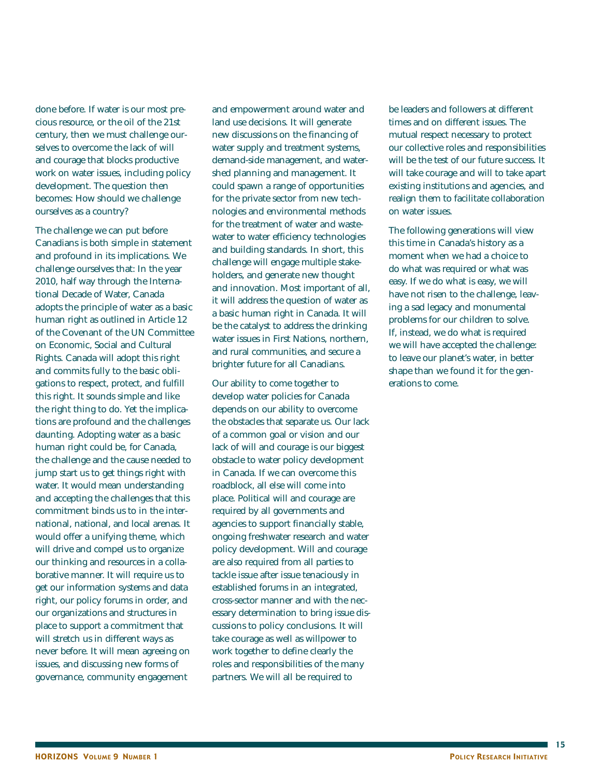done before. If water is our most precious resource, or the oil of the 21st century, then we must challenge ourselves to overcome the lack of will and courage that blocks productive work on water issues, including policy development. The question then becomes: How should we challenge ourselves as a country?

The challenge we can put before Canadians is both simple in statement and profound in its implications. We challenge ourselves that: In the year 2010, half way through the International Decade of Water, Canada adopts the principle of water as a basic human right as outlined in Article 12 of the Covenant of the UN Committee on Economic, Social and Cultural Rights. Canada will adopt this right and commits fully to the basic obligations to respect, protect, and fulfill this right. It sounds simple and like the right thing to do. Yet the implications are profound and the challenges daunting. Adopting water as a basic human right could be, for Canada, the challenge and the cause needed to jump start us to get things right with water. It would mean understanding and accepting the challenges that this commitment binds us to in the international, national, and local arenas. It would offer a unifying theme, which will drive and compel us to organize our thinking and resources in a collaborative manner. It will require us to get our information systems and data right, our policy forums in order, and our organizations and structures in place to support a commitment that will stretch us in different ways as never before. It will mean agreeing on issues, and discussing new forms of governance, community engagement

and empowerment around water and land use decisions. It will generate new discussions on the financing of water supply and treatment systems. demand-side management, and watershed planning and management. It could spawn a range of opportunities for the private sector from new technologies and environmental methods for the treatment of water and wastewater to water efficiency technologies and building standards. In short, this challenge will engage multiple stakeholders, and generate new thought and innovation. Most important of all, it will address the question of water as a basic human right in Canada. It will be the catalyst to address the drinking water issues in First Nations, northern, and rural communities, and secure a brighter future for all Canadians.

Our ability to come together to develop water policies for Canada depends on our ability to overcome the obstacles that separate us. Our lack of a common goal or vision and our lack of will and courage is our biggest obstacle to water policy development in Canada. If we can overcome this roadblock, all else will come into place. Political will and courage are required by all governments and agencies to support financially stable, ongoing freshwater research and water policy development. Will and courage are also required from all parties to tackle issue after issue tenaciously in established forums in an integrated, cross-sector manner and with the necessary determination to bring issue discussions to policy conclusions. It will take courage as well as willpower to work together to define clearly the roles and responsibilities of the many partners. We will all be required to

be leaders and followers at different times and on different issues. The mutual respect necessary to protect our collective roles and responsibilities will be the test of our future success. It will take courage and will to take apart existing institutions and agencies, and realign them to facilitate collaboration on water issues.

The following generations will view this time in Canada's history as a moment when we had a choice to do what was required or what was easy. If we do what is easy, we will have not risen to the challenge, leaving a sad legacy and monumental problems for our children to solve. If, instead, we do what is required we will have accepted the challenge: to leave our planet's water, in better shape than we found it for the generations to come.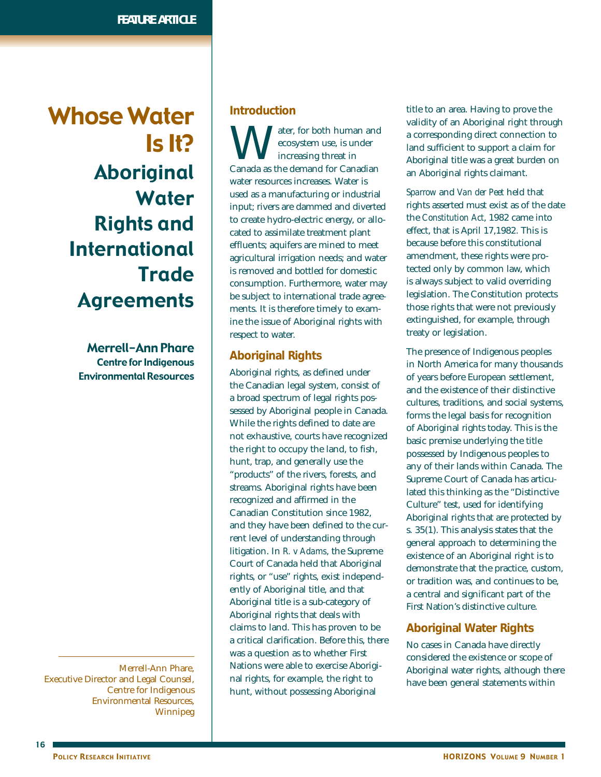Whose Water Is It? Aboriginal Water Rights and International **Trade** Agreements

> Merrell-Ann Phare Centre for Indigenous Environmental Resources

Merrell-Ann Phare, Executive Director and Legal Counsel, Centre for Indigenous Environmental Resources, Winnipeg

### **Introduction**

Water, for both human and<br>
ecosystem use, is under<br>
canada as the demand for Canadian ecosystem use, is under increasing threat in water resources increases. Water is used as a manufacturing or industrial input; rivers are dammed and diverted to create hydro-electric energy, or allocated to assimilate treatment plant effluents; aquifers are mined to meet agricultural irrigation needs; and water is removed and bottled for domestic consumption. Furthermore, water may be subject to international trade agreements. It is therefore timely to examine the issue of Aboriginal rights with respect to water.

### **Aboriginal Rights**

Aboriginal rights, as defined under the Canadian legal system, consist of a broad spectrum of legal rights possessed by Aboriginal people in Canada. While the rights defined to date are not exhaustive, courts have recognized the right to occupy the land, to fish, hunt, trap, and generally use the "products" of the rivers, forests, and streams. Aboriginal rights have been recognized and affirmed in the Canadian Constitution since 1982, and they have been defined to the current level of understanding through litigation. In *R. v Adams*, the Supreme Court of Canada held that Aboriginal rights, or "use" rights, exist independently of Aboriginal title, and that Aboriginal title is a sub-category of Aboriginal rights that deals with claims to land. This has proven to be a critical clarification. Before this, there was a question as to whether First Nations were able to exercise Aboriginal rights, for example, the right to hunt, without possessing Aboriginal

title to an area. Having to prove the validity of an Aboriginal right through a corresponding direct connection to land sufficient to support a claim for Aboriginal title was a great burden on an Aboriginal rights claimant.

*Sparrow* and *Van der Peet* held that rights asserted must exist as of the date the *Constitution Act*, 1982 came into effect, that is April 17,1982. This is because before this constitutional amendment, these rights were protected only by common law, which is always subject to valid overriding legislation. The Constitution protects those rights that were not previously extinguished, for example, through treaty or legislation.

The presence of Indigenous peoples in North America for many thousands of years before European settlement, and the existence of their distinctive cultures, traditions, and social systems, forms the legal basis for recognition of Aboriginal rights today. This is the basic premise underlying the title possessed by Indigenous peoples to any of their lands within Canada. The Supreme Court of Canada has articulated this thinking as the "Distinctive Culture" test, used for identifying Aboriginal rights that are protected by s. 35(1). This analysis states that the general approach to determining the existence of an Aboriginal right is to demonstrate that the practice, custom, or tradition was, and continues to be, a central and significant part of the First Nation's distinctive culture.

### **Aboriginal Water Rights**

No cases in Canada have directly considered the existence or scope of Aboriginal water rights, although there have been general statements within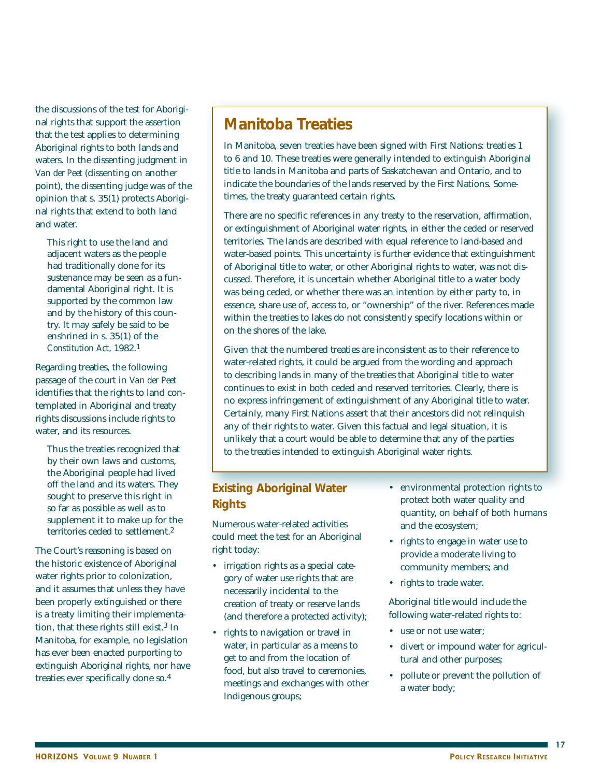the discussions of the test for Aboriginal rights that support the assertion that the test applies to determining Aboriginal rights to both lands and waters. In the dissenting judgment in *Van der Peet* (dissenting on another point), the dissenting judge was of the opinion that s. 35(1) protects Aboriginal rights that extend to both land and water.

This right to use the land and adjacent waters as the people had traditionally done for its sustenance may be seen as a fundamental Aboriginal right. It is supported by the common law and by the history of this country. It may safely be said to be enshrined in s. 35(1) of the *Constitution Act*, 1982.1

Regarding treaties, the following passage of the court in *Van der Peet* identifies that the rights to land contemplated in Aboriginal and treaty rights discussions include rights to water, and its resources.

Thus the treaties recognized that by their own laws and customs, the Aboriginal people had lived off the land and its waters. They sought to preserve this right in so far as possible as well as to supplement it to make up for the territories ceded to settlement.2

The Court's reasoning is based on the historic existence of Aboriginal water rights prior to colonization, and it assumes that unless they have been properly extinguished or there is a treaty limiting their implementation, that these rights still exist.3 In Manitoba, for example, no legislation has ever been enacted purporting to extinguish Aboriginal rights, nor have treaties ever specifically done so.4

# **Manitoba Treaties**

In Manitoba, seven treaties have been signed with First Nations: treaties 1 to 6 and 10. These treaties were generally intended to extinguish Aboriginal title to lands in Manitoba and parts of Saskatchewan and Ontario, and to indicate the boundaries of the lands reserved by the First Nations. Sometimes, the treaty guaranteed certain rights.

There are no specific references in any treaty to the reservation, affirmation, or extinguishment of Aboriginal water rights, in either the ceded or reserved territories. The lands are described with equal reference to land-based and water-based points. This uncertainty is further evidence that extinguishment of Aboriginal title to water, or other Aboriginal rights to water, was not discussed. Therefore, it is uncertain whether Aboriginal title to a water body was being ceded, or whether there was an intention by either party to, in essence, share use of, access to, or "ownership" of the river. References made within the treaties to lakes do not consistently specify locations within or on the shores of the lake.

Given that the numbered treaties are inconsistent as to their reference to water-related rights, it could be argued from the wording and approach to describing lands in many of the treaties that Aboriginal title to water continues to exist in both ceded and reserved territories. Clearly, there is no express infringement of extinguishment of any Aboriginal title to water. Certainly, many First Nations assert that their ancestors did not relinquish any of their rights to water. Given this factual and legal situation, it is unlikely that a court would be able to determine that any of the parties to the treaties intended to extinguish Aboriginal water rights.

## **Existing Aboriginal Water Rights**

Numerous water-related activities could meet the test for an Aboriginal right today:

- irrigation rights as a special category of water use rights that are necessarily incidental to the creation of treaty or reserve lands (and therefore a protected activity);
- rights to navigation or travel in water, in particular as a means to get to and from the location of food, but also travel to ceremonies, meetings and exchanges with other Indigenous groups;
- environmental protection rights to protect both water quality and quantity, on behalf of both humans and the ecosystem;
- rights to engage in water use to provide a moderate living to community members; and
- rights to trade water.

Aboriginal title would include the following water-related rights to:

- use or not use water;
- divert or impound water for agricultural and other purposes;
- pollute or prevent the pollution of a water body;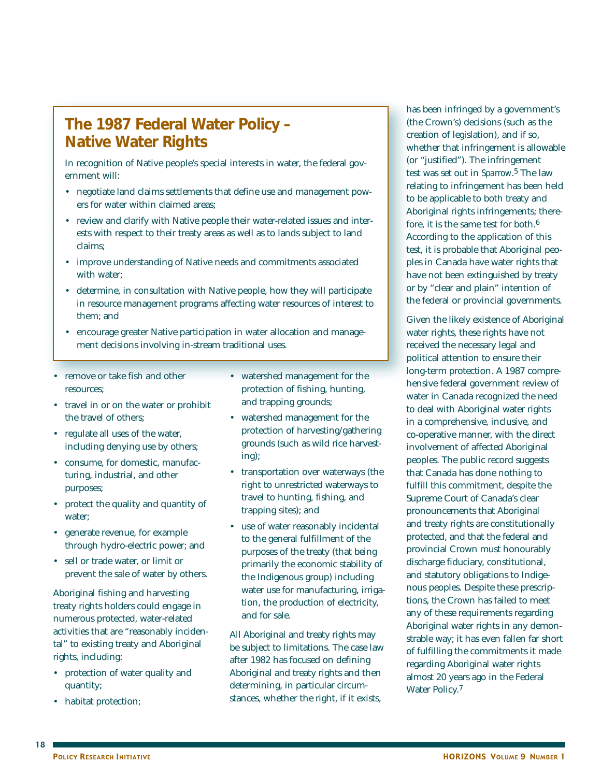# **The 1987 Federal Water Policy – Native Water Rights**

In recognition of Native people's special interests in water, the federal government will:

- negotiate land claims settlements that define use and management powers for water within claimed areas;
- review and clarify with Native people their water-related issues and interests with respect to their treaty areas as well as to lands subject to land claims;
- improve understanding of Native needs and commitments associated with water;
- determine, in consultation with Native people, how they will participate in resource management programs affecting water resources of interest to them; and
- encourage greater Native participation in water allocation and management decisions involving in-stream traditional uses.
- remove or take fish and other resources;
- travel in or on the water or prohibit the travel of others;
- regulate all uses of the water, including denying use by others;
- consume, for domestic, manufacturing, industrial, and other purposes;
- protect the quality and quantity of water;
- generate revenue, for example through hydro-electric power; and
- sell or trade water, or limit or prevent the sale of water by others.

Aboriginal fishing and harvesting treaty rights holders could engage in numerous protected, water-related activities that are "reasonably incidental" to existing treaty and Aboriginal rights, including:

- protection of water quality and quantity;
- habitat protection;
- watershed management for the protection of fishing, hunting, and trapping grounds;
- watershed management for the protection of harvesting/gathering grounds (such as wild rice harvesting);
- transportation over waterways (the right to unrestricted waterways to travel to hunting, fishing, and trapping sites); and
- use of water reasonably incidental to the general fulfillment of the purposes of the treaty (that being primarily the economic stability of the Indigenous group) including water use for manufacturing, irrigation, the production of electricity, and for sale.

All Aboriginal and treaty rights may be subject to limitations. The case law after 1982 has focused on defining Aboriginal and treaty rights and then determining, in particular circumstances, whether the right, if it exists,

has been infringed by a government's (the Crown's) decisions (such as the creation of legislation), and if so, whether that infringement is allowable (or "justified"). The infringement test was set out in *Sparrow*.5 The law relating to infringement has been held to be applicable to both treaty and Aboriginal rights infringements; therefore, it is the same test for both.6 According to the application of this test, it is probable that Aboriginal peoples in Canada have water rights that have not been extinguished by treaty or by "clear and plain" intention of the federal or provincial governments.

Given the likely existence of Aboriginal water rights, these rights have not received the necessary legal and political attention to ensure their long-term protection. A 1987 comprehensive federal government review of water in Canada recognized the need to deal with Aboriginal water rights in a comprehensive, inclusive, and co-operative manner, with the direct involvement of affected Aboriginal peoples. The public record suggests that Canada has done nothing to fulfill this commitment, despite the Supreme Court of Canada's clear pronouncements that Aboriginal and treaty rights are constitutionally protected, and that the federal and provincial Crown must honourably discharge fiduciary, constitutional, and statutory obligations to Indigenous peoples. Despite these prescriptions, the Crown has failed to meet any of these requirements regarding Aboriginal water rights in any demonstrable way; it has even fallen far short of fulfilling the commitments it made regarding Aboriginal water rights almost 20 years ago in the Federal Water Policy.7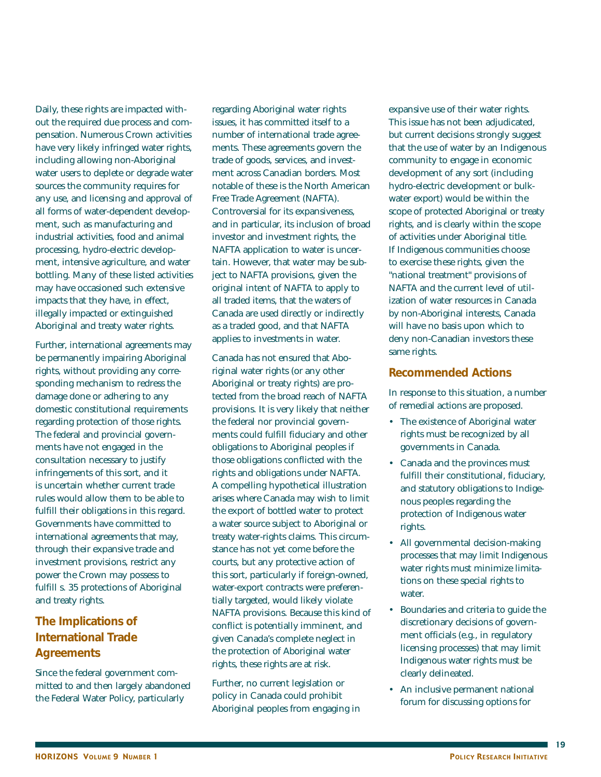Daily, these rights are impacted without the required due process and compensation. Numerous Crown activities have very likely infringed water rights, including allowing non-Aboriginal water users to deplete or degrade water sources the community requires for any use, and licensing and approval of all forms of water-dependent development, such as manufacturing and industrial activities, food and animal processing, hydro-electric development, intensive agriculture, and water bottling. Many of these listed activities may have occasioned such extensive impacts that they have, in effect, illegally impacted or extinguished Aboriginal and treaty water rights.

Further, international agreements may be permanently impairing Aboriginal rights, without providing any corresponding mechanism to redress the damage done or adhering to any domestic constitutional requirements regarding protection of those rights. The federal and provincial governments have not engaged in the consultation necessary to justify infringements of this sort, and it is uncertain whether current trade rules would allow them to be able to fulfill their obligations in this regard. Governments have committed to international agreements that may, through their expansive trade and investment provisions, restrict any power the Crown may possess to fulfill s. 35 protections of Aboriginal and treaty rights.

# **The Implications of International Trade Agreements**

Since the federal government committed to and then largely abandoned the Federal Water Policy, particularly

regarding Aboriginal water rights issues, it has committed itself to a number of international trade agreements. These agreements govern the trade of goods, services, and investment across Canadian borders. Most notable of these is the North American Free Trade Agreement (NAFTA). Controversial for its expansiveness, and in particular, its inclusion of broad investor and investment rights, the NAFTA application to water is uncertain. However, that water may be subject to NAFTA provisions, given the original intent of NAFTA to apply to all traded items, that the waters of Canada are used directly or indirectly as a traded good, and that NAFTA applies to investments in water.

Canada has not ensured that Aboriginal water rights (or any other Aboriginal or treaty rights) are protected from the broad reach of NAFTA provisions. It is very likely that neither the federal nor provincial governments could fulfill fiduciary and other obligations to Aboriginal peoples if those obligations conflicted with the rights and obligations under NAFTA. A compelling hypothetical illustration arises where Canada may wish to limit the export of bottled water to protect a water source subject to Aboriginal or treaty water-rights claims. This circumstance has not yet come before the courts, but any protective action of this sort, particularly if foreign-owned, water-export contracts were preferentially targeted, would likely violate NAFTA provisions. Because this kind of conflict is potentially imminent, and given Canada's complete neglect in the protection of Aboriginal water rights, these rights are at risk.

Further, no current legislation or policy in Canada could prohibit Aboriginal peoples from engaging in expansive use of their water rights. This issue has not been adjudicated, but current decisions strongly suggest that the use of water by an Indigenous community to engage in economic development of any sort (including hydro-electric development or bulkwater export) would be within the scope of protected Aboriginal or treaty rights, and is clearly within the scope of activities under Aboriginal title. If Indigenous communities choose to exercise these rights, given the "national treatment" provisions of NAFTA and the current level of utilization of water resources in Canada by non-Aboriginal interests, Canada will have no basis upon which to deny non-Canadian investors these same rights.

### **Recommended Actions**

In response to this situation, a number of remedial actions are proposed.

- The existence of Aboriginal water rights must be recognized by all governments in Canada.
- Canada and the provinces must fulfill their constitutional, fiduciary, and statutory obligations to Indigenous peoples regarding the protection of Indigenous water rights.
- All governmental decision-making processes that may limit Indigenous water rights must minimize limitations on these special rights to water.
- Boundaries and criteria to guide the discretionary decisions of government officials (e.g., in regulatory licensing processes) that may limit Indigenous water rights must be clearly delineated.
- An inclusive permanent national forum for discussing options for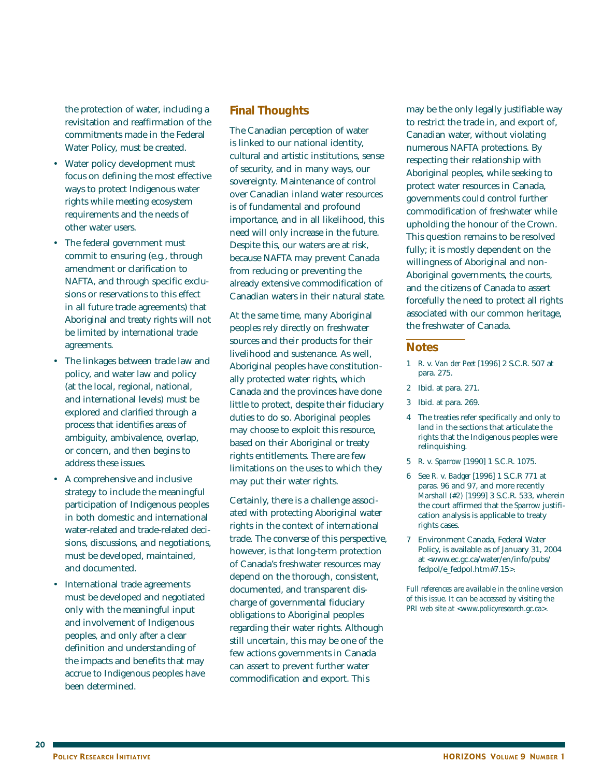the protection of water, including a revisitation and reaffirmation of the commitments made in the Federal Water Policy, must be created.

- Water policy development must focus on defining the most effective ways to protect Indigenous water rights while meeting ecosystem requirements and the needs of other water users.
- The federal government must commit to ensuring (e.g., through amendment or clarification to NAFTA, and through specific exclusions or reservations to this effect in all future trade agreements) that Aboriginal and treaty rights will not be limited by international trade agreements.
- The linkages between trade law and policy, and water law and policy (at the local, regional, national, and international levels) must be explored and clarified through a process that identifies areas of ambiguity, ambivalence, overlap, or concern, and then begins to address these issues.
- A comprehensive and inclusive strategy to include the meaningful participation of Indigenous peoples in both domestic and international water-related and trade-related decisions, discussions, and negotiations, must be developed, maintained, and documented.
- International trade agreements must be developed and negotiated only with the meaningful input and involvement of Indigenous peoples, and only after a clear definition and understanding of the impacts and benefits that may accrue to Indigenous peoples have been determined.

### **Final Thoughts**

The Canadian perception of water is linked to our national identity, cultural and artistic institutions, sense of security, and in many ways, our sovereignty. Maintenance of control over Canadian inland water resources is of fundamental and profound importance, and in all likelihood, this need will only increase in the future. Despite this, our waters are at risk, because NAFTA may prevent Canada from reducing or preventing the already extensive commodification of Canadian waters in their natural state.

At the same time, many Aboriginal peoples rely directly on freshwater sources and their products for their livelihood and sustenance. As well, Aboriginal peoples have constitutionally protected water rights, which Canada and the provinces have done little to protect, despite their fiduciary duties to do so. Aboriginal peoples may choose to exploit this resource, based on their Aboriginal or treaty rights entitlements. There are few limitations on the uses to which they may put their water rights.

Certainly, there is a challenge associated with protecting Aboriginal water rights in the context of international trade. The converse of this perspective, however, is that long-term protection of Canada's freshwater resources may depend on the thorough, consistent, documented, and transparent discharge of governmental fiduciary obligations to Aboriginal peoples regarding their water rights. Although still uncertain, this may be one of the few actions governments in Canada can assert to prevent further water commodification and export. This

may be the only legally justifiable way to restrict the trade in, and export of, Canadian water, without violating numerous NAFTA protections. By respecting their relationship with Aboriginal peoples, while seeking to protect water resources in Canada, governments could control further commodification of freshwater while upholding the honour of the Crown. This question remains to be resolved fully; it is mostly dependent on the willingness of Aboriginal and non-Aboriginal governments, the courts, and the citizens of Canada to assert forcefully the need to protect all rights associated with our common heritage, the freshwater of Canada.

#### **Notes**

- 1 *R.* v. *Van der Peet* [1996] 2 S.C.R. 507 at para. 275.
- 2 Ibid. at para. 271.
- 3 Ibid. at para. 269.
- 4 The treaties refer specifically and only to land in the sections that articulate the rights that the Indigenous peoples were relinquishing.
- 5 *R.* v. *Sparrow* [1990] 1 S.C.R. 1075.
- 6 See *R.* v. *Badger* [1996] 1 S.C.R 771 at paras. 96 and 97, and more recently *Marshall (#2)* [1999] 3 S.C.R. 533, wherein the court affirmed that the *Sparrow* justification analysis is applicable to treaty rights cases.
- 7 Environment Canada, Federal Water Policy, is available as of January 31, 2004 at <www.ec.gc.ca/water/en/info/pubs/ fedpol/e\_fedpol.htm#7.15>.

*Full references are available in the online version of this issue. It can be accessed by visiting the PRI web site at <www.policyresearch.gc.ca>.*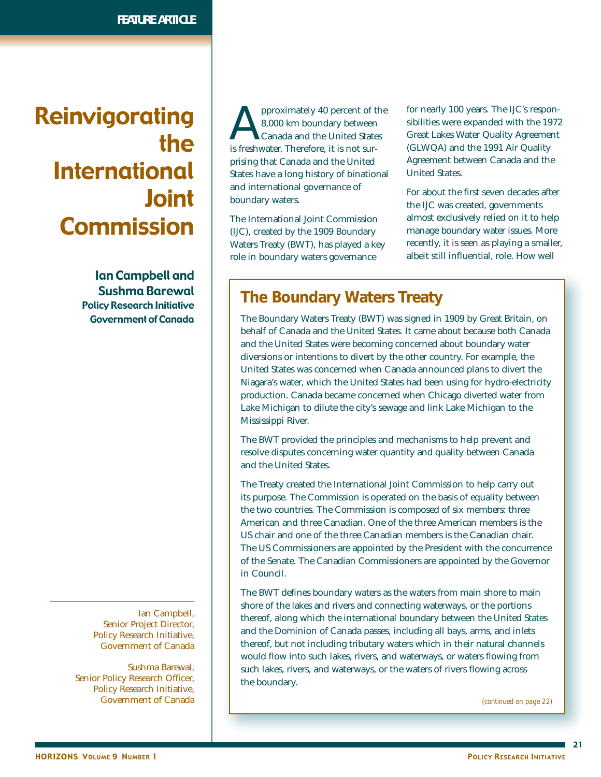# Reinvigorating the International Joint **Commission**

Ian Campbell and Sushma Barewal Policy Research Initiative Government of Canada

Ian Campbell, Senior Project Director, Policy Research Initiative, Government of Canada

Sushma Barewal, Senior Policy Research Officer, Policy Research Initiative, Government of Canada

pproximately 40 percent of the 8,000 km boundary between Canada and the United States is freshwater. Therefore, it is not surprising that Canada and the United States have a long history of binational and international governance of boundary waters.

The International Joint Commission (IJC), created by the 1909 Boundary Waters Treaty (BWT), has played a key role in boundary waters governance

for nearly 100 years. The IJC's responsibilities were expanded with the 1972 Great Lakes Water Quality Agreement (GLWQA) and the 1991 Air Quality Agreement between Canada and the United States.

For about the first seven decades after the IJC was created, governments almost exclusively relied on it to help manage boundary water issues. More recently, it is seen as playing a smaller, albeit still influential, role. How well

# **The Boundary Waters Treaty**

The Boundary Waters Treaty (BWT) was signed in 1909 by Great Britain, on behalf of Canada and the United States. It came about because both Canada and the United States were becoming concerned about boundary water diversions or intentions to divert by the other country. For example, the United States was concerned when Canada announced plans to divert the Niagara's water, which the United States had been using for hydro-electricity production. Canada became concerned when Chicago diverted water from Lake Michigan to dilute the city's sewage and link Lake Michigan to the Mississippi River.

The BWT provided the principles and mechanisms to help prevent and resolve disputes concerning water quantity and quality between Canada and the United States.

The Treaty created the International Joint Commission to help carry out its purpose. The Commission is operated on the basis of equality between the two countries. The Commission is composed of six members: three American and three Canadian. One of the three American members is the US chair and one of the three Canadian members is the Canadian chair. The US Commissioners are appointed by the President with the concurrence of the Senate. The Canadian Commissioners are appointed by the Governor in Council.

The BWT defines boundary waters as the waters from main shore to main shore of the lakes and rivers and connecting waterways, or the portions thereof, along which the international boundary between the United States and the Dominion of Canada passes, including all bays, arms, and inlets thereof, but not including tributary waters which in their natural channels would flow into such lakes, rivers, and waterways, or waters flowing from such lakes, rivers, and waterways, or the waters of rivers flowing across the boundary.

*(continued on page 22)*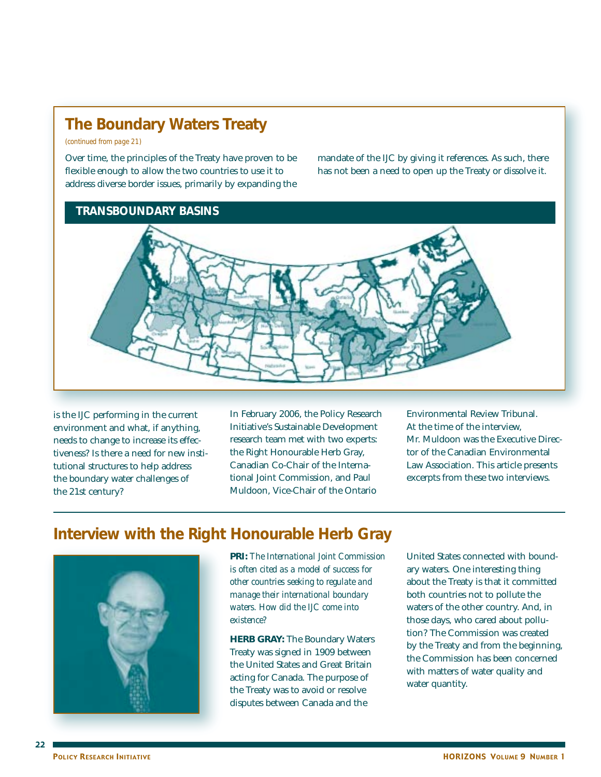# **The Boundary Waters Treaty**

*(continued from page 21)*

Over time, the principles of the Treaty have proven to be flexible enough to allow the two countries to use it to address diverse border issues, primarily by expanding the mandate of the IJC by giving it references. As such, there has not been a need to open up the Treaty or dissolve it.

## **TRANSBOUNDARY BASINS**



is the IJC performing in the current environment and what, if anything, needs to change to increase its effectiveness? Is there a need for new institutional structures to help address the boundary water challenges of the 21st century?

In February 2006, the Policy Research Initiative's Sustainable Development research team met with two experts: the Right Honourable Herb Gray, Canadian Co-Chair of the International Joint Commission, and Paul Muldoon, Vice-Chair of the Ontario

Environmental Review Tribunal. At the time of the interview, Mr. Muldoon was the Executive Director of the Canadian Environmental Law Association. This article presents excerpts from these two interviews.

# **Interview with the Right Honourable Herb Gray**



**PRI:** *The International Joint Commission is often cited as a model of success for other countries seeking to regulate and manage their international boundary waters. How did the IJC come into existence?*

**HERB GRAY:** The Boundary Waters Treaty was signed in 1909 between the United States and Great Britain acting for Canada. The purpose of the Treaty was to avoid or resolve disputes between Canada and the

United States connected with boundary waters. One interesting thing about the Treaty is that it committed both countries not to pollute the waters of the other country. And, in those days, who cared about pollution? The Commission was created by the Treaty and from the beginning, the Commission has been concerned with matters of water quality and water quantity.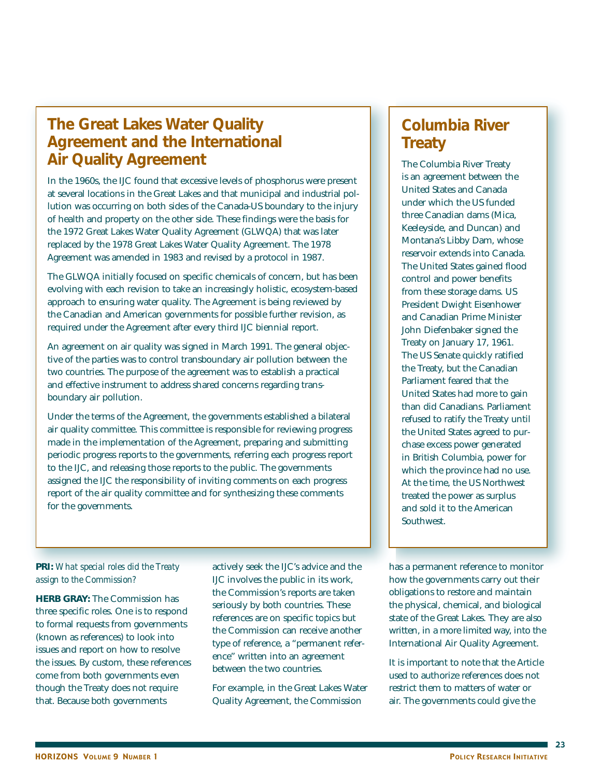# **The Great Lakes Water Quality Agreement and the International Air Quality Agreement**

In the 1960s, the IJC found that excessive levels of phosphorus were present at several locations in the Great Lakes and that municipal and industrial pollution was occurring on both sides of the Canada-US boundary to the injury of health and property on the other side. These findings were the basis for the 1972 Great Lakes Water Quality Agreement (GLWQA) that was later replaced by the 1978 Great Lakes Water Quality Agreement. The 1978 Agreement was amended in 1983 and revised by a protocol in 1987.

The GLWQA initially focused on specific chemicals of concern, but has been evolving with each revision to take an increasingly holistic, ecosystem-based approach to ensuring water quality. The Agreement is being reviewed by the Canadian and American governments for possible further revision, as required under the Agreement after every third IJC biennial report.

An agreement on air quality was signed in March 1991. The general objective of the parties was to control transboundary air pollution between the two countries. The purpose of the agreement was to establish a practical and effective instrument to address shared concerns regarding transboundary air pollution.

Under the terms of the Agreement, the governments established a bilateral air quality committee. This committee is responsible for reviewing progress made in the implementation of the Agreement, preparing and submitting periodic progress reports to the governments, referring each progress report to the IJC, and releasing those reports to the public. The governments assigned the IJC the responsibility of inviting comments on each progress report of the air quality committee and for synthesizing these comments for the governments.

### **PRI:** *What special roles did the Treaty assign to the Commission?*

**HERB GRAY:** The Commission has three specific roles. One is to respond to formal requests from governments (known as references) to look into issues and report on how to resolve the issues. By custom, these references come from both governments even though the Treaty does not require that. Because both governments

actively seek the IJC's advice and the IJC involves the public in its work, the Commission's reports are taken seriously by both countries. These references are on specific topics but the Commission can receive another type of reference, a "permanent reference" written into an agreement between the two countries.

For example, in the Great Lakes Water Quality Agreement, the Commission

# **Columbia River Treaty**

The Columbia River Treaty is an agreement between the United States and Canada under which the US funded three Canadian dams (Mica, Keeleyside, and Duncan) and Montana's Libby Dam, whose reservoir extends into Canada. The United States gained flood control and power benefits from these storage dams. US President Dwight Eisenhower and Canadian Prime Minister John Diefenbaker signed the Treaty on January 17, 1961. The US Senate quickly ratified the Treaty, but the Canadian Parliament feared that the United States had more to gain than did Canadians. Parliament refused to ratify the Treaty until the United States agreed to purchase excess power generated in British Columbia, power for which the province had no use. At the time, the US Northwest treated the power as surplus and sold it to the American Southwest.

has a permanent reference to monitor how the governments carry out their obligations to restore and maintain the physical, chemical, and biological state of the Great Lakes. They are also written, in a more limited way, into the International Air Quality Agreement.

It is important to note that the Article used to authorize references does not restrict them to matters of water or air. The governments could give the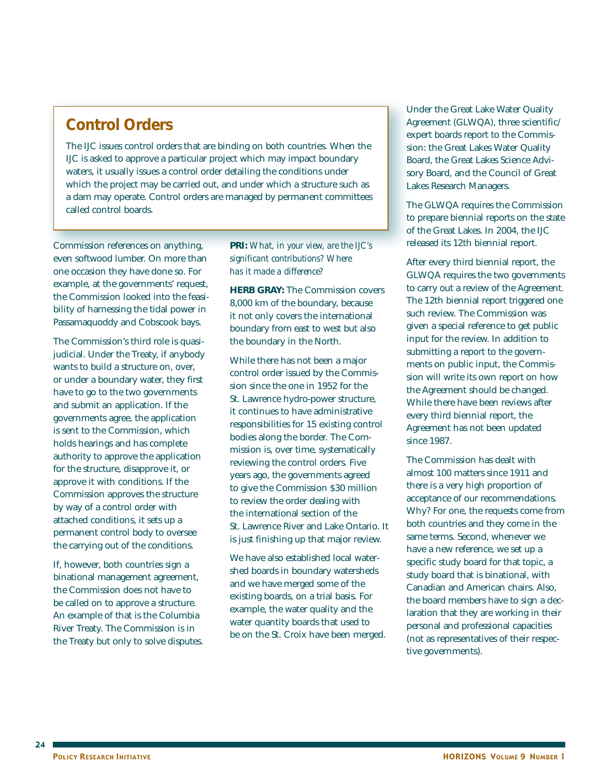# **Control Orders**

The IJC issues control orders that are binding on both countries. When the IJC is asked to approve a particular project which may impact boundary waters, it usually issues a control order detailing the conditions under which the project may be carried out, and under which a structure such as a dam may operate. Control orders are managed by permanent committees called control boards.

Commission references on anything, even softwood lumber. On more than one occasion they have done so. For example, at the governments' request, the Commission looked into the feasibility of harnessing the tidal power in Passamaquoddy and Cobscook bays.

The Commission's third role is quasijudicial. Under the Treaty, if anybody wants to build a structure on, over, or under a boundary water, they first have to go to the two governments and submit an application. If the governments agree, the application is sent to the Commission, which holds hearings and has complete authority to approve the application for the structure, disapprove it, or approve it with conditions. If the Commission approves the structure by way of a control order with attached conditions, it sets up a permanent control body to oversee the carrying out of the conditions.

If, however, both countries sign a binational management agreement, the Commission does not have to be called on to approve a structure. An example of that is the Columbia River Treaty. The Commission is in the Treaty but only to solve disputes. **PRI:** *What, in your view, are the IJC's significant contributions? Where has it made a difference?*

**HERB GRAY:** The Commission covers 8,000 km of the boundary, because it not only covers the international boundary from east to west but also the boundary in the North.

While there has not been a major control order issued by the Commission since the one in 1952 for the St. Lawrence hydro-power structure, it continues to have administrative responsibilities for 15 existing control bodies along the border. The Commission is, over time, systematically reviewing the control orders. Five years ago, the governments agreed to give the Commission \$30 million to review the order dealing with the international section of the St. Lawrence River and Lake Ontario. It is just finishing up that major review.

We have also established local watershed boards in boundary watersheds and we have merged some of the existing boards, on a trial basis. For example, the water quality and the water quantity boards that used to be on the St. Croix have been merged. Under the Great Lake Water Quality Agreement (GLWQA), three scientific/ expert boards report to the Commission: the Great Lakes Water Quality Board, the Great Lakes Science Advisory Board, and the Council of Great Lakes Research Managers.

The GLWQA requires the Commission to prepare biennial reports on the state of the Great Lakes. In 2004, the IJC released its 12th biennial report.

After every third biennial report, the GLWQA requires the two governments to carry out a review of the Agreement. The 12th biennial report triggered one such review. The Commission was given a special reference to get public input for the review. In addition to submitting a report to the governments on public input, the Commission will write its own report on how the Agreement should be changed. While there have been reviews after every third biennial report, the Agreement has not been updated since 1987.

The Commission has dealt with almost 100 matters since 1911 and there is a very high proportion of acceptance of our recommendations. Why? For one, the requests come from both countries and they come in the same terms. Second, whenever we have a new reference, we set up a specific study board for that topic, a study board that is binational, with Canadian and American chairs. Also, the board members have to sign a declaration that they are working in their personal and professional capacities (not as representatives of their respective governments).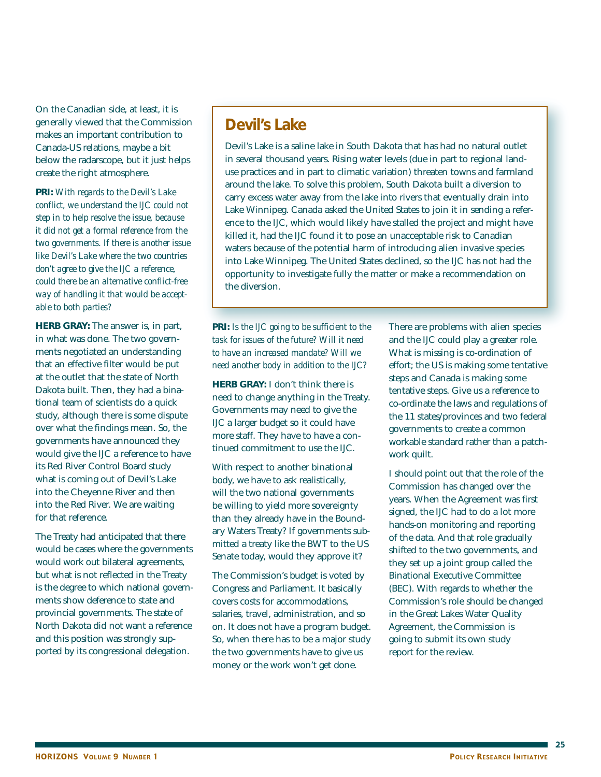On the Canadian side, at least, it is generally viewed that the Commission makes an important contribution to Canada-US relations, maybe a bit below the radarscope, but it just helps create the right atmosphere.

**PRI:** *With regards to the Devil's Lake conflict, we understand the IJC could not step in to help resolve the issue, because it did not get a formal reference from the two governments. If there is another issue like Devil's Lake where the two countries don't agree to give the IJC a reference, could there be an alternative conflict-free way of handling it that would be acceptable to both parties?*

**HERB GRAY:** The answer is, in part, in what was done. The two governments negotiated an understanding that an effective filter would be put at the outlet that the state of North Dakota built. Then, they had a binational team of scientists do a quick study, although there is some dispute over what the findings mean. So, the governments have announced they would give the IJC a reference to have its Red River Control Board study what is coming out of Devil's Lake into the Cheyenne River and then into the Red River. We are waiting for that reference.

The Treaty had anticipated that there would be cases where the governments would work out bilateral agreements, but what is not reflected in the Treaty is the degree to which national governments show deference to state and provincial governments. The state of North Dakota did not want a reference and this position was strongly supported by its congressional delegation.

# **Devil's Lake**

Devil's Lake is a saline lake in South Dakota that has had no natural outlet in several thousand years. Rising water levels (due in part to regional landuse practices and in part to climatic variation) threaten towns and farmland around the lake. To solve this problem, South Dakota built a diversion to carry excess water away from the lake into rivers that eventually drain into Lake Winnipeg. Canada asked the United States to join it in sending a reference to the IJC, which would likely have stalled the project and might have killed it, had the IJC found it to pose an unacceptable risk to Canadian waters because of the potential harm of introducing alien invasive species into Lake Winnipeg. The United States declined, so the IJC has not had the opportunity to investigate fully the matter or make a recommendation on the diversion.

**PRI:** *Is the IJC going to be sufficient to the task for issues of the future? Will it need to have an increased mandate? Will we need another body in addition to the IJC?*

**HERB GRAY:** I don't think there is need to change anything in the Treaty. Governments may need to give the IJC a larger budget so it could have more staff. They have to have a continued commitment to use the IJC.

With respect to another binational body, we have to ask realistically, will the two national governments be willing to yield more sovereignty than they already have in the Boundary Waters Treaty? If governments submitted a treaty like the BWT to the US Senate today, would they approve it?

The Commission's budget is voted by Congress and Parliament. It basically covers costs for accommodations, salaries, travel, administration, and so on. It does not have a program budget. So, when there has to be a major study the two governments have to give us money or the work won't get done.

There are problems with alien species and the IJC could play a greater role. What is missing is co-ordination of effort; the US is making some tentative steps and Canada is making some tentative steps. Give us a reference to co-ordinate the laws and regulations of the 11 states/provinces and two federal governments to create a common workable standard rather than a patchwork quilt.

I should point out that the role of the Commission has changed over the years. When the Agreement was first signed, the IJC had to do a lot more hands-on monitoring and reporting of the data. And that role gradually shifted to the two governments, and they set up a joint group called the Binational Executive Committee (BEC). With regards to whether the Commission's role should be changed in the Great Lakes Water Quality Agreement, the Commission is going to submit its own study report for the review.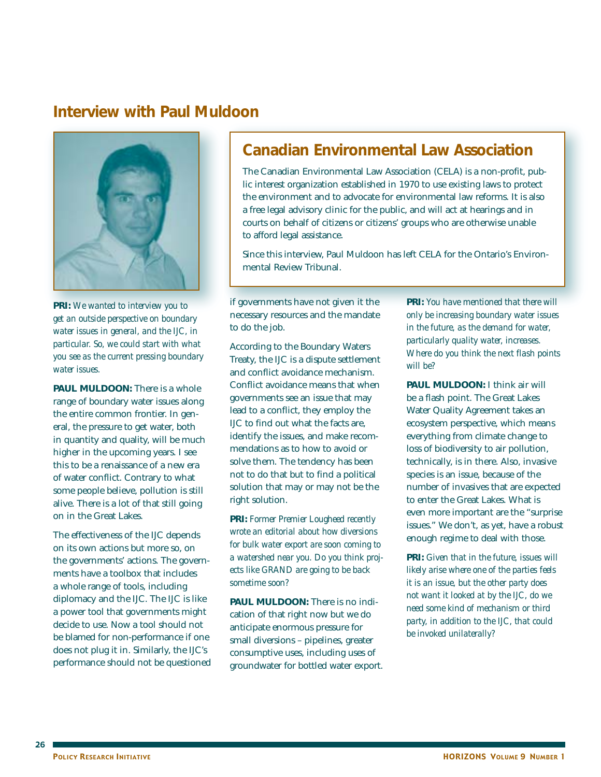# **Interview with Paul Muldoon**



**PRI:** *We wanted to interview you to get an outside perspective on boundary water issues in general, and the IJC, in particular. So, we could start with what you see as the current pressing boundary water issues.*

**PAUL MULDOON:** There is a whole range of boundary water issues along the entire common frontier. In general, the pressure to get water, both in quantity and quality, will be much higher in the upcoming years. I see this to be a renaissance of a new era of water conflict. Contrary to what some people believe, pollution is still alive. There is a lot of that still going on in the Great Lakes.

The effectiveness of the IJC depends on its own actions but more so, on the governments' actions. The governments have a toolbox that includes a whole range of tools, including diplomacy and the IJC. The IJC is like a power tool that governments might decide to use. Now a tool should not be blamed for non-performance if one does not plug it in. Similarly, the IJC's performance should not be questioned

# **Canadian Environmental Law Association**

The Canadian Environmental Law Association (CELA) is a non-profit, public interest organization established in 1970 to use existing laws to protect the environment and to advocate for environmental law reforms. It is also a free legal advisory clinic for the public, and will act at hearings and in courts on behalf of citizens or citizens' groups who are otherwise unable to afford legal assistance.

Since this interview, Paul Muldoon has left CELA for the Ontario's Environmental Review Tribunal.

if governments have not given it the necessary resources and the mandate to do the job.

According to the Boundary Waters Treaty, the IJC is a dispute settlement and conflict avoidance mechanism. Conflict avoidance means that when governments see an issue that may lead to a conflict, they employ the IJC to find out what the facts are, identify the issues, and make recommendations as to how to avoid or solve them. The tendency has been not to do that but to find a political solution that may or may not be the right solution.

**PRI:** *Former Premier Lougheed recently wrote an editorial about how diversions for bulk water export are soon coming to a watershed near you. Do you think projects like GRAND are going to be back sometime soon?*

**PAUL MULDOON:** There is no indication of that right now but we do anticipate enormous pressure for small diversions – pipelines, greater consumptive uses, including uses of groundwater for bottled water export. **PRI:** *You have mentioned that there will only be increasing boundary water issues in the future, as the demand for water, particularly quality water, increases. Where do you think the next flash points will be?*

**PAUL MULDOON:** I think air will be a flash point. The Great Lakes Water Quality Agreement takes an ecosystem perspective, which means everything from climate change to loss of biodiversity to air pollution, technically, is in there. Also, invasive species is an issue, because of the number of invasives that are expected to enter the Great Lakes. What is even more important are the "surprise issues." We don't, as yet, have a robust enough regime to deal with those.

**PRI:** *Given that in the future, issues will likely arise where one of the parties feels it is an issue, but the other party does not want it looked at by the IJC, do we need some kind of mechanism or third party, in addition to the IJC, that could be invoked unilaterally?*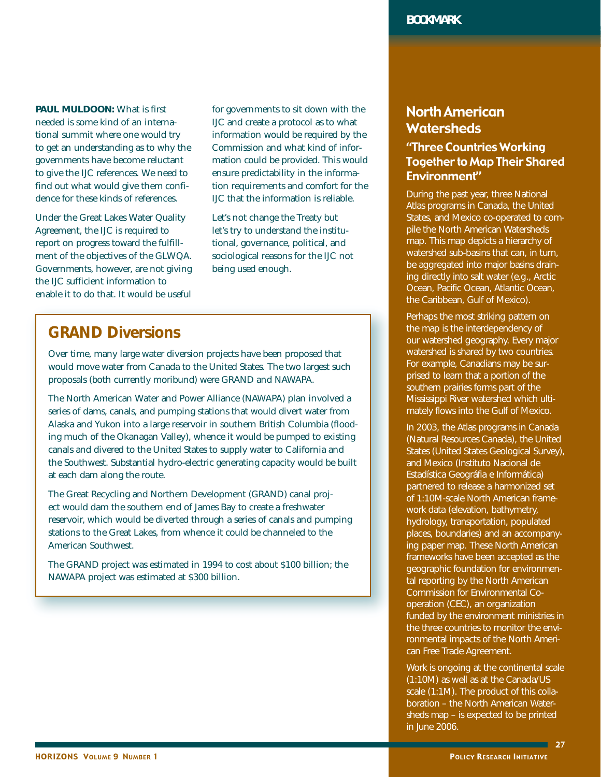**PAUL MULDOON:** What is first needed is some kind of an international summit where one would try to get an understanding as to why the governments have become reluctant to give the IJC references. We need to find out what would give them confidence for these kinds of references.

Under the Great Lakes Water Quality Agreement, the IJC is required to report on progress toward the fulfillment of the objectives of the GLWQA. Governments, however, are not giving the IJC sufficient information to enable it to do that. It would be useful

for governments to sit down with the IJC and create a protocol as to what information would be required by the Commission and what kind of information could be provided. This would ensure predictability in the information requirements and comfort for the IJC that the information is reliable.

Let's not change the Treaty but let's try to understand the institutional, governance, political, and sociological reasons for the IJC not being used enough.

# **GRAND Diversions**

Over time, many large water diversion projects have been proposed that would move water from Canada to the United States. The two largest such proposals (both currently moribund) were GRAND and NAWAPA.

The North American Water and Power Alliance (NAWAPA) plan involved a series of dams, canals, and pumping stations that would divert water from Alaska and Yukon into a large reservoir in southern British Columbia (flooding much of the Okanagan Valley), whence it would be pumped to existing canals and divered to the United States to supply water to California and the Southwest. Substantial hydro-electric generating capacity would be built at each dam along the route.

The Great Recycling and Northern Development (GRAND) canal project would dam the southern end of James Bay to create a freshwater reservoir, which would be diverted through a series of canals and pumping stations to the Great Lakes, from whence it could be channeled to the American Southwest.

The GRAND project was estimated in 1994 to cost about \$100 billion; the NAWAPA project was estimated at \$300 billion.

# North American **Watersheds**

## "Three Countries Working Together to Map Their Shared Environment"

During the past year, three National Atlas programs in Canada, the United States, and Mexico co-operated to compile the North American Watersheds map. This map depicts a hierarchy of watershed sub-basins that can, in turn, be aggregated into major basins draining directly into salt water (e.g., Arctic Ocean, Pacific Ocean, Atlantic Ocean, the Caribbean, Gulf of Mexico).

Perhaps the most striking pattern on the map is the interdependency of our watershed geography. Every major watershed is shared by two countries. For example, Canadians may be surprised to learn that a portion of the southern prairies forms part of the Mississippi River watershed which ultimately flows into the Gulf of Mexico.

In 2003, the Atlas programs in Canada (Natural Resources Canada), the United States (United States Geological Survey), and Mexico (Instituto Nacional de Estadística Geográfia e Informática) partnered to release a harmonized set of 1:10M-scale North American framework data (elevation, bathymetry, hydrology, transportation, populated places, boundaries) and an accompanying paper map. These North American frameworks have been accepted as the geographic foundation for environmental reporting by the North American Commission for Environmental Cooperation (CEC), an organization funded by the environment ministries in the three countries to monitor the environmental impacts of the North American Free Trade Agreement.

Work is ongoing at the continental scale (1:10M) as well as at the Canada/US scale (1:1M). The product of this collaboration – the North American Watersheds map – is expected to be printed in June 2006.

 $\blacksquare$  27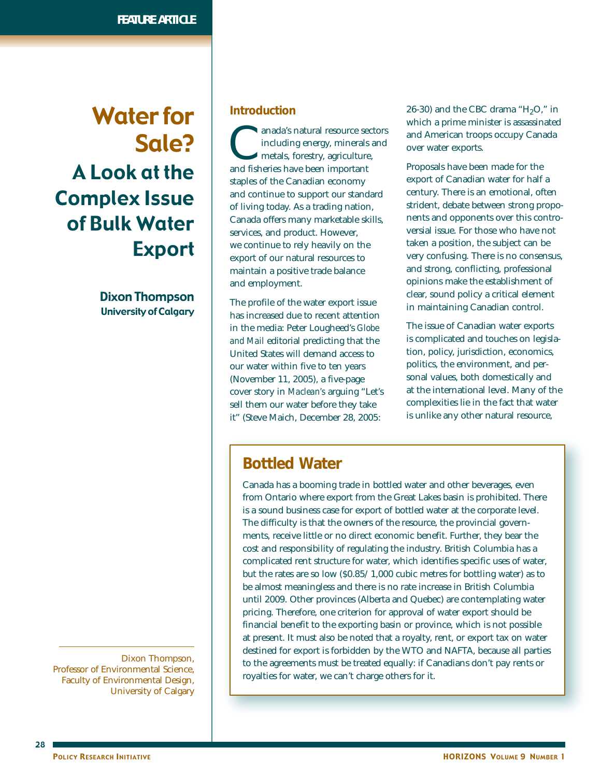# Water for Sale? A Look at the Complex Issue of Bulk Water Export

Dixon Thompson University of Calgary

Dixon Thompson, Professor of Environmental Science, Faculty of Environmental Design, University of Calgary

### **Introduction**

anada's natural resource sectors<br>including energy, minerals and<br>metals, forestry, agriculture,<br>and fisheries have been important including energy, minerals and metals, forestry, agriculture, and fisheries have been important staples of the Canadian economy and continue to support our standard of living today. As a trading nation, Canada offers many marketable skills, services, and product. However, we continue to rely heavily on the export of our natural resources to maintain a positive trade balance and employment.

The profile of the water export issue has increased due to recent attention in the media: Peter Lougheed's *Globe and Mail* editorial predicting that the United States will demand access to our water within five to ten years (November 11, 2005), a five-page cover story in *Maclean's* arguing "Let's sell them our water before they take it" (Steve Maich, December 28, 2005:

26-30) and the CBC drama " $H<sub>2</sub>O$ ," in which a prime minister is assassinated and American troops occupy Canada over water exports.

Proposals have been made for the export of Canadian water for half a century. There is an emotional, often strident, debate between strong proponents and opponents over this controversial issue. For those who have not taken a position, the subject can be very confusing. There is no consensus, and strong, conflicting, professional opinions make the establishment of clear, sound policy a critical element in maintaining Canadian control.

The issue of Canadian water exports is complicated and touches on legislation, policy, jurisdiction, economics, politics, the environment, and personal values, both domestically and at the international level. Many of the complexities lie in the fact that water is unlike any other natural resource,

# **Bottled Water**

Canada has a booming trade in bottled water and other beverages, even from Ontario where export from the Great Lakes basin is prohibited. There is a sound business case for export of bottled water at the corporate level. The difficulty is that the owners of the resource, the provincial governments, receive little or no direct economic benefit. Further, they bear the cost and responsibility of regulating the industry. British Columbia has a complicated rent structure for water, which identifies specific uses of water, but the rates are so low (\$0.85/ 1,000 cubic metres for bottling water) as to be almost meaningless and there is no rate increase in British Columbia until 2009. Other provinces (Alberta and Quebec) are contemplating water pricing. Therefore, one criterion for approval of water export should be financial benefit to the exporting basin or province, which is not possible at present. It must also be noted that a royalty, rent, or export tax on water destined for export is forbidden by the WTO and NAFTA, because all parties to the agreements must be treated equally: if Canadians don't pay rents or royalties for water, we can't charge others for it.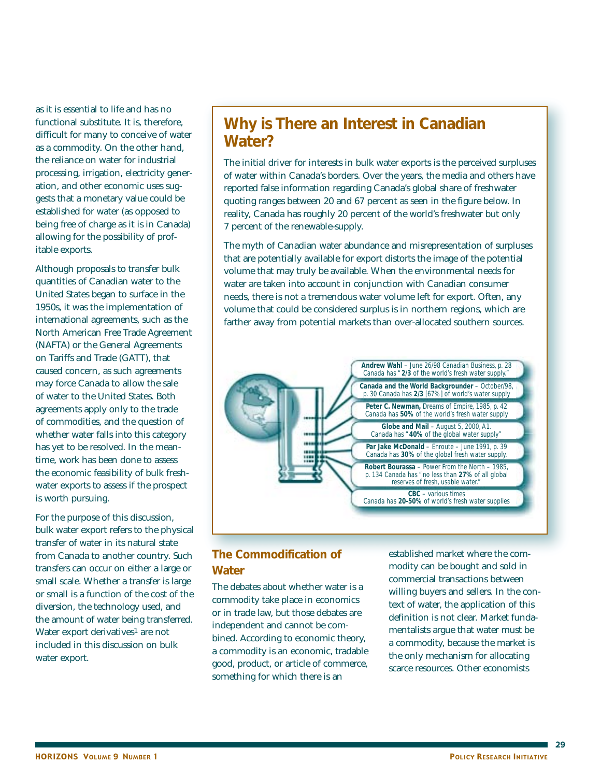as it is essential to life and has no functional substitute. It is, therefore, difficult for many to conceive of water as a commodity. On the other hand, the reliance on water for industrial processing, irrigation, electricity generation, and other economic uses suggests that a monetary value could be established for water (as opposed to being free of charge as it is in Canada) allowing for the possibility of profitable exports.

Although proposals to transfer bulk quantities of Canadian water to the United States began to surface in the 1950s, it was the implementation of international agreements, such as the North American Free Trade Agreement (NAFTA) or the General Agreements on Tariffs and Trade (GATT), that caused concern, as such agreements may force Canada to allow the sale of water to the United States. Both agreements apply only to the trade of commodities, and the question of whether water falls into this category has yet to be resolved. In the meantime, work has been done to assess the economic feasibility of bulk freshwater exports to assess if the prospect is worth pursuing.

For the purpose of this discussion, bulk water export refers to the physical transfer of water in its natural state from Canada to another country. Such transfers can occur on either a large or small scale. Whether a transfer is large or small is a function of the cost of the diversion, the technology used, and the amount of water being transferred. Water export derivatives<sup>1</sup> are not included in this discussion on bulk water export.

# **Why is There an Interest in Canadian Water?**

The initial driver for interests in bulk water exports is the perceived surpluses of water within Canada's borders. Over the years, the media and others have reported false information regarding Canada's global share of freshwater quoting ranges between 20 and 67 percent as seen in the figure below. In reality, Canada has roughly 20 percent of the world's freshwater but only 7 percent of the renewable-supply.

The myth of Canadian water abundance and misrepresentation of surpluses that are potentially available for export distorts the image of the potential volume that may truly be available. When the environmental needs for water are taken into account in conjunction with Canadian consumer needs, there is not a tremendous water volume left for export. Often, any volume that could be considered surplus is in northern regions, which are farther away from potential markets than over-allocated southern sources.



## **The Commodification of Water**

The debates about whether water is a commodity take place in economics or in trade law, but those debates are independent and cannot be combined. According to economic theory, a commodity is an economic, tradable good, product, or article of commerce, something for which there is an

established market where the commodity can be bought and sold in commercial transactions between willing buyers and sellers. In the context of water, the application of this definition is not clear. Market fundamentalists argue that water must be a commodity, because the market is the only mechanism for allocating scarce resources. Other economists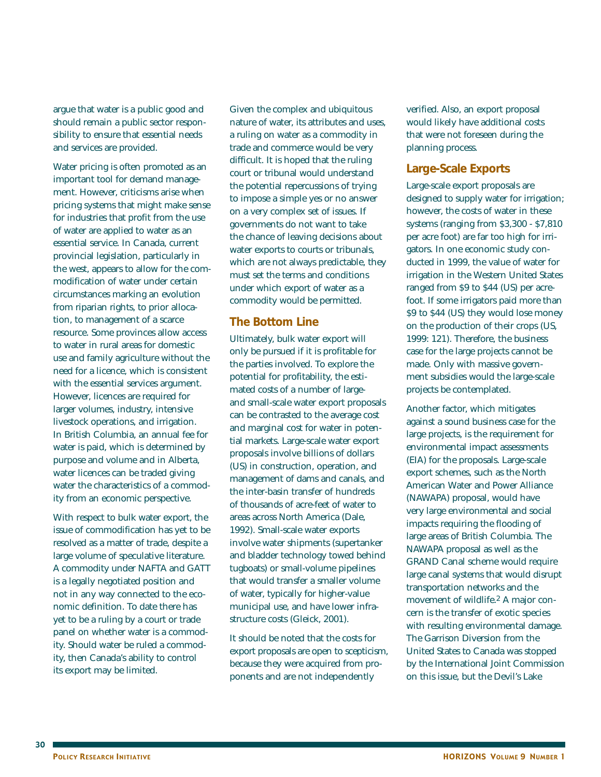argue that water is a public good and should remain a public sector responsibility to ensure that essential needs and services are provided.

Water pricing is often promoted as an important tool for demand management. However, criticisms arise when pricing systems that might make sense for industries that profit from the use of water are applied to water as an essential service. In Canada, current provincial legislation, particularly in the west, appears to allow for the commodification of water under certain circumstances marking an evolution from riparian rights, to prior allocation, to management of a scarce resource. Some provinces allow access to water in rural areas for domestic use and family agriculture without the need for a licence, which is consistent with the essential services argument. However, licences are required for larger volumes, industry, intensive livestock operations, and irrigation. In British Columbia, an annual fee for water is paid, which is determined by purpose and volume and in Alberta, water licences can be traded giving water the characteristics of a commodity from an economic perspective.

With respect to bulk water export, the issue of commodification has yet to be resolved as a matter of trade, despite a large volume of speculative literature. A commodity under NAFTA and GATT is a legally negotiated position and not in any way connected to the economic definition. To date there has yet to be a ruling by a court or trade panel on whether water is a commodity. Should water be ruled a commodity, then Canada's ability to control its export may be limited.

Given the complex and ubiquitous nature of water, its attributes and uses, a ruling on water as a commodity in trade and commerce would be very difficult. It is hoped that the ruling court or tribunal would understand the potential repercussions of trying to impose a simple yes or no answer on a very complex set of issues. If governments do not want to take the chance of leaving decisions about water exports to courts or tribunals, which are not always predictable, they must set the terms and conditions under which export of water as a commodity would be permitted.

### **The Bottom Line**

Ultimately, bulk water export will only be pursued if it is profitable for the parties involved. To explore the potential for profitability, the estimated costs of a number of largeand small-scale water export proposals can be contrasted to the average cost and marginal cost for water in potential markets. Large-scale water export proposals involve billions of dollars (US) in construction, operation, and management of dams and canals, and the inter-basin transfer of hundreds of thousands of acre-feet of water to areas across North America (Dale, 1992). Small-scale water exports involve water shipments (supertanker and bladder technology towed behind tugboats) or small-volume pipelines that would transfer a smaller volume of water, typically for higher-value municipal use, and have lower infrastructure costs (Gleick, 2001).

It should be noted that the costs for export proposals are open to scepticism, because they were acquired from proponents and are not independently

verified. Also, an export proposal would likely have additional costs that were not foreseen during the planning process.

## **Large-Scale Exports**

Large-scale export proposals are designed to supply water for irrigation; however, the costs of water in these systems (ranging from \$3,300 - \$7,810 per acre foot) are far too high for irrigators. In one economic study conducted in 1999, the value of water for irrigation in the Western United States ranged from \$9 to \$44 (US) per acrefoot. If some irrigators paid more than \$9 to \$44 (US) they would lose money on the production of their crops (US, 1999: 121). Therefore, the business case for the large projects cannot be made. Only with massive government subsidies would the large-scale projects be contemplated.

Another factor, which mitigates against a sound business case for the large projects, is the requirement for environmental impact assessments (EIA) for the proposals. Large-scale export schemes, such as the North American Water and Power Alliance (NAWAPA) proposal, would have very large environmental and social impacts requiring the flooding of large areas of British Columbia. The NAWAPA proposal as well as the GRAND Canal scheme would require large canal systems that would disrupt transportation networks and the movement of wildlife.2 A major concern is the transfer of exotic species with resulting environmental damage. The Garrison Diversion from the United States to Canada was stopped by the International Joint Commission on this issue, but the Devil's Lake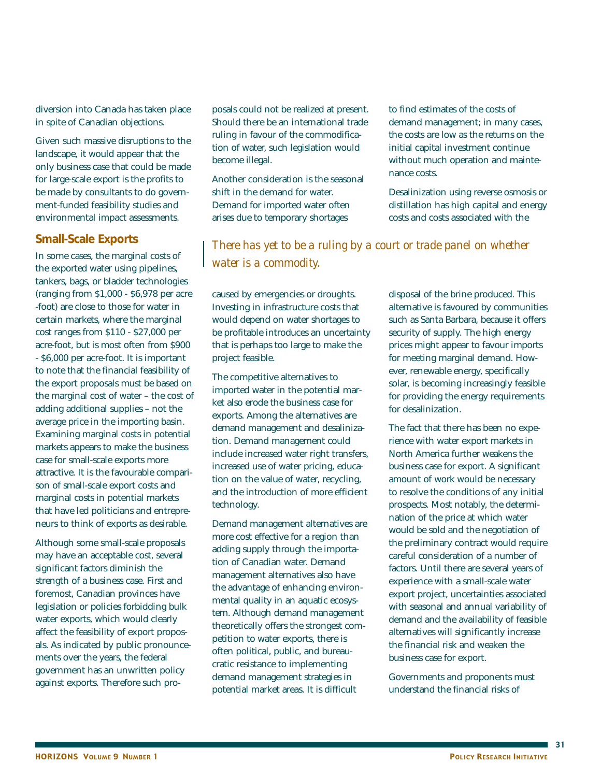diversion into Canada has taken place in spite of Canadian objections.

Given such massive disruptions to the landscape, it would appear that the only business case that could be made for large-scale export is the profits to be made by consultants to do government-funded feasibility studies and environmental impact assessments.

### **Small-Scale Exports**

In some cases, the marginal costs of the exported water using pipelines, tankers, bags, or bladder technologies (ranging from \$1,000 - \$6,978 per acre -foot) are close to those for water in certain markets, where the marginal cost ranges from \$110 - \$27,000 per acre-foot, but is most often from \$900 - \$6,000 per acre-foot. It is important to note that the financial feasibility of the export proposals must be based on the marginal cost of water – the cost of adding additional supplies – not the average price in the importing basin. Examining marginal costs in potential markets appears to make the business case for small-scale exports more attractive. It is the favourable comparison of small-scale export costs and marginal costs in potential markets that have led politicians and entrepreneurs to think of exports as desirable.

Although some small-scale proposals may have an acceptable cost, several significant factors diminish the strength of a business case. First and foremost, Canadian provinces have legislation or policies forbidding bulk water exports, which would clearly affect the feasibility of export proposals. As indicated by public pronouncements over the years, the federal government has an unwritten policy against exports. Therefore such pro-

posals could not be realized at present. Should there be an international trade ruling in favour of the commodification of water, such legislation would become illegal.

Another consideration is the seasonal shift in the demand for water. Demand for imported water often arises due to temporary shortages

to find estimates of the costs of demand management; in many cases, the costs are low as the returns on the initial capital investment continue without much operation and maintenance costs.

Desalinization using reverse osmosis or distillation has high capital and energy costs and costs associated with the

*There has yet to be a ruling by a court or trade panel on whether water is a commodity.*

caused by emergencies or droughts. Investing in infrastructure costs that would depend on water shortages to be profitable introduces an uncertainty that is perhaps too large to make the project feasible.

The competitive alternatives to imported water in the potential market also erode the business case for exports. Among the alternatives are demand management and desalinization. Demand management could include increased water right transfers, increased use of water pricing, education on the value of water, recycling, and the introduction of more efficient technology.

Demand management alternatives are more cost effective for a region than adding supply through the importation of Canadian water. Demand management alternatives also have the advantage of enhancing environmental quality in an aquatic ecosystem. Although demand management theoretically offers the strongest competition to water exports, there is often political, public, and bureaucratic resistance to implementing demand management strategies in potential market areas. It is difficult

disposal of the brine produced. This alternative is favoured by communities such as Santa Barbara, because it offers security of supply. The high energy prices might appear to favour imports for meeting marginal demand. However, renewable energy, specifically solar, is becoming increasingly feasible for providing the energy requirements for desalinization.

The fact that there has been no experience with water export markets in North America further weakens the business case for export. A significant amount of work would be necessary to resolve the conditions of any initial prospects. Most notably, the determination of the price at which water would be sold and the negotiation of the preliminary contract would require careful consideration of a number of factors. Until there are several years of experience with a small-scale water export project, uncertainties associated with seasonal and annual variability of demand and the availability of feasible alternatives will significantly increase the financial risk and weaken the business case for export.

Governments and proponents must understand the financial risks of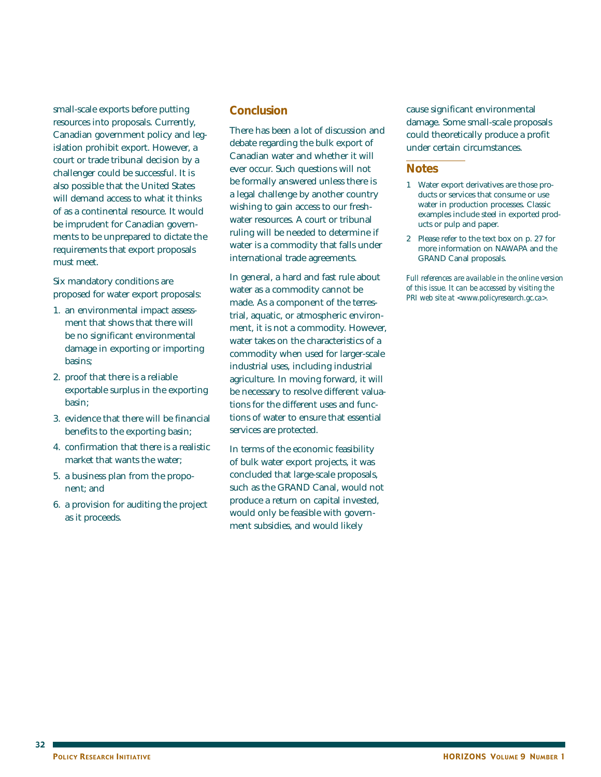small-scale exports before putting resources into proposals. Currently, Canadian government policy and legislation prohibit export. However, a court or trade tribunal decision by a challenger could be successful. It is also possible that the United States will demand access to what it thinks of as a continental resource. It would be imprudent for Canadian governments to be unprepared to dictate the requirements that export proposals must meet.

Six mandatory conditions are proposed for water export proposals:

- 1. an environmental impact assessment that shows that there will be no significant environmental damage in exporting or importing basins;
- 2. proof that there is a reliable exportable surplus in the exporting basin;
- 3. evidence that there will be financial benefits to the exporting basin;
- 4. confirmation that there is a realistic market that wants the water;
- 5. a business plan from the proponent; and
- 6. a provision for auditing the project as it proceeds.

### **Conclusion**

There has been a lot of discussion and debate regarding the bulk export of Canadian water and whether it will ever occur. Such questions will not be formally answered unless there is a legal challenge by another country wishing to gain access to our freshwater resources. A court or tribunal ruling will be needed to determine if water is a commodity that falls under international trade agreements.

In general, a hard and fast rule about water as a commodity cannot be made. As a component of the terrestrial, aquatic, or atmospheric environment, it is not a commodity. However, water takes on the characteristics of a commodity when used for larger-scale industrial uses, including industrial agriculture. In moving forward, it will be necessary to resolve different valuations for the different uses and functions of water to ensure that essential services are protected.

In terms of the economic feasibility of bulk water export projects, it was concluded that large-scale proposals, such as the GRAND Canal, would not produce a return on capital invested, would only be feasible with government subsidies, and would likely

cause significant environmental damage. Some small-scale proposals could theoretically produce a profit under certain circumstances.

### **Notes**

- 1 Water export derivatives are those products or services that consume or use water in production processes. Classic examples include steel in exported products or pulp and paper.
- 2 Please refer to the text box on p. 27 for more information on NAWAPA and the GRAND Canal proposals.

*Full references are available in the online version of this issue. It can be accessed by visiting the PRI web site at <www.policyresearch.gc.ca>.*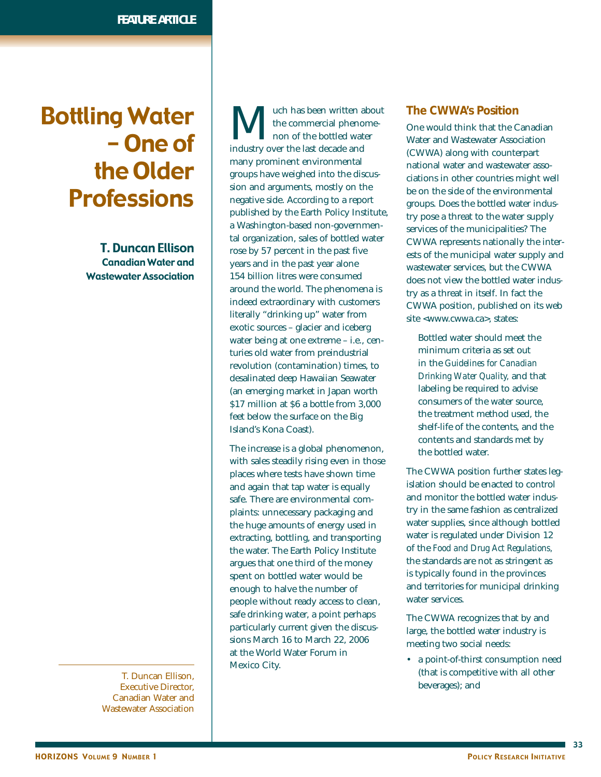# Bottling Water - One of the Older Professions

T. Duncan Ellison Canadian Water and Wastewater Association

> T. Duncan Ellison, Executive Director, Canadian Water and Wastewater Association

**M** uch has been written about<br>the commercial phenome-<br>industry over the last decade and the commercial phenomenon of the bottled water industry over the last decade and many prominent environmental groups have weighed into the discussion and arguments, mostly on the negative side. According to a report published by the Earth Policy Institute, a Washington-based non-governmental organization, sales of bottled water rose by 57 percent in the past five years and in the past year alone 154 billion litres were consumed around the world. The phenomena is indeed extraordinary with customers literally "drinking up" water from exotic sources – glacier and iceberg water being at one extreme – i.e., centuries old water from preindustrial revolution (contamination) times, to desalinated deep Hawaiian Seawater (an emerging market in Japan worth \$17 million at \$6 a bottle from 3,000 feet below the surface on the Big Island's Kona Coast).

The increase is a global phenomenon, with sales steadily rising even in those places where tests have shown time and again that tap water is equally safe. There are environmental complaints: unnecessary packaging and the huge amounts of energy used in extracting, bottling, and transporting the water. The Earth Policy Institute argues that one third of the money spent on bottled water would be enough to halve the number of people without ready access to clean, safe drinking water, a point perhaps particularly current given the discussions March 16 to March 22, 2006 at the World Water Forum in Mexico City.

### **The CWWA's Position**

One would think that the Canadian Water and Wastewater Association (CWWA) along with counterpart national water and wastewater associations in other countries might well be on the side of the environmental groups. Does the bottled water industry pose a threat to the water supply services of the municipalities? The CWWA represents nationally the interests of the municipal water supply and wastewater services, but the CWWA does not view the bottled water industry as a threat in itself. In fact the CWWA position, published on its web site <www.cwwa.ca>, states:

Bottled water should meet the minimum criteria as set out in the *Guidelines for Canadian Drinking Water Quality,* and that labeling be required to advise consumers of the water source, the treatment method used, the shelf-life of the contents, and the contents and standards met by the bottled water.

The CWWA position further states legislation should be enacted to control and monitor the bottled water industry in the same fashion as centralized water supplies, since although bottled water is regulated under Division 12 of the *Food and Drug Act Regulations,* the standards are not as stringent as is typically found in the provinces and territories for municipal drinking water services.

The CWWA recognizes that by and large, the bottled water industry is meeting two social needs:

• a point-of-thirst consumption need (that is competitive with all other beverages); and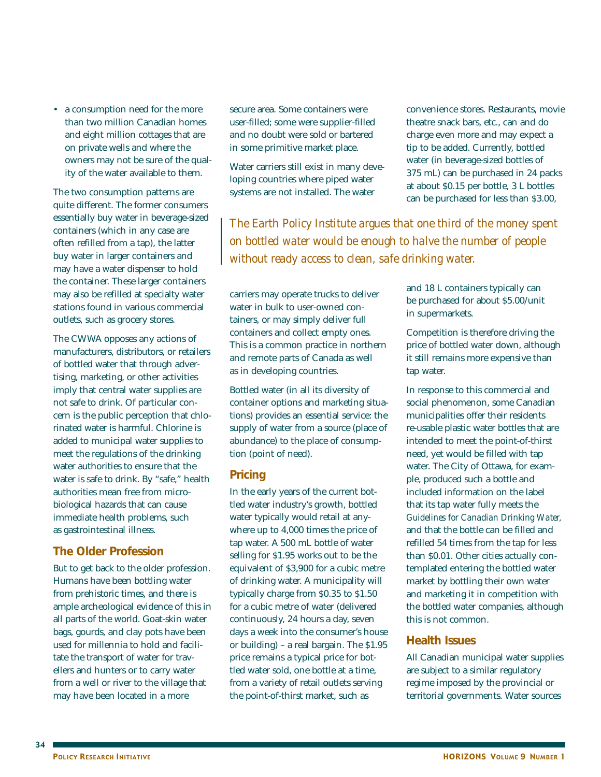• a consumption need for the more than two million Canadian homes and eight million cottages that are on private wells and where the owners may not be sure of the quality of the water available to them.

The two consumption patterns are quite different. The former consumers essentially buy water in beverage-sized containers (which in any case are often refilled from a tap), the latter buy water in larger containers and may have a water dispenser to hold the container. These larger containers may also be refilled at specialty water stations found in various commercial outlets, such as grocery stores.

The CWWA opposes any actions of manufacturers, distributors, or retailers of bottled water that through advertising, marketing, or other activities imply that central water supplies are not safe to drink. Of particular concern is the public perception that chlorinated water is harmful. Chlorine is added to municipal water supplies to meet the regulations of the drinking water authorities to ensure that the water is safe to drink. By "safe," health authorities mean free from microbiological hazards that can cause immediate health problems, such as gastrointestinal illness.

### **The Older Profession**

But to get back to the older profession. Humans have been bottling water from prehistoric times, and there is ample archeological evidence of this in all parts of the world. Goat-skin water bags, gourds, and clay pots have been used for millennia to hold and facilitate the transport of water for travellers and hunters or to carry water from a well or river to the village that may have been located in a more

secure area. Some containers were user-filled; some were supplier-filled and no doubt were sold or bartered in some primitive market place.

Water carriers still exist in many developing countries where piped water systems are not installed. The water

*The Earth Policy Institute argues that one third of the money spent on bottled water would be enough to halve the number of people without ready access to clean, safe drinking water.*

carriers may operate trucks to deliver water in bulk to user-owned containers, or may simply deliver full containers and collect empty ones. This is a common practice in northern and remote parts of Canada as well as in developing countries.

Bottled water (in all its diversity of container options and marketing situations) provides an essential service: the supply of water from a source (place of abundance) to the place of consumption (point of need).

### **Pricing**

In the early years of the current bottled water industry's growth, bottled water typically would retail at anywhere up to 4,000 times the price of tap water. A 500 mL bottle of water selling for \$1.95 works out to be the equivalent of \$3,900 for a cubic metre of drinking water. A municipality will typically charge from \$0.35 to \$1.50 for a cubic metre of water (delivered continuously, 24 hours a day, seven days a week into the consumer's house or building) – a real bargain. The \$1.95 price remains a typical price for bottled water sold, one bottle at a time, from a variety of retail outlets serving the point-of-thirst market, such as

convenience stores. Restaurants, movie theatre snack bars, etc., can and do charge even more and may expect a tip to be added. Currently, bottled water (in beverage-sized bottles of 375 mL) can be purchased in 24 packs at about \$0.15 per bottle, 3 L bottles can be purchased for less than \$3.00,

and 18 L containers typically can be purchased for about \$5.00/unit in supermarkets.

Competition is therefore driving the price of bottled water down, although it still remains more expensive than tap water.

In response to this commercial and social phenomenon, some Canadian municipalities offer their residents re-usable plastic water bottles that are intended to meet the point-of-thirst need, yet would be filled with tap water. The City of Ottawa, for example, produced such a bottle and included information on the label that its tap water fully meets the *Guidelines for Canadian Drinking Water,* and that the bottle can be filled and refilled 54 times from the tap for less than \$0.01. Other cities actually contemplated entering the bottled water market by bottling their own water and marketing it in competition with the bottled water companies, although this is not common.

### **Health Issues**

All Canadian municipal water supplies are subject to a similar regulatory regime imposed by the provincial or territorial governments. Water sources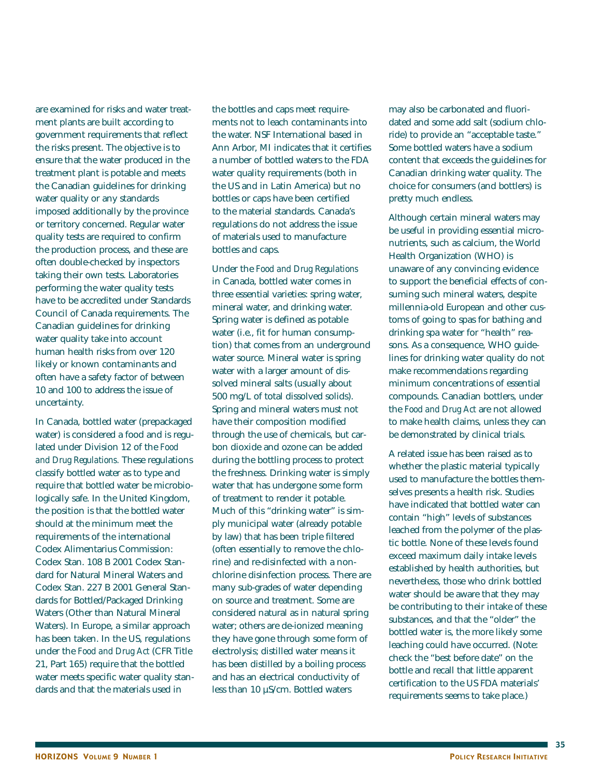are examined for risks and water treatment plants are built according to government requirements that reflect the risks present. The objective is to ensure that the water produced in the treatment plant is potable and meets the Canadian guidelines for drinking water quality or any standards imposed additionally by the province or territory concerned. Regular water quality tests are required to confirm the production process, and these are often double-checked by inspectors taking their own tests. Laboratories performing the water quality tests have to be accredited under Standards Council of Canada requirements. The Canadian guidelines for drinking water quality take into account human health risks from over 120 likely or known contaminants and often have a safety factor of between 10 and 100 to address the issue of uncertainty.

In Canada, bottled water (prepackaged water) is considered a food and is regulated under Division 12 of the *Food and Drug Regulations.* These regulations classify bottled water as to type and require that bottled water be microbiologically safe. In the United Kingdom, the position is that the bottled water should at the minimum meet the requirements of the international Codex Alimentarius Commission: Codex Stan. 108 B 2001 Codex Standard for Natural Mineral Waters and Codex Stan. 227 B 2001 General Standards for Bottled/Packaged Drinking Waters (Other than Natural Mineral Waters). In Europe, a similar approach has been taken. In the US, regulations under the *Food and Drug Act* (CFR Title 21, Part 165) require that the bottled water meets specific water quality standards and that the materials used in

the bottles and caps meet requirements not to leach contaminants into the water. NSF International based in Ann Arbor, MI indicates that it certifies a number of bottled waters to the FDA water quality requirements (both in the US and in Latin America) but no bottles or caps have been certified to the material standards. Canada's regulations do not address the issue of materials used to manufacture bottles and caps.

Under the *Food and Drug Regulations* in Canada, bottled water comes in three essential varieties: spring water, mineral water, and drinking water. Spring water is defined as potable water (i.e., fit for human consumption) that comes from an underground water source. Mineral water is spring water with a larger amount of dissolved mineral salts (usually about 500 mg/L of total dissolved solids). Spring and mineral waters must not have their composition modified through the use of chemicals, but carbon dioxide and ozone can be added during the bottling process to protect the freshness. Drinking water is simply water that has undergone some form of treatment to render it potable. Much of this "drinking water" is simply municipal water (already potable by law) that has been triple filtered (often essentially to remove the chlorine) and re-disinfected with a nonchlorine disinfection process. There are many sub-grades of water depending on source and treatment. Some are considered natural as in natural spring water; others are de-ionized meaning they have gone through some form of electrolysis; distilled water means it has been distilled by a boiling process and has an electrical conductivity of less than 10 µS/cm. Bottled waters

may also be carbonated and fluoridated and some add salt (sodium chloride) to provide an "acceptable taste." Some bottled waters have a sodium content that exceeds the guidelines for Canadian drinking water quality. The choice for consumers (and bottlers) is pretty much endless.

Although certain mineral waters may be useful in providing essential micronutrients, such as calcium, the World Health Organization (WHO) is unaware of any convincing evidence to support the beneficial effects of consuming such mineral waters, despite millennia-old European and other customs of going to spas for bathing and drinking spa water for "health" reasons. As a consequence, WHO guidelines for drinking water quality do not make recommendations regarding minimum concentrations of essential compounds. Canadian bottlers, under the *Food and Drug Act* are not allowed to make health claims, unless they can be demonstrated by clinical trials.

A related issue has been raised as to whether the plastic material typically used to manufacture the bottles themselves presents a health risk. Studies have indicated that bottled water can contain "high" levels of substances leached from the polymer of the plastic bottle. None of these levels found exceed maximum daily intake levels established by health authorities, but nevertheless, those who drink bottled water should be aware that they may be contributing to their intake of these substances, and that the "older" the bottled water is, the more likely some leaching could have occurred. (Note: check the "best before date" on the bottle and recall that little apparent certification to the US FDA materials' requirements seems to take place.)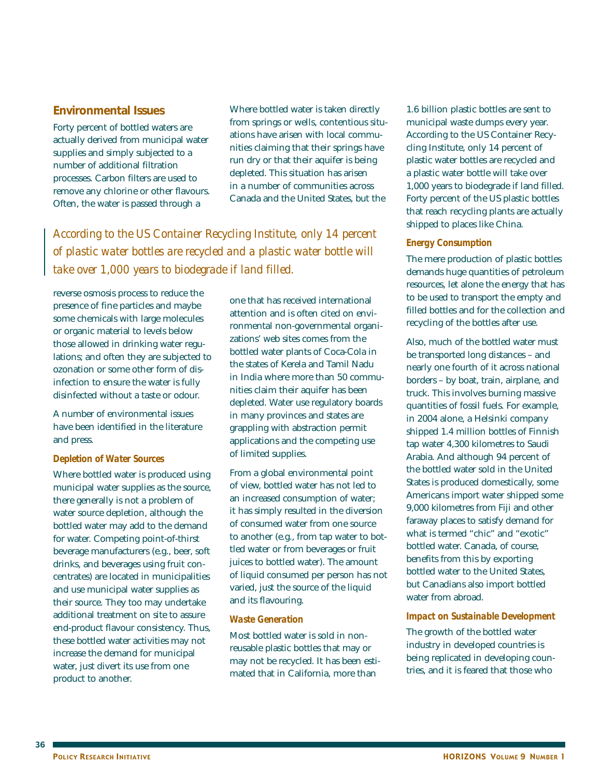### **Environmental Issues**

Forty percent of bottled waters are actually derived from municipal water supplies and simply subjected to a number of additional filtration processes. Carbon filters are used to remove any chlorine or other flavours. Often, the water is passed through a

Where bottled water is taken directly from springs or wells, contentious situations have arisen with local communities claiming that their springs have run dry or that their aquifer is being depleted. This situation has arisen in a number of communities across Canada and the United States, but the

*According to the US Container Recycling Institute, only 14 percent of plastic water bottles are recycled and a plastic water bottle will take over 1,000 years to biodegrade if land filled.*

reverse osmosis process to reduce the presence of fine particles and maybe some chemicals with large molecules or organic material to levels below those allowed in drinking water regulations; and often they are subjected to ozonation or some other form of disinfection to ensure the water is fully disinfected without a taste or odour.

A number of environmental issues have been identified in the literature and press.

#### *Depletion of Water Sources*

Where bottled water is produced using municipal water supplies as the source, there generally is not a problem of water source depletion, although the bottled water may add to the demand for water. Competing point-of-thirst beverage manufacturers (e.g., beer, soft drinks, and beverages using fruit concentrates) are located in municipalities and use municipal water supplies as their source. They too may undertake additional treatment on site to assure end-product flavour consistency. Thus, these bottled water activities may not increase the demand for municipal water, just divert its use from one product to another.

one that has received international attention and is often cited on environmental non-governmental organizations' web sites comes from the bottled water plants of Coca-Cola in the states of Kerela and Tamil Nadu in India where more than 50 communities claim their aquifer has been depleted. Water use regulatory boards in many provinces and states are grappling with abstraction permit applications and the competing use of limited supplies.

From a global environmental point of view, bottled water has not led to an increased consumption of water; it has simply resulted in the diversion of consumed water from one source to another (e.g., from tap water to bottled water or from beverages or fruit juices to bottled water). The amount of liquid consumed per person has not varied, just the source of the liquid and its flavouring.

#### *Waste Generation*

Most bottled water is sold in nonreusable plastic bottles that may or may not be recycled. It has been estimated that in California, more than

1.6 billion plastic bottles are sent to municipal waste dumps every year. According to the US Container Recycling Institute, only 14 percent of plastic water bottles are recycled and a plastic water bottle will take over 1,000 years to biodegrade if land filled. Forty percent of the US plastic bottles that reach recycling plants are actually shipped to places like China.

#### *Energy Consumption*

The mere production of plastic bottles demands huge quantities of petroleum resources, let alone the energy that has to be used to transport the empty and filled bottles and for the collection and recycling of the bottles after use.

Also, much of the bottled water must be transported long distances – and nearly one fourth of it across national borders – by boat, train, airplane, and truck. This involves burning massive quantities of fossil fuels. For example, in 2004 alone, a Helsinki company shipped 1.4 million bottles of Finnish tap water 4,300 kilometres to Saudi Arabia. And although 94 percent of the bottled water sold in the United States is produced domestically, some Americans import water shipped some 9,000 kilometres from Fiji and other faraway places to satisfy demand for what is termed "chic" and "exotic" bottled water. Canada, of course, benefits from this by exporting bottled water to the United States, but Canadians also import bottled water from abroad.

#### *Impact on Sustainable Development*

The growth of the bottled water industry in developed countries is being replicated in developing countries, and it is feared that those who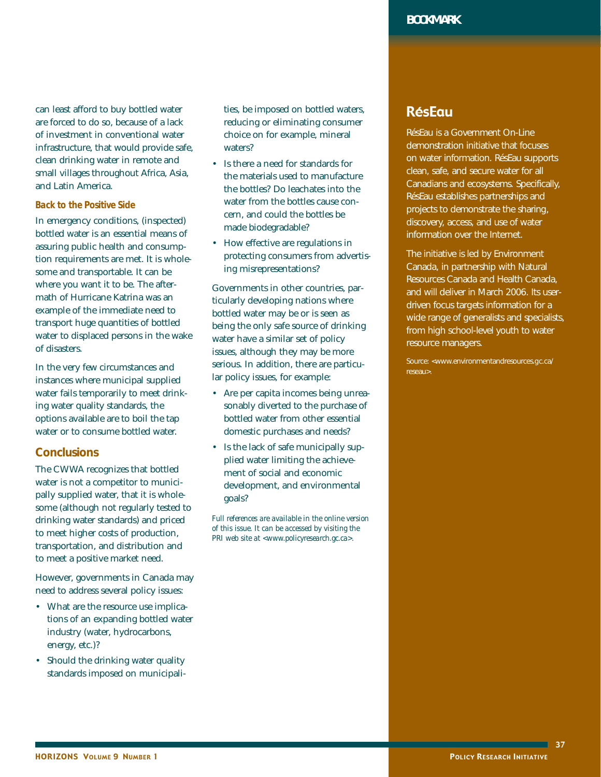can least afford to buy bottled water are forced to do so, because of a lack of investment in conventional water infrastructure, that would provide safe, clean drinking water in remote and small villages throughout Africa, Asia, and Latin America.

#### *Back to the Positive Side*

In emergency conditions, (inspected) bottled water is an essential means of assuring public health and consumption requirements are met. It is wholesome and transportable. It can be where you want it to be. The aftermath of Hurricane Katrina was an example of the immediate need to transport huge quantities of bottled water to displaced persons in the wake of disasters.

In the very few circumstances and instances where municipal supplied water fails temporarily to meet drinking water quality standards, the options available are to boil the tap water or to consume bottled water.

## **Conclusions**

The CWWA recognizes that bottled water is not a competitor to municipally supplied water, that it is wholesome (although not regularly tested to drinking water standards) and priced to meet higher costs of production, transportation, and distribution and to meet a positive market need.

However, governments in Canada may need to address several policy issues:

- What are the resource use implications of an expanding bottled water industry (water, hydrocarbons, energy, etc.)?
- Should the drinking water quality standards imposed on municipali-

ties, be imposed on bottled waters, reducing or eliminating consumer choice on for example, mineral waters?

- Is there a need for standards for the materials used to manufacture the bottles? Do leachates into the water from the bottles cause concern, and could the bottles be made biodegradable?
- How effective are regulations in protecting consumers from advertising misrepresentations?

Governments in other countries, particularly developing nations where bottled water may be or is seen as being the only safe source of drinking water have a similar set of policy issues, although they may be more serious. In addition, there are particular policy issues, for example:

- Are per capita incomes being unreasonably diverted to the purchase of bottled water from other essential domestic purchases and needs?
- Is the lack of safe municipally supplied water limiting the achievement of social and economic development, and environmental goals?

*Full references are available in the online version of this issue. It can be accessed by visiting the PRI web site at <www.policyresearch.gc.ca>.*

# RésEau

RésEau is a Government On-Line demonstration initiative that focuses on water information. RésEau supports clean, safe, and secure water for all Canadians and ecosystems. Specifically, RésEau establishes partnerships and projects to demonstrate the sharing, discovery, access, and use of water information over the Internet.

The initiative is led by Environment Canada, in partnership with Natural Resources Canada and Health Canada, and will deliver in March 2006. Its userdriven focus targets information for a wide range of generalists and specialists, from high school-level youth to water resource managers.

Source: <www.environmentandresources.gc.ca/ reseau>.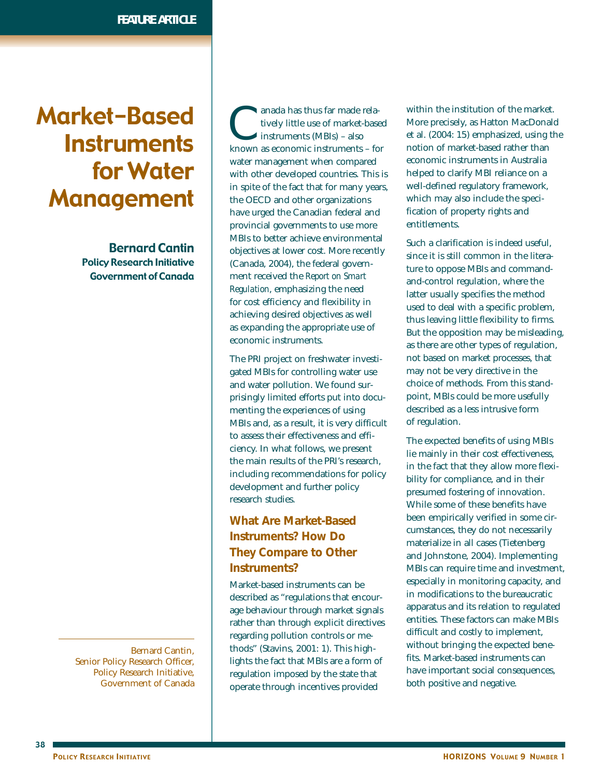# Market-Based **Instruments** for Water Management

Bernard Cantin Policy Research Initiative Government of Canada

Bernard Cantin, Senior Policy Research Officer, Policy Research Initiative, Government of Canada

anada has thus far made rela-<br>tively little use of market-base<br>instruments (MBIs) – also<br>known as economic instruments – fo tively little use of market-based instruments (MBIs) – also known as economic instruments – for water management when compared with other developed countries. This is in spite of the fact that for many years, the OECD and other organizations have urged the Canadian federal and provincial governments to use more MBIs to better achieve environmental objectives at lower cost. More recently (Canada, 2004), the federal government received the *Report on Smart Regulation*, emphasizing the need for cost efficiency and flexibility in achieving desired objectives as well as expanding the appropriate use of economic instruments.

The PRI project on freshwater investigated MBIs for controlling water use and water pollution. We found surprisingly limited efforts put into documenting the experiences of using MBIs and, as a result, it is very difficult to assess their effectiveness and efficiency. In what follows, we present the main results of the PRI's research, including recommendations for policy development and further policy research studies.

# **What Are Market-Based Instruments? How Do They Compare to Other Instruments?**

Market-based instruments can be described as "regulations that encourage behaviour through market signals rather than through explicit directives regarding pollution controls or methods" (Stavins, 2001: 1). This highlights the fact that MBIs are a form of regulation imposed by the state that operate through incentives provided

within the institution of the market. More precisely, as Hatton MacDonald et al. (2004: 15) emphasized, using the notion of market-based rather than economic instruments in Australia helped to clarify MBI reliance on a well-defined regulatory framework, which may also include the specification of property rights and entitlements.

Such a clarification is indeed useful, since it is still common in the literature to oppose MBIs and commandand-control regulation, where the latter usually specifies the method used to deal with a specific problem, thus leaving little flexibility to firms. But the opposition may be misleading, as there are other types of regulation, not based on market processes, that may not be very directive in the choice of methods. From this standpoint, MBIs could be more usefully described as a less intrusive form of regulation.

The expected benefits of using MBIs lie mainly in their cost effectiveness, in the fact that they allow more flexibility for compliance, and in their presumed fostering of innovation. While some of these benefits have been empirically verified in some circumstances, they do not necessarily materialize in all cases (Tietenberg and Johnstone, 2004). Implementing MBIs can require time and investment, especially in monitoring capacity, and in modifications to the bureaucratic apparatus and its relation to regulated entities. These factors can make MBIs difficult and costly to implement, without bringing the expected benefits. Market-based instruments can have important social consequences, both positive and negative.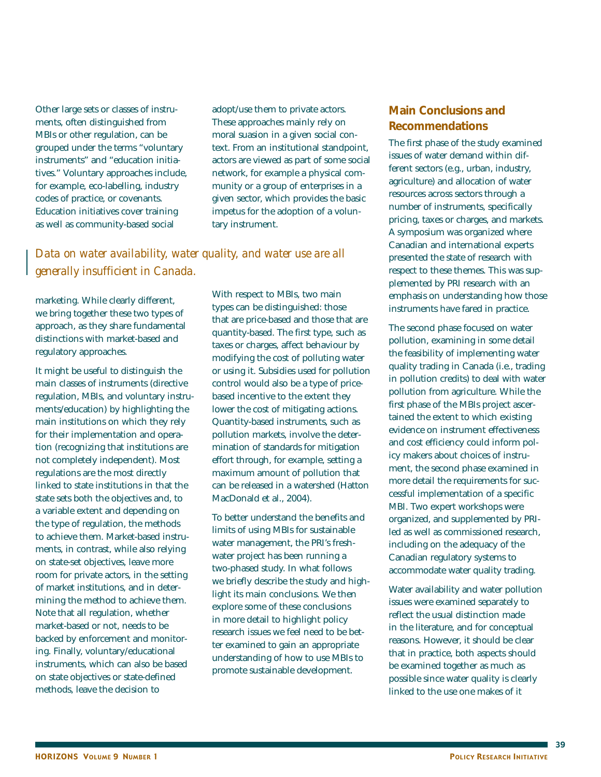Other large sets or classes of instruments, often distinguished from MBIs or other regulation, can be grouped under the terms "voluntary instruments" and "education initiatives." Voluntary approaches include, for example, eco-labelling, industry codes of practice, or covenants. Education initiatives cover training as well as community-based social

adopt/use them to private actors. These approaches mainly rely on moral suasion in a given social context. From an institutional standpoint, actors are viewed as part of some social network, for example a physical community or a group of enterprises in a given sector, which provides the basic impetus for the adoption of a voluntary instrument.

# *Data on water availability, water quality, and water use are all generally insufficient in Canada.*

marketing. While clearly different, we bring together these two types of approach, as they share fundamental distinctions with market-based and regulatory approaches.

It might be useful to distinguish the main classes of instruments (directive regulation, MBIs, and voluntary instruments/education) by highlighting the main institutions on which they rely for their implementation and operation (recognizing that institutions are not completely independent). Most regulations are the most directly linked to state institutions in that the state sets both the objectives and, to a variable extent and depending on the type of regulation, the methods to achieve them. Market-based instruments, in contrast, while also relying on state-set objectives, leave more room for private actors, in the setting of market institutions, and in determining the method to achieve them. Note that all regulation, whether market-based or not, needs to be backed by enforcement and monitoring. Finally, voluntary/educational instruments, which can also be based on state objectives or state-defined methods, leave the decision to

With respect to MBIs, two main types can be distinguished: those that are price-based and those that are quantity-based. The first type, such as taxes or charges, affect behaviour by modifying the cost of polluting water or using it. Subsidies used for pollution control would also be a type of pricebased incentive to the extent they lower the cost of mitigating actions. Quantity-based instruments, such as pollution markets, involve the determination of standards for mitigation effort through, for example, setting a maximum amount of pollution that can be released in a watershed (Hatton MacDonald et al., 2004).

To better understand the benefits and limits of using MBIs for sustainable water management, the PRI's freshwater project has been running a two-phased study. In what follows we briefly describe the study and highlight its main conclusions. We then explore some of these conclusions in more detail to highlight policy research issues we feel need to be better examined to gain an appropriate understanding of how to use MBIs to promote sustainable development.

## **Main Conclusions and Recommendations**

The first phase of the study examined issues of water demand within different sectors (e.g., urban, industry, agriculture) and allocation of water resources across sectors through a number of instruments, specifically pricing, taxes or charges, and markets. A symposium was organized where Canadian and international experts presented the state of research with respect to these themes. This was supplemented by PRI research with an emphasis on understanding how those instruments have fared in practice.

The second phase focused on water pollution, examining in some detail the feasibility of implementing water quality trading in Canada (i.e., trading in pollution credits) to deal with water pollution from agriculture. While the first phase of the MBIs project ascertained the extent to which existing evidence on instrument effectiveness and cost efficiency could inform policy makers about choices of instrument, the second phase examined in more detail the requirements for successful implementation of a specific MBI. Two expert workshops were organized, and supplemented by PRIled as well as commissioned research, including on the adequacy of the Canadian regulatory systems to accommodate water quality trading.

Water availability and water pollution issues were examined separately to reflect the usual distinction made in the literature, and for conceptual reasons. However, it should be clear that in practice, both aspects should be examined together as much as possible since water quality is clearly linked to the use one makes of it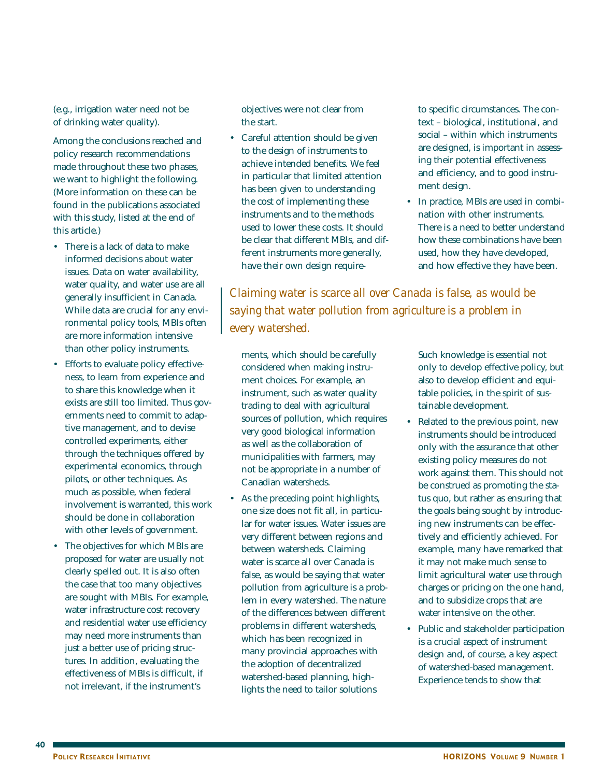(e.g., irrigation water need not be of drinking water quality).

Among the conclusions reached and policy research recommendations made throughout these two phases, we want to highlight the following. (More information on these can be found in the publications associated with this study, listed at the end of this article.)

- There is a lack of data to make informed decisions about water issues. Data on water availability, water quality, and water use are all generally insufficient in Canada. While data are crucial for any environmental policy tools, MBIs often are more information intensive than other policy instruments.
- Efforts to evaluate policy effectiveness, to learn from experience and to share this knowledge when it exists are still too limited. Thus governments need to commit to adaptive management, and to devise controlled experiments, either through the techniques offered by experimental economics, through pilots, or other techniques. As much as possible, when federal involvement is warranted, this work should be done in collaboration with other levels of government.
- The objectives for which MBIs are proposed for water are usually not clearly spelled out. It is also often the case that too many objectives are sought with MBIs. For example, water infrastructure cost recovery and residential water use efficiency may need more instruments than just a better use of pricing structures. In addition, evaluating the effectiveness of MBIs is difficult, if not irrelevant, if the instrument's

objectives were not clear from the start.

• Careful attention should be given to the design of instruments to achieve intended benefits. We feel in particular that limited attention has been given to understanding the cost of implementing these instruments and to the methods used to lower these costs. It should be clear that different MBIs, and different instruments more generally, have their own design requireto specific circumstances. The context – biological, institutional, and social – within which instruments are designed, is important in assessing their potential effectiveness and efficiency, and to good instrument design.

• In practice, MBIs are used in combination with other instruments. There is a need to better understand how these combinations have been used, how they have developed, and how effective they have been.

*Claiming water is scarce all over Canada is false, as would be saying that water pollution from agriculture is a problem in every watershed.*

ments, which should be carefully considered when making instrument choices. For example, an instrument, such as water quality trading to deal with agricultural sources of pollution, which requires very good biological information as well as the collaboration of municipalities with farmers, may not be appropriate in a number of Canadian watersheds.

• As the preceding point highlights, one size does not fit all, in particular for water issues. Water issues are very different between regions and between watersheds. Claiming water is scarce all over Canada is false, as would be saying that water pollution from agriculture is a problem in every watershed. The nature of the differences between different problems in different watersheds, which has been recognized in many provincial approaches with the adoption of decentralized watershed-based planning, highlights the need to tailor solutions

Such knowledge is essential not only to develop effective policy, but also to develop efficient and equitable policies, in the spirit of sustainable development.

- Related to the previous point, new instruments should be introduced only with the assurance that other existing policy measures do not work against them. This should not be construed as promoting the status quo, but rather as ensuring that the goals being sought by introducing new instruments can be effectively and efficiently achieved. For example, many have remarked that it may not make much sense to limit agricultural water use through charges or pricing on the one hand, and to subsidize crops that are water intensive on the other.
- Public and stakeholder participation is a crucial aspect of instrument design and, of course, a key aspect of watershed-based management. Experience tends to show that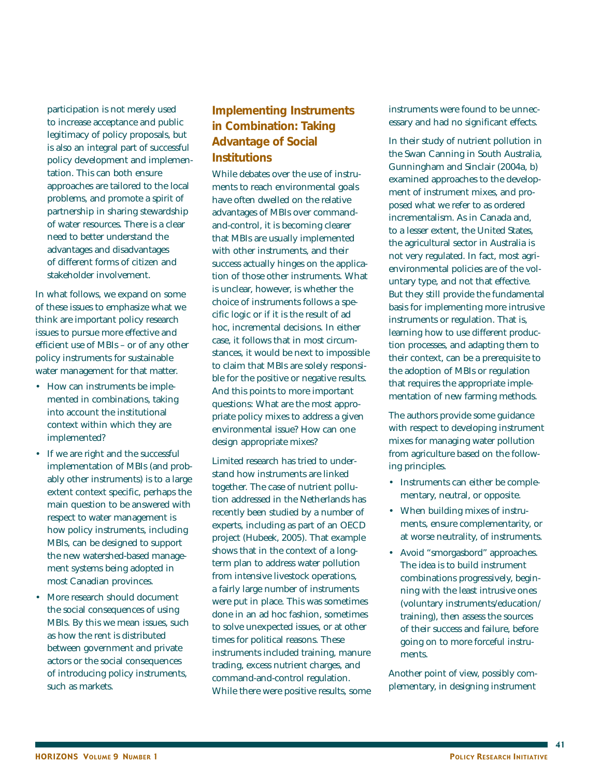participation is not merely used to increase acceptance and public legitimacy of policy proposals, but is also an integral part of successful policy development and implementation. This can both ensure approaches are tailored to the local problems, and promote a spirit of partnership in sharing stewardship of water resources. There is a clear need to better understand the advantages and disadvantages of different forms of citizen and stakeholder involvement.

In what follows, we expand on some of these issues to emphasize what we think are important policy research issues to pursue more effective and efficient use of MBIs – or of any other policy instruments for sustainable water management for that matter.

- How can instruments be implemented in combinations, taking into account the institutional context within which they are implemented?
- If we are right and the successful implementation of MBIs (and probably other instruments) is to a large extent context specific, perhaps the main question to be answered with respect to water management is how policy instruments, including MBIs, can be designed to support the new watershed-based management systems being adopted in most Canadian provinces.
- More research should document the social consequences of using MBIs. By this we mean issues, such as how the rent is distributed between government and private actors or the social consequences of introducing policy instruments, such as markets.

# **Implementing Instruments in Combination: Taking Advantage of Social Institutions**

While debates over the use of instruments to reach environmental goals have often dwelled on the relative advantages of MBIs over commandand-control, it is becoming clearer that MBIs are usually implemented with other instruments, and their success actually hinges on the application of those other instruments. What is unclear, however, is whether the choice of instruments follows a specific logic or if it is the result of ad hoc, incremental decisions. In either case, it follows that in most circumstances, it would be next to impossible to claim that MBIs are solely responsible for the positive or negative results. And this points to more important questions: What are the most appropriate policy mixes to address a given environmental issue? How can one design appropriate mixes?

Limited research has tried to understand how instruments are linked together. The case of nutrient pollution addressed in the Netherlands has recently been studied by a number of experts, including as part of an OECD project (Hubeek, 2005). That example shows that in the context of a longterm plan to address water pollution from intensive livestock operations, a fairly large number of instruments were put in place. This was sometimes done in an ad hoc fashion, sometimes to solve unexpected issues, or at other times for political reasons. These instruments included training, manure trading, excess nutrient charges, and command-and-control regulation. While there were positive results, some instruments were found to be unnecessary and had no significant effects.

In their study of nutrient pollution in the Swan Canning in South Australia, Gunningham and Sinclair (2004a, b) examined approaches to the development of instrument mixes, and proposed what we refer to as ordered incrementalism. As in Canada and, to a lesser extent, the United States, the agricultural sector in Australia is not very regulated. In fact, most agrienvironmental policies are of the voluntary type, and not that effective. But they still provide the fundamental basis for implementing more intrusive instruments or regulation. That is, learning how to use different production processes, and adapting them to their context, can be a prerequisite to the adoption of MBIs or regulation that requires the appropriate implementation of new farming methods.

The authors provide some guidance with respect to developing instrument mixes for managing water pollution from agriculture based on the following principles.

- Instruments can either be complementary, neutral, or opposite.
- When building mixes of instruments, ensure complementarity, or at worse neutrality, of instruments.
- Avoid "smorgasbord" approaches. The idea is to build instrument combinations progressively, beginning with the least intrusive ones (voluntary instruments/education/ training), then assess the sources of their success and failure, before going on to more forceful instruments.

Another point of view, possibly complementary, in designing instrument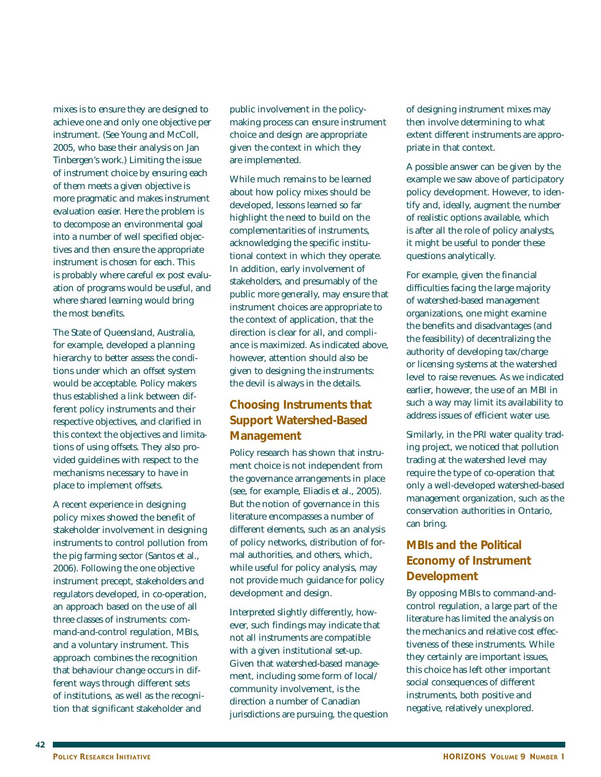mixes is to ensure they are designed to achieve one and only one objective per instrument. (See Young and McColl, 2005, who base their analysis on Jan Tinbergen's work.) Limiting the issue of instrument choice by ensuring each of them meets a given objective is more pragmatic and makes instrument evaluation easier. Here the problem is to decompose an environmental goal into a number of well specified objectives and then ensure the appropriate instrument is chosen for each. This is probably where careful ex post evaluation of programs would be useful, and where shared learning would bring the most benefits.

The State of Queensland, Australia, for example, developed a planning hierarchy to better assess the conditions under which an offset system would be acceptable. Policy makers thus established a link between different policy instruments and their respective objectives, and clarified in this context the objectives and limitations of using offsets. They also provided guidelines with respect to the mechanisms necessary to have in place to implement offsets.

A recent experience in designing policy mixes showed the benefit of stakeholder involvement in designing instruments to control pollution from the pig farming sector (Santos et al., 2006). Following the one objective instrument precept, stakeholders and regulators developed, in co-operation, an approach based on the use of all three classes of instruments: command-and-control regulation, MBIs, and a voluntary instrument. This approach combines the recognition that behaviour change occurs in different ways through different sets of institutions, as well as the recognition that significant stakeholder and

public involvement in the policymaking process can ensure instrument choice and design are appropriate given the context in which they are implemented.

While much remains to be learned about how policy mixes should be developed, lessons learned so far highlight the need to build on the complementarities of instruments, acknowledging the specific institutional context in which they operate. In addition, early involvement of stakeholders, and presumably of the public more generally, may ensure that instrument choices are appropriate to the context of application, that the direction is clear for all, and compliance is maximized. As indicated above, however, attention should also be given to designing the instruments: the devil is always in the details.

# **Choosing Instruments that Support Watershed-Based Management**

Policy research has shown that instrument choice is not independent from the governance arrangements in place (see, for example, Eliadis et al., 2005). But the notion of governance in this literature encompasses a number of different elements, such as an analysis of policy networks, distribution of formal authorities, and others, which, while useful for policy analysis, may not provide much guidance for policy development and design.

Interpreted slightly differently, however, such findings may indicate that not all instruments are compatible with a given institutional set-up. Given that watershed-based management, including some form of local/ community involvement, is the direction a number of Canadian jurisdictions are pursuing, the question of designing instrument mixes may then involve determining to what extent different instruments are appropriate in that context.

A possible answer can be given by the example we saw above of participatory policy development. However, to identify and, ideally, augment the number of realistic options available, which is after all the role of policy analysts, it might be useful to ponder these questions analytically.

For example, given the financial difficulties facing the large majority of watershed-based management organizations, one might examine the benefits and disadvantages (and the feasibility) of decentralizing the authority of developing tax/charge or licensing systems at the watershed level to raise revenues. As we indicated earlier, however, the use of an MBI in such a way may limit its availability to address issues of efficient water use.

Similarly, in the PRI water quality trading project, we noticed that pollution trading at the watershed level may require the type of co-operation that only a well-developed watershed-based management organization, such as the conservation authorities in Ontario, can bring.

# **MBIs and the Political Economy of Instrument Development**

By opposing MBIs to command-andcontrol regulation, a large part of the literature has limited the analysis on the mechanics and relative cost effectiveness of these instruments. While they certainly are important issues, this choice has left other important social consequences of different instruments, both positive and negative, relatively unexplored.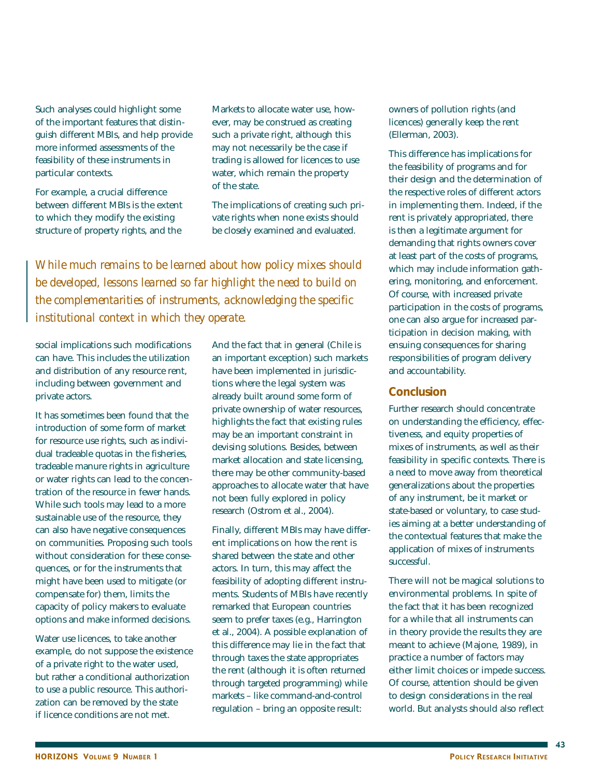Such analyses could highlight some of the important features that distinguish different MBIs, and help provide more informed assessments of the feasibility of these instruments in particular contexts.

For example, a crucial difference between different MBIs is the extent to which they modify the existing structure of property rights, and the

Markets to allocate water use, however, may be construed as creating such a private right, although this may not necessarily be the case if trading is allowed for licences to use water, which remain the property of the state.

The implications of creating such private rights when none exists should be closely examined and evaluated.

*While much remains to be learned about how policy mixes should be developed, lessons learned so far highlight the need to build on the complementarities of instruments, acknowledging the specific institutional context in which they operate.*

social implications such modifications can have. This includes the utilization and distribution of any resource rent, including between government and private actors.

It has sometimes been found that the introduction of some form of market for resource use rights, such as individual tradeable quotas in the fisheries, tradeable manure rights in agriculture or water rights can lead to the concentration of the resource in fewer hands. While such tools may lead to a more sustainable use of the resource, they can also have negative consequences on communities. Proposing such tools without consideration for these consequences, or for the instruments that might have been used to mitigate (or compensate for) them, limits the capacity of policy makers to evaluate options and make informed decisions.

Water use licences, to take another example, do not suppose the existence of a private right to the water used, but rather a conditional authorization to use a public resource. This authorization can be removed by the state if licence conditions are not met.

And the fact that in general (Chile is an important exception) such markets have been implemented in jurisdictions where the legal system was already built around some form of private ownership of water resources, highlights the fact that existing rules may be an important constraint in devising solutions. Besides, between market allocation and state licensing, there may be other community-based approaches to allocate water that have not been fully explored in policy research (Ostrom et al., 2004).

Finally, different MBIs may have different implications on how the rent is shared between the state and other actors. In turn, this may affect the feasibility of adopting different instruments. Students of MBIs have recently remarked that European countries seem to prefer taxes (e.g., Harrington et al., 2004). A possible explanation of this difference may lie in the fact that through taxes the state appropriates the rent (although it is often returned through targeted programming) while markets – like command-and-control regulation – bring an opposite result:

owners of pollution rights (and licences) generally keep the rent (Ellerman, 2003).

This difference has implications for the feasibility of programs and for their design and the determination of the respective roles of different actors in implementing them. Indeed, if the rent is privately appropriated, there is then a legitimate argument for demanding that rights owners cover at least part of the costs of programs, which may include information gathering, monitoring, and enforcement. Of course, with increased private participation in the costs of programs, one can also argue for increased participation in decision making, with ensuing consequences for sharing responsibilities of program delivery and accountability.

#### **Conclusion**

Further research should concentrate on understanding the efficiency, effectiveness, and equity properties of mixes of instruments, as well as their feasibility in specific contexts. There is a need to move away from theoretical generalizations about the properties of any instrument, be it market or state-based or voluntary, to case studies aiming at a better understanding of the contextual features that make the application of mixes of instruments successful.

There will not be magical solutions to environmental problems. In spite of the fact that it has been recognized for a while that all instruments can in theory provide the results they are meant to achieve (Majone, 1989), in practice a number of factors may either limit choices or impede success. Of course, attention should be given to design considerations in the real world. But analysts should also reflect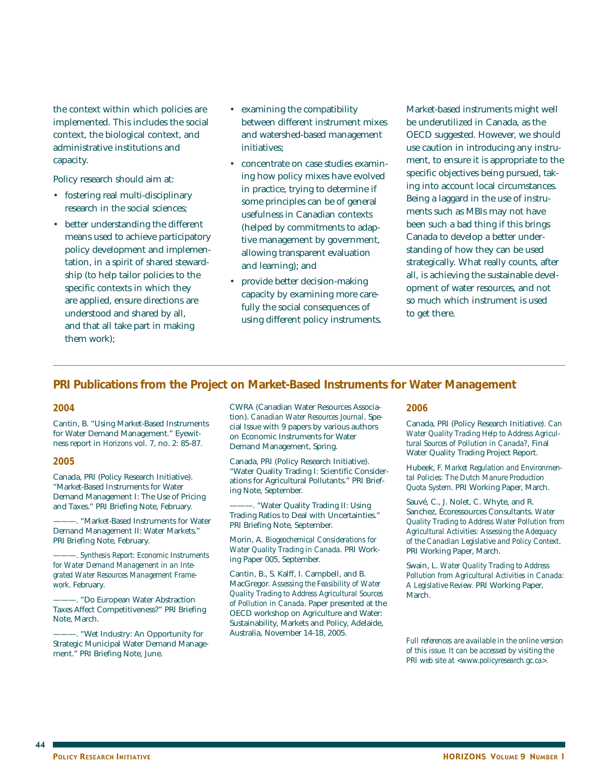the context within which policies are implemented. This includes the social context, the biological context, and administrative institutions and capacity.

Policy research should aim at:

- fostering real multi-disciplinary research in the social sciences;
- better understanding the different means used to achieve participatory policy development and implementation, in a spirit of shared stewardship (to help tailor policies to the specific contexts in which they are applied, ensure directions are understood and shared by all, and that all take part in making them work);
- examining the compatibility between different instrument mixes and watershed-based management initiatives;
- concentrate on case studies examining how policy mixes have evolved in practice, trying to determine if some principles can be of general usefulness in Canadian contexts (helped by commitments to adaptive management by government, allowing transparent evaluation and learning); and
- provide better decision-making capacity by examining more carefully the social consequences of using different policy instruments.

Market-based instruments might well be underutilized in Canada, as the OECD suggested. However, we should use caution in introducing any instrument, to ensure it is appropriate to the specific objectives being pursued, taking into account local circumstances. Being a laggard in the use of instruments such as MBIs may not have been such a bad thing if this brings Canada to develop a better understanding of how they can be used strategically. What really counts, after all, is achieving the sustainable development of water resources, and not so much which instrument is used to get there.

## **PRI Publications from the Project on Market-Based Instruments for Water Management**

#### *2004*

Cantin, B. "Using Market-Based Instruments for Water Demand Management." Eyewitness report in *Horizons* vol. 7, no. 2: 85-87.

#### *2005*

Canada, PRI (Policy Research Initiative). "Market-Based Instruments for Water Demand Management I: The Use of Pricing and Taxes." PRI Briefing Note, February.

———. "Market-Based Instruments for Water Demand Management II: Water Markets." PRI Briefing Note, February.

———. *Synthesis Report: Economic Instruments for Water Demand Management in an Integrated Water Resources Management Framework.* February.

-. "Do European Water Abstraction Taxes Affect Competitiveness?" PRI Briefing Note, March.

———. "Wet Industry: An Opportunity for Strategic Municipal Water Demand Management." PRI Briefing Note, June.

CWRA (Canadian Water Resources Association). *Canadian Water Resources Journal*. Special Issue with 9 papers by various authors on Economic Instruments for Water Demand Management, Spring.

Canada, PRI (Policy Research Initiative). "Water Quality Trading I: Scientific Considerations for Agricultural Pollutants." PRI Briefing Note, September.

———. "Water Quality Trading II: Using Trading Ratios to Deal with Uncertainties." PRI Briefing Note, September.

Morin, A. *Biogeochemical Considerations for Water Quality Trading in Canada*. PRI Working Paper 005, September.

Cantin, B., S. Kalff, I. Campbell, and B. MacGregor. *Assessing the Feasibility of Water Quality Trading to Address Agricultural Sources of Pollution in Canada*. Paper presented at the OECD workshop on Agriculture and Water: Sustainability, Markets and Policy, Adelaide, Australia, November 14-18, 2005.

#### *2006*

Canada, PRI (Policy Research Initiative). *Can Water Quality Trading Help to Address Agricultural Sources of Pollution in Canada?*, Final Water Quality Trading Project Report.

Hubeek, F. *Market Regulation and Environmental Policies: The Dutch Manure Production Quota System*. PRI Working Paper, March.

Sauvé, C., J. Nolet, C. Whyte, and R. Sanchez, Écoressources Consultants. *Water Quality Trading to Address Water Pollution from Agricultural Activities: Assessing the Adequacy of the Canadian Legislative and Policy Context*. PRI Working Paper, March.

Swain, L. *Water Quality Trading to Address Pollution from Agricultural Activities in Canada: A Legislative Review.* PRI Working Paper, March.

*Full references are available in the online version of this issue. It can be accessed by visiting the PRI web site at <www.policyresearch.gc.ca>.*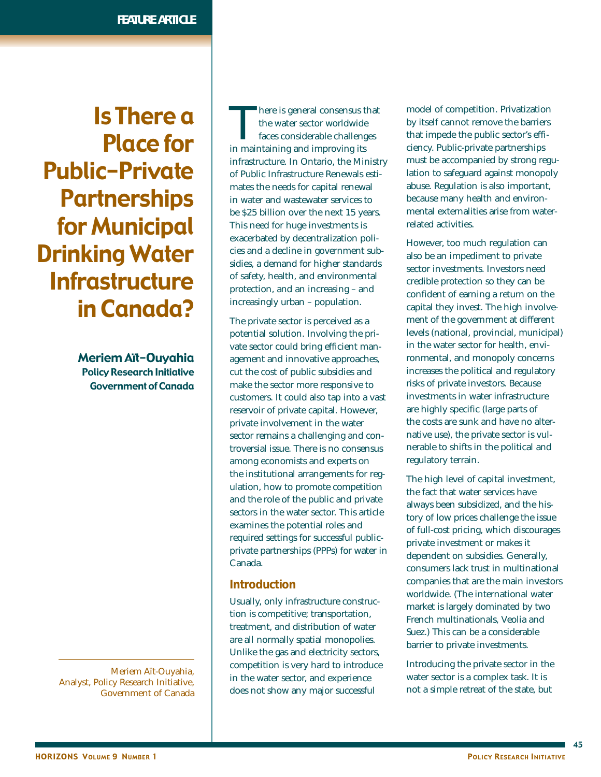Is There a Place for Public-Private **Partnerships** for Municipal Drinking Water **Infrastructure** in Canada?

> Meriem Aït-Ouyahia Policy Research Initiative Government of Canada

Meriem Aït-Ouyahia, Analyst, Policy Research Initiative, Government of Canada

There is general consensus that<br>the water sector worldwide<br>faces considerable challenges<br>in maintaining and improving its the water sector worldwide faces considerable challenges in maintaining and improving its infrastructure. In Ontario, the Ministry of Public Infrastructure Renewals estimates the needs for capital renewal in water and wastewater services to be \$25 billion over the next 15 years. This need for huge investments is exacerbated by decentralization policies and a decline in government subsidies, a demand for higher standards of safety, health, and environmental protection, and an increasing – and increasingly urban – population.

The private sector is perceived as a potential solution. Involving the private sector could bring efficient management and innovative approaches, cut the cost of public subsidies and make the sector more responsive to customers. It could also tap into a vast reservoir of private capital. However, private involvement in the water sector remains a challenging and controversial issue. There is no consensus among economists and experts on the institutional arrangements for regulation, how to promote competition and the role of the public and private sectors in the water sector. This article examines the potential roles and required settings for successful publicprivate partnerships (PPPs) for water in Canada.

#### **Introduction**

Usually, only infrastructure construction is competitive; transportation, treatment, and distribution of water are all normally spatial monopolies. Unlike the gas and electricity sectors, competition is very hard to introduce in the water sector, and experience does not show any major successful

model of competition. Privatization by itself cannot remove the barriers that impede the public sector's efficiency. Public-private partnerships must be accompanied by strong regulation to safeguard against monopoly abuse. Regulation is also important, because many health and environmental externalities arise from waterrelated activities.

However, too much regulation can also be an impediment to private sector investments. Investors need credible protection so they can be confident of earning a return on the capital they invest. The high involvement of the government at different levels (national, provincial, municipal) in the water sector for health, environmental, and monopoly concerns increases the political and regulatory risks of private investors. Because investments in water infrastructure are highly specific (large parts of the costs are sunk and have no alternative use), the private sector is vulnerable to shifts in the political and regulatory terrain.

The high level of capital investment, the fact that water services have always been subsidized, and the history of low prices challenge the issue of full-cost pricing, which discourages private investment or makes it dependent on subsidies. Generally, consumers lack trust in multinational companies that are the main investors worldwide. (The international water market is largely dominated by two French multinationals, Veolia and Suez.) This can be a considerable barrier to private investments.

Introducing the private sector in the water sector is a complex task. It is not a simple retreat of the state, but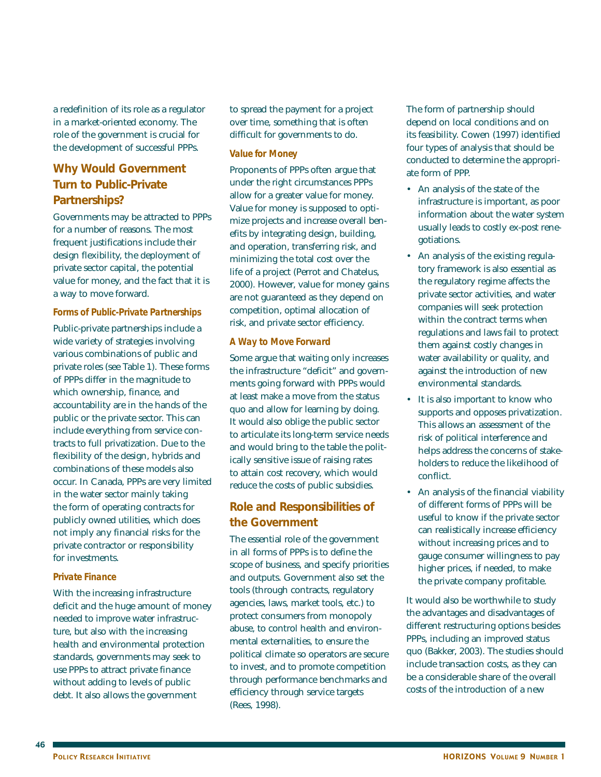a redefinition of its role as a regulator in a market-oriented economy. The role of the government is crucial for the development of successful PPPs.

# **Why Would Government Turn to Public-Private Partnerships?**

Governments may be attracted to PPPs for a number of reasons. The most frequent justifications include their design flexibility, the deployment of private sector capital, the potential value for money, and the fact that it is a way to move forward.

#### *Forms of Public-Private Partnerships*

Public-private partnerships include a wide variety of strategies involving various combinations of public and private roles (see Table 1). These forms of PPPs differ in the magnitude to which ownership, finance, and accountability are in the hands of the public or the private sector. This can include everything from service contracts to full privatization. Due to the flexibility of the design, hybrids and combinations of these models also occur. In Canada, PPPs are very limited in the water sector mainly taking the form of operating contracts for publicly owned utilities, which does not imply any financial risks for the private contractor or responsibility for investments.

#### *Private Finance*

With the increasing infrastructure deficit and the huge amount of money needed to improve water infrastructure, but also with the increasing health and environmental protection standards, governments may seek to use PPPs to attract private finance without adding to levels of public debt. It also allows the government

to spread the payment for a project over time, something that is often difficult for governments to do.

#### *Value for Money*

Proponents of PPPs often argue that under the right circumstances PPPs allow for a greater value for money. Value for money is supposed to optimize projects and increase overall benefits by integrating design, building, and operation, transferring risk, and minimizing the total cost over the life of a project (Perrot and Chatelus, 2000). However, value for money gains are not guaranteed as they depend on competition, optimal allocation of risk, and private sector efficiency.

#### *A Way to Move Forward*

Some argue that waiting only increases the infrastructure "deficit" and governments going forward with PPPs would at least make a move from the status quo and allow for learning by doing. It would also oblige the public sector to articulate its long-term service needs and would bring to the table the politically sensitive issue of raising rates to attain cost recovery, which would reduce the costs of public subsidies.

## **Role and Responsibilities of the Government**

The essential role of the government in all forms of PPPs is to define the scope of business, and specify priorities and outputs. Government also set the tools (through contracts, regulatory agencies, laws, market tools, etc.) to protect consumers from monopoly abuse, to control health and environmental externalities, to ensure the political climate so operators are secure to invest, and to promote competition through performance benchmarks and efficiency through service targets (Rees, 1998).

The form of partnership should depend on local conditions and on its feasibility. Cowen (1997) identified four types of analysis that should be conducted to determine the appropriate form of PPP.

- An analysis of the state of the infrastructure is important, as poor information about the water system usually leads to costly ex-post renegotiations.
- An analysis of the existing regulatory framework is also essential as the regulatory regime affects the private sector activities, and water companies will seek protection within the contract terms when regulations and laws fail to protect them against costly changes in water availability or quality, and against the introduction of new environmental standards.
- It is also important to know who supports and opposes privatization. This allows an assessment of the risk of political interference and helps address the concerns of stakeholders to reduce the likelihood of conflict.
- An analysis of the financial viability of different forms of PPPs will be useful to know if the private sector can realistically increase efficiency without increasing prices and to gauge consumer willingness to pay higher prices, if needed, to make the private company profitable.

It would also be worthwhile to study the advantages and disadvantages of different restructuring options besides PPPs, including an improved status quo (Bakker, 2003). The studies should include transaction costs, as they can be a considerable share of the overall costs of the introduction of a new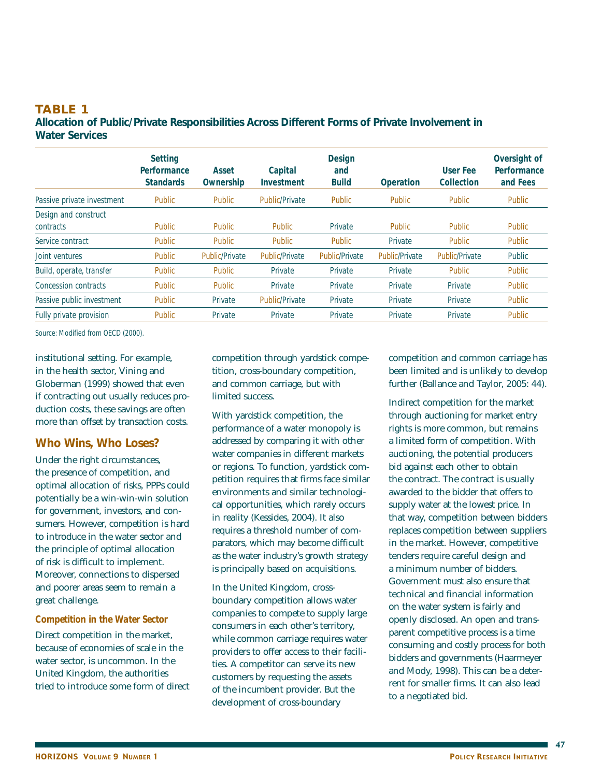#### **TABLE 1 Allocation of Public/Private Responsibilities Across Different Forms of Private Involvement in Water Services**

|                                   | <b>Setting</b><br>Performance<br><b>Standards</b> | Asset<br>Ownership    | Capital<br>Investment | <b>Design</b><br>and<br><b>Build</b> | Operation      | <b>User Fee</b><br>Collection | Oversight of<br>Performance<br>and Fees |
|-----------------------------------|---------------------------------------------------|-----------------------|-----------------------|--------------------------------------|----------------|-------------------------------|-----------------------------------------|
| Passive private investment        | Public                                            | Public                | <b>Public/Private</b> | <b>Public</b>                        | <b>Public</b>  | <b>Public</b>                 | <b>Public</b>                           |
| Design and construct<br>contracts | <b>Public</b>                                     | <b>Public</b>         | <b>Public</b>         | Private                              | <b>Public</b>  | <b>Public</b>                 | <b>Public</b>                           |
| Service contract                  | <b>Public</b>                                     | Public                | <b>Public</b>         | <b>Public</b>                        | Private        | <b>Public</b>                 | <b>Public</b>                           |
| Joint ventures                    | <b>Public</b>                                     | <b>Public/Private</b> | <b>Public/Private</b> | <b>Public/Private</b>                | Public/Private | <b>Public/Private</b>         | Public                                  |
| Build, operate, transfer          | <b>Public</b>                                     | Public                | Private               | Private                              | Private        | <b>Public</b>                 | <b>Public</b>                           |
| Concession contracts              | <b>Public</b>                                     | <b>Public</b>         | Private               | Private                              | Private        | Private                       | <b>Public</b>                           |
| Passive public investment         | <b>Public</b>                                     | Private               | <b>Public/Private</b> | Private                              | Private        | Private                       | <b>Public</b>                           |
| Fully private provision           | <b>Public</b>                                     | Private               | Private               | Private                              | Private        | Private                       | Public                                  |

Source: Modified from OECD (2000).

institutional setting. For example, in the health sector, Vining and Globerman (1999) showed that even if contracting out usually reduces production costs, these savings are often more than offset by transaction costs.

#### **Who Wins, Who Loses?**

Under the right circumstances, the presence of competition, and optimal allocation of risks, PPPs could potentially be a win-win-win solution for government, investors, and consumers. However, competition is hard to introduce in the water sector and the principle of optimal allocation of risk is difficult to implement. Moreover, connections to dispersed and poorer areas seem to remain a great challenge.

#### *Competition in the Water Sector*

Direct competition in the market, because of economies of scale in the water sector, is uncommon. In the United Kingdom, the authorities tried to introduce some form of direct competition through yardstick competition, cross-boundary competition, and common carriage, but with limited success.

With yardstick competition, the performance of a water monopoly is addressed by comparing it with other water companies in different markets or regions. To function, yardstick competition requires that firms face similar environments and similar technological opportunities, which rarely occurs in reality (Kessides, 2004). It also requires a threshold number of comparators, which may become difficult as the water industry's growth strategy is principally based on acquisitions.

In the United Kingdom, crossboundary competition allows water companies to compete to supply large consumers in each other's territory, while common carriage requires water providers to offer access to their facilities. A competitor can serve its new customers by requesting the assets of the incumbent provider. But the development of cross-boundary

competition and common carriage has been limited and is unlikely to develop further (Ballance and Taylor, 2005: 44).

Indirect competition for the market through auctioning for market entry rights is more common, but remains a limited form of competition. With auctioning, the potential producers bid against each other to obtain the contract. The contract is usually awarded to the bidder that offers to supply water at the lowest price. In that way, competition between bidders replaces competition between suppliers in the market. However, competitive tenders require careful design and a minimum number of bidders. Government must also ensure that technical and financial information on the water system is fairly and openly disclosed. An open and transparent competitive process is a time consuming and costly process for both bidders and governments (Haarmeyer and Mody, 1998). This can be a deterrent for smaller firms. It can also lead to a negotiated bid.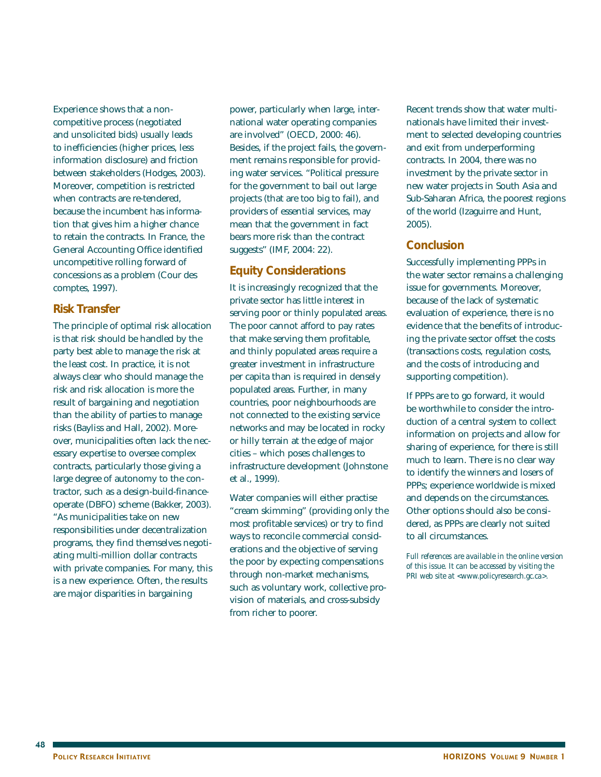Experience shows that a noncompetitive process (negotiated and unsolicited bids) usually leads to inefficiencies (higher prices, less information disclosure) and friction between stakeholders (Hodges, 2003). Moreover, competition is restricted when contracts are re-tendered, because the incumbent has information that gives him a higher chance to retain the contracts. In France, the General Accounting Office identified uncompetitive rolling forward of concessions as a problem (Cour des comptes, 1997).

#### **Risk Transfer**

The principle of optimal risk allocation is that risk should be handled by the party best able to manage the risk at the least cost. In practice, it is not always clear who should manage the risk and risk allocation is more the result of bargaining and negotiation than the ability of parties to manage risks (Bayliss and Hall, 2002). Moreover, municipalities often lack the necessary expertise to oversee complex contracts, particularly those giving a large degree of autonomy to the contractor, such as a design-build-financeoperate (DBFO) scheme (Bakker, 2003). "As municipalities take on new responsibilities under decentralization programs, they find themselves negotiating multi-million dollar contracts with private companies. For many, this is a new experience. Often, the results are major disparities in bargaining

power, particularly when large, international water operating companies are involved" (OECD, 2000: 46). Besides, if the project fails, the government remains responsible for providing water services. "Political pressure for the government to bail out large projects (that are too big to fail), and providers of essential services, may mean that the government in fact bears more risk than the contract suggests" (IMF, 2004: 22).

## **Equity Considerations**

It is increasingly recognized that the private sector has little interest in serving poor or thinly populated areas. The poor cannot afford to pay rates that make serving them profitable, and thinly populated areas require a greater investment in infrastructure per capita than is required in densely populated areas. Further, in many countries, poor neighbourhoods are not connected to the existing service networks and may be located in rocky or hilly terrain at the edge of major cities – which poses challenges to infrastructure development (Johnstone et al., 1999).

Water companies will either practise "cream skimming" (providing only the most profitable services) or try to find ways to reconcile commercial considerations and the objective of serving the poor by expecting compensations through non-market mechanisms, such as voluntary work, collective provision of materials, and cross-subsidy from richer to poorer.

Recent trends show that water multinationals have limited their investment to selected developing countries and exit from underperforming contracts. In 2004, there was no investment by the private sector in new water projects in South Asia and Sub-Saharan Africa, the poorest regions of the world (Izaguirre and Hunt, 2005).

### **Conclusion**

Successfully implementing PPPs in the water sector remains a challenging issue for governments. Moreover, because of the lack of systematic evaluation of experience, there is no evidence that the benefits of introducing the private sector offset the costs (transactions costs, regulation costs, and the costs of introducing and supporting competition).

If PPPs are to go forward, it would be worthwhile to consider the introduction of a central system to collect information on projects and allow for sharing of experience, for there is still much to learn. There is no clear way to identify the winners and losers of PPPs; experience worldwide is mixed and depends on the circumstances. Other options should also be considered, as PPPs are clearly not suited to all circumstances.

*Full references are available in the online version of this issue. It can be accessed by visiting the PRI web site at <www.policyresearch.gc.ca>.*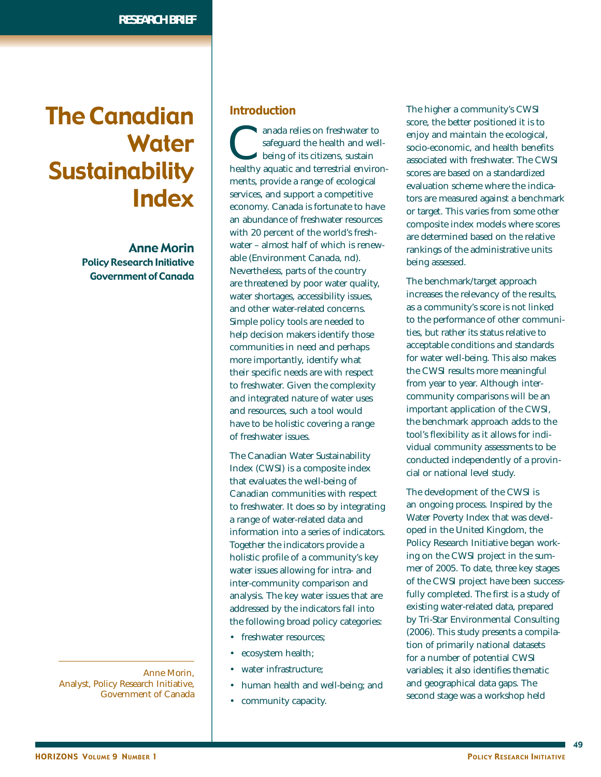# The Canadian **Water Sustainability** Index

Anne Morin Policy Research Initiative Government of Canada

Anne Morin, Analyst, Policy Research Initiative, Government of Canada

#### **Introduction**

canada relies on freshwater to<br>safeguard the health and well-<br>being of its citizens, sustain<br>healthy aquatic and terrestrial environsafeguard the health and wellbeing of its citizens, sustain ments, provide a range of ecological services, and support a competitive economy. Canada is fortunate to have an abundance of freshwater resources with 20 percent of the world's freshwater – almost half of which is renewable (Environment Canada, nd). Nevertheless, parts of the country are threatened by poor water quality, water shortages, accessibility issues, and other water-related concerns. Simple policy tools are needed to help decision makers identify those communities in need and perhaps more importantly, identify what their specific needs are with respect to freshwater. Given the complexity and integrated nature of water uses and resources, such a tool would have to be holistic covering a range of freshwater issues.

The Canadian Water Sustainability Index (CWSI) is a composite index that evaluates the well-being of Canadian communities with respect to freshwater. It does so by integrating a range of water-related data and information into a series of indicators. Together the indicators provide a holistic profile of a community's key water issues allowing for intra- and inter-community comparison and analysis. The key water issues that are addressed by the indicators fall into the following broad policy categories:

- freshwater resources;
- ecosystem health;
- water infrastructure;
- human health and well-being; and
- community capacity.

The higher a community's CWSI score, the better positioned it is to enjoy and maintain the ecological, socio-economic, and health benefits associated with freshwater. The CWSI scores are based on a standardized evaluation scheme where the indicators are measured against a benchmark or target. This varies from some other composite index models where scores are determined based on the relative rankings of the administrative units being assessed.

The benchmark/target approach increases the relevancy of the results, as a community's score is not linked to the performance of other communities, but rather its status relative to acceptable conditions and standards for water well-being. This also makes the CWSI results more meaningful from year to year. Although intercommunity comparisons will be an important application of the CWSI, the benchmark approach adds to the tool's flexibility as it allows for individual community assessments to be conducted independently of a provincial or national level study.

The development of the CWSI is an ongoing process. Inspired by the Water Poverty Index that was developed in the United Kingdom, the Policy Research Initiative began working on the CWSI project in the summer of 2005. To date, three key stages of the CWSI project have been successfully completed. The first is a study of existing water-related data, prepared by Tri-Star Environmental Consulting (2006). This study presents a compilation of primarily national datasets for a number of potential CWSI variables; it also identifies thematic and geographical data gaps. The second stage was a workshop held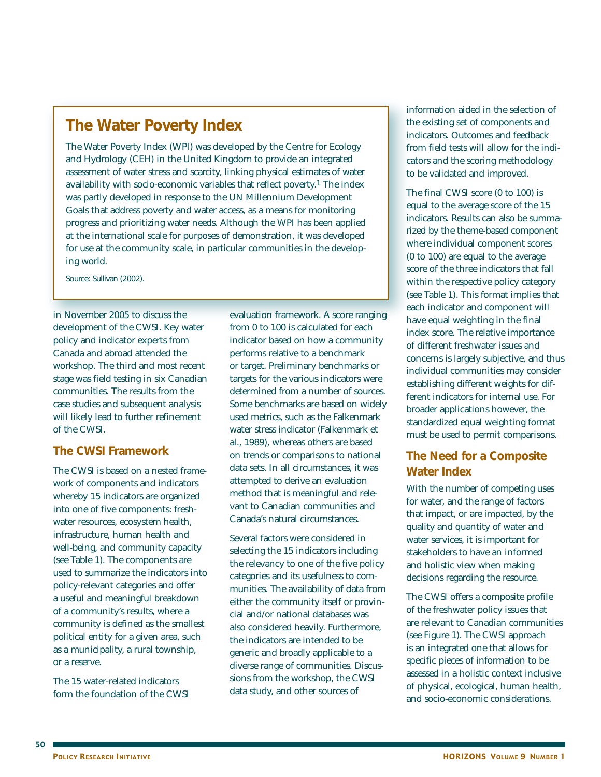# **The Water Poverty Index**

The Water Poverty Index (WPI) was developed by the Centre for Ecology and Hydrology (CEH) in the United Kingdom to provide an integrated assessment of water stress and scarcity, linking physical estimates of water availability with socio-economic variables that reflect poverty.1 The index was partly developed in response to the UN Millennium Development Goals that address poverty and water access, as a means for monitoring progress and prioritizing water needs. Although the WPI has been applied at the international scale for purposes of demonstration, it was developed for use at the community scale, in particular communities in the developing world.

Source: Sullivan (2002).

in November 2005 to discuss the development of the CWSI. Key water policy and indicator experts from Canada and abroad attended the workshop. The third and most recent stage was field testing in six Canadian communities. The results from the case studies and subsequent analysis will likely lead to further refinement of the CWSI.

## **The CWSI Framework**

The CWSI is based on a nested framework of components and indicators whereby 15 indicators are organized into one of five components: freshwater resources, ecosystem health, infrastructure, human health and well-being, and community capacity (see Table 1). The components are used to summarize the indicators into policy-relevant categories and offer a useful and meaningful breakdown of a community's results, where a community is defined as the smallest political entity for a given area, such as a municipality, a rural township, or a reserve.

The 15 water-related indicators form the foundation of the CWSI

evaluation framework. A score ranging from 0 to 100 is calculated for each indicator based on how a community performs relative to a benchmark or target. Preliminary benchmarks or targets for the various indicators were determined from a number of sources. Some benchmarks are based on widely used metrics, such as the Falkenmark water stress indicator (Falkenmark et al., 1989), whereas others are based on trends or comparisons to national data sets. In all circumstances, it was attempted to derive an evaluation method that is meaningful and relevant to Canadian communities and Canada's natural circumstances.

Several factors were considered in selecting the 15 indicators including the relevancy to one of the five policy categories and its usefulness to communities. The availability of data from either the community itself or provincial and/or national databases was also considered heavily. Furthermore, the indicators are intended to be generic and broadly applicable to a diverse range of communities. Discussions from the workshop, the CWSI data study, and other sources of

information aided in the selection of the existing set of components and indicators. Outcomes and feedback from field tests will allow for the indicators and the scoring methodology to be validated and improved.

The final CWSI score (0 to 100) is equal to the average score of the 15 indicators. Results can also be summarized by the theme-based component where individual component scores (0 to 100) are equal to the average score of the three indicators that fall within the respective policy category (see Table 1). This format implies that each indicator and component will have equal weighting in the final index score. The relative importance of different freshwater issues and concerns is largely subjective, and thus individual communities may consider establishing different weights for different indicators for internal use. For broader applications however, the standardized equal weighting format must be used to permit comparisons.

# **The Need for a Composite Water Index**

With the number of competing uses for water, and the range of factors that impact, or are impacted, by the quality and quantity of water and water services, it is important for stakeholders to have an informed and holistic view when making decisions regarding the resource.

The CWSI offers a composite profile of the freshwater policy issues that are relevant to Canadian communities (see Figure 1). The CWSI approach is an integrated one that allows for specific pieces of information to be assessed in a holistic context inclusive of physical, ecological, human health, and socio-economic considerations.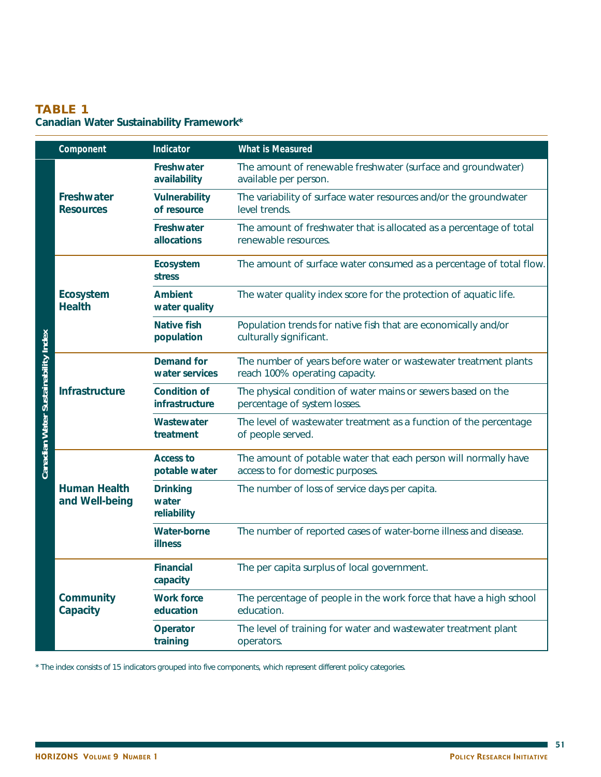# **TABLE 1**

# **Canadian Water Sustainability Framework\***

|                                     | Component                             | Indicator                               | <b>What is Measured</b>                                                                             |  |
|-------------------------------------|---------------------------------------|-----------------------------------------|-----------------------------------------------------------------------------------------------------|--|
| Canadian Water Sustainability Index |                                       | Freshwater<br>availability              | The amount of renewable freshwater (surface and groundwater)<br>available per person.               |  |
|                                     | Freshwater<br><b>Resources</b>        | <b>Vulnerability</b><br>of resource     | The variability of surface water resources and/or the groundwater<br>level trends.                  |  |
|                                     |                                       | Freshwater<br>allocations               | The amount of freshwater that is allocated as a percentage of total<br>renewable resources.         |  |
|                                     |                                       | Ecosystem<br><b>stress</b>              | The amount of surface water consumed as a percentage of total flow.                                 |  |
|                                     | <b>Ecosystem</b><br><b>Health</b>     | <b>Ambient</b><br>water quality         | The water quality index score for the protection of aquatic life.                                   |  |
|                                     |                                       | <b>Native fish</b><br>population        | Population trends for native fish that are economically and/or<br>culturally significant.           |  |
|                                     | <b>Infrastructure</b>                 | <b>Demand for</b><br>water services     | The number of years before water or wastewater treatment plants<br>reach 100% operating capacity.   |  |
|                                     |                                       | <b>Condition of</b><br>infrastructure   | The physical condition of water mains or sewers based on the<br>percentage of system losses.        |  |
|                                     |                                       | Wastewater<br>treatment                 | The level of wastewater treatment as a function of the percentage<br>of people served.              |  |
|                                     |                                       | <b>Access to</b><br>potable water       | The amount of potable water that each person will normally have<br>access to for domestic purposes. |  |
|                                     | <b>Human Health</b><br>and Well-being | <b>Drinking</b><br>water<br>reliability | The number of loss of service days per capita.                                                      |  |
|                                     |                                       | <b>Water-borne</b><br><b>illness</b>    | The number of reported cases of water-borne illness and disease.                                    |  |
|                                     |                                       | <b>Financial</b><br>capacity            | The per capita surplus of local government.                                                         |  |
|                                     | Community<br>Capacity                 | <b>Work force</b><br>education          | The percentage of people in the work force that have a high school<br>education.                    |  |
|                                     |                                       | Operator<br>training                    | The level of training for water and wastewater treatment plant<br>operators.                        |  |

\* The index consists of 15 indicators grouped into five components, which represent different policy categories.

 $\blacksquare$  51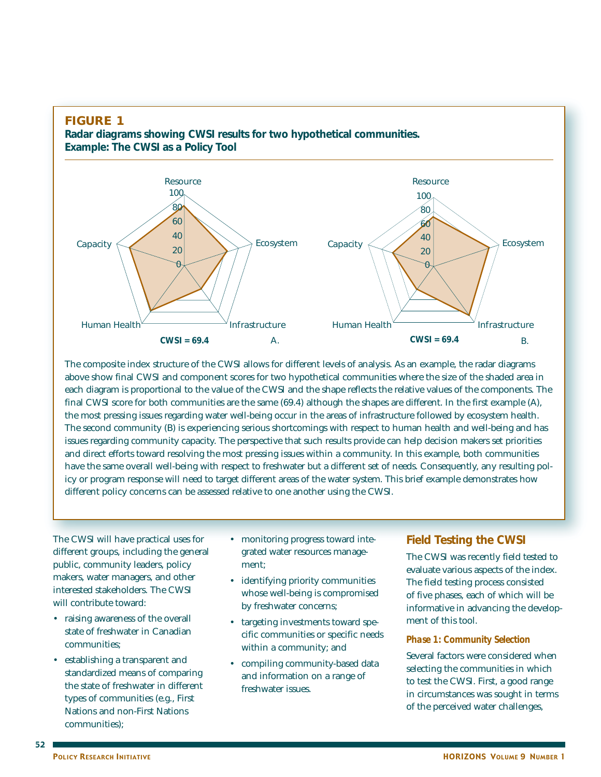

The composite index structure of the CWSI allows for different levels of analysis. As an example, the radar diagrams above show final CWSI and component scores for two hypothetical communities where the size of the shaded area in each diagram is proportional to the value of the CWSI and the shape reflects the relative values of the components. The final CWSI score for both communities are the same (69.4) although the shapes are different. In the first example (A), the most pressing issues regarding water well-being occur in the areas of infrastructure followed by ecosystem health. The second community (B) is experiencing serious shortcomings with respect to human health and well-being and has issues regarding community capacity. The perspective that such results provide can help decision makers set priorities and direct efforts toward resolving the most pressing issues within a community. In this example, both communities have the same overall well-being with respect to freshwater but a different set of needs. Consequently, any resulting policy or program response will need to target different areas of the water system. This brief example demonstrates how different policy concerns can be assessed relative to one another using the CWSI.

The CWSI will have practical uses for different groups, including the general public, community leaders, policy makers, water managers, and other interested stakeholders. The CWSI will contribute toward:

- raising awareness of the overall state of freshwater in Canadian communities;
- establishing a transparent and standardized means of comparing the state of freshwater in different types of communities (e.g., First Nations and non-First Nations communities);
- monitoring progress toward integrated water resources management;
- identifying priority communities whose well-being is compromised by freshwater concerns;
- targeting investments toward specific communities or specific needs within a community; and
- compiling community-based data and information on a range of freshwater issues.

# **Field Testing the CWSI**

The CWSI was recently field tested to evaluate various aspects of the index. The field testing process consisted of five phases, each of which will be informative in advancing the development of this tool.

#### *Phase 1: Community Selection*

Several factors were considered when selecting the communities in which to test the CWSI. First, a good range in circumstances was sought in terms of the perceived water challenges,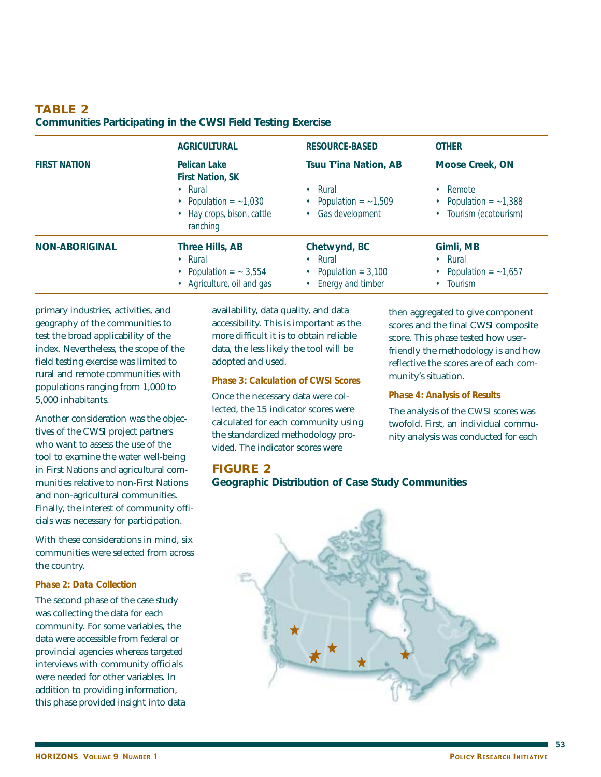## **TABLE 2 Communities Participating in the CWSI Field Testing Exercise**

|                       | <b>AGRICULTURAL</b>                                                                             | <b>RESOURCE-BASED</b>                                                          | <b>OTHER</b>                                                      |
|-----------------------|-------------------------------------------------------------------------------------------------|--------------------------------------------------------------------------------|-------------------------------------------------------------------|
| <b>FIRST NATION</b>   | Pelican Lake<br><b>First Nation, SK</b>                                                         | <b>Tsuu T'ina Nation, AB</b>                                                   | Moose Creek, ON                                                   |
|                       | $\cdot$ Rural<br>• Population $=$ $-1,030$<br>• Hay crops, bison, cattle<br>ranching            | $\cdot$ Rural<br>• Population = $\sim$ 1,509<br>• Gas development              | • Remote<br>• Population = $\sim$ 1,388<br>• Tourism (ecotourism) |
| <b>NON-ABORIGINAL</b> | Three Hills, AB<br>$\cdot$ Rural<br>• Population $=$ $\sim$ 3,554<br>• Agriculture, oil and gas | Chetwynd, BC<br>$\cdot$ Rural<br>• Population = $3,100$<br>• Energy and timber | Gimli, MB<br>• Rural<br>• Population = $\sim$ 1,657<br>Tourism    |

primary industries, activities, and geography of the communities to test the broad applicability of the index. Nevertheless, the scope of the field testing exercise was limited to rural and remote communities with populations ranging from 1,000 to 5,000 inhabitants.

Another consideration was the objectives of the CWSI project partners who want to assess the use of the tool to examine the water well-being in First Nations and agricultural communities relative to non-First Nations and non-agricultural communities. Finally, the interest of community officials was necessary for participation.

With these considerations in mind, six communities were selected from across the country.

#### *Phase 2: Data Collection*

The second phase of the case study was collecting the data for each community. For some variables, the data were accessible from federal or provincial agencies whereas targeted interviews with community officials were needed for other variables. In addition to providing information, this phase provided insight into data availability, data quality, and data accessibility. This is important as the more difficult it is to obtain reliable data, the less likely the tool will be adopted and used.

#### *Phase 3: Calculation of CWSI Scores*

Once the necessary data were collected, the 15 indicator scores were calculated for each community using the standardized methodology provided. The indicator scores were

## **FIGURE 2**

## **Geographic Distribution of Case Study Communities**

then aggregated to give component scores and the final CWSI composite score. This phase tested how userfriendly the methodology is and how reflective the scores are of each community's situation.

#### *Phase 4: Analysis of Results*

The analysis of the CWSI scores was twofold. First, an individual community analysis was conducted for each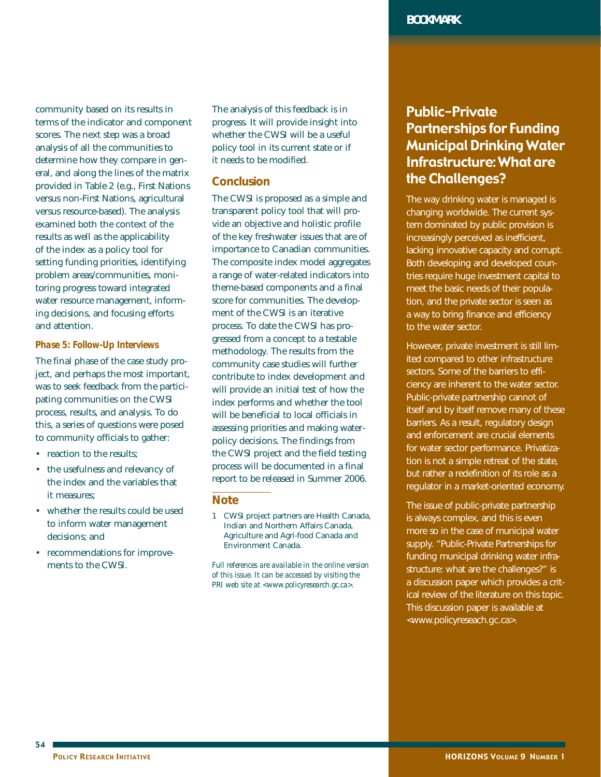community based on its results in terms of the indicator and component scores. The next step was a broad analysis of all the communities to determine how they compare in general, and along the lines of the matrix provided in Table 2 (e.g., First Nations versus non-First Nations, agricultural versus resource-based). The analysis examined both the context of the results as well as the applicability of the index as a policy tool for setting funding priorities, identifying problem areas/communities, monitoring progress toward integrated water resource management, informing decisions, and focusing efforts and attention.

#### *Phase 5: Follow-Up Interviews*

The final phase of the case study project, and perhaps the most important, was to seek feedback from the participating communities on the CWSI process, results, and analysis. To do this, a series of questions were posed to community officials to gather:

- reaction to the results:
- the usefulness and relevancy of the index and the variables that it measures;
- whether the results could be used to inform water management decisions; and
- recommendations for improvements to the CWSI.

The analysis of this feedback is in progress. It will provide insight into whether the CWSI will be a useful policy tool in its current state or if it needs to be modified.

#### **Conclusion**

The CWSI is proposed as a simple and transparent policy tool that will provide an objective and holistic profile of the key freshwater issues that are of importance to Canadian communities. The composite index model aggregates a range of water-related indicators into theme-based components and a final score for communities. The development of the CWSI is an iterative process. To date the CWSI has progressed from a concept to a testable methodology. The results from the community case studies will further contribute to index development and will provide an initial test of how the index performs and whether the tool will be beneficial to local officials in assessing priorities and making waterpolicy decisions. The findings from the CWSI project and the field testing process will be documented in a final report to be released in Summer 2006.

#### **Note**

1 CWSI project partners are Health Canada, Indian and Northern Affairs Canada, Agriculture and Agri-food Canada and Environment Canada.

*Full references are available in the online version of this issue. It can be accessed by visiting the PRI web site at <www.policyresearch.gc.ca>.*

# Public-Private Partnerships for Funding Municipal Drinking Water Infrastructure: What are the Challenges?

The way drinking water is managed is changing worldwide. The current system dominated by public provision is increasingly perceived as inefficient, lacking innovative capacity and corrupt. Both developing and developed countries require huge investment capital to meet the basic needs of their population, and the private sector is seen as a way to bring finance and efficiency to the water sector.

However, private investment is still limited compared to other infrastructure sectors. Some of the barriers to efficiency are inherent to the water sector. Public-private partnership cannot of itself and by itself remove many of these barriers. As a result, regulatory design and enforcement are crucial elements for water sector performance. Privatization is not a simple retreat of the state, but rather a redefinition of its role as a regulator in a market-oriented economy.

The issue of public-private partnership is always complex, and this is even more so in the case of municipal water supply. "Public-Private Partnerships for funding municipal drinking water infrastructure: what are the challenges?" is a discussion paper which provides a critical review of the literature on this topic. This discussion paper is available at <www.policyreseach.gc.ca>.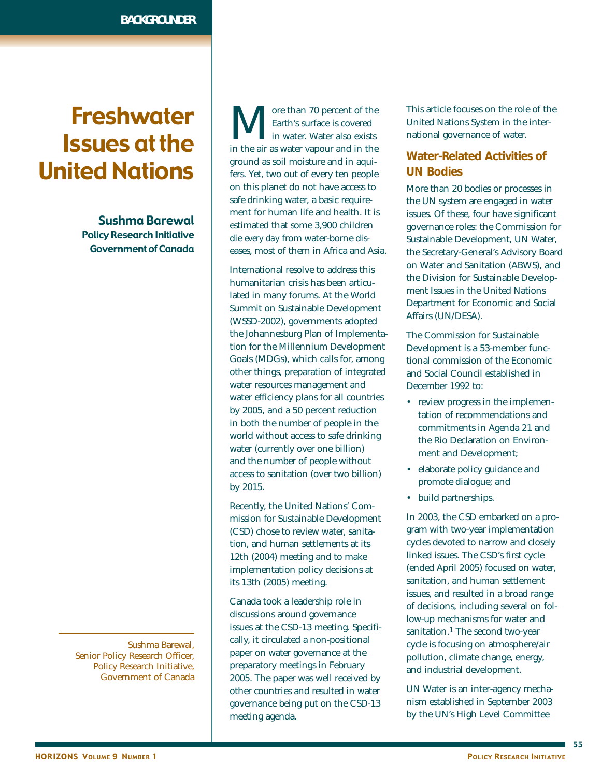# Freshwater Issues at the United Nations

Sushma Barewal Policy Research Initiative Government of Canada

Sushma Barewal, Senior Policy Research Officer, Policy Research Initiative, Government of Canada

**M** Fore than 70 percent of the Earth's surface is covered in the air as water vapour and in the Earth's surface is covered in water. Water also exists ground as soil moisture and in aquifers. Yet, two out of every ten people on this planet do not have access to safe drinking water, a basic requirement for human life and health. It is estimated that some 3,900 children die *every day* from water-borne diseases, most of them in Africa and Asia.

International resolve to address this humanitarian crisis has been articulated in many forums. At the World Summit on Sustainable Development (WSSD-2002), governments adopted the Johannesburg Plan of Implementation for the Millennium Development Goals (MDGs), which calls for, among other things, preparation of integrated water resources management and water efficiency plans for all countries by 2005, and a 50 percent reduction in both the number of people in the world without access to safe drinking water (currently over one billion) and the number of people without access to sanitation (over two billion) by 2015.

Recently, the United Nations' Commission for Sustainable Development (CSD) chose to review water, sanitation, and human settlements at its 12th (2004) meeting and to make implementation policy decisions at its 13th (2005) meeting.

Canada took a leadership role in discussions around governance issues at the CSD-13 meeting. Specifically, it circulated a non-positional paper on water governance at the preparatory meetings in February 2005. The paper was well received by other countries and resulted in water governance being put on the CSD-13 meeting agenda.

This article focuses on the role of the United Nations System in the international governance of water.

## **Water-Related Activities of UN Bodies**

More than 20 bodies or processes in the UN system are engaged in water issues. Of these, four have significant governance roles: the Commission for Sustainable Development, UN Water, the Secretary-General's Advisory Board on Water and Sanitation (ABWS), and the Division for Sustainable Development Issues in the United Nations Department for Economic and Social Affairs (UN/DESA).

The Commission for Sustainable Development is a 53-member functional commission of the Economic and Social Council established in December 1992 to:

- review progress in the implementation of recommendations and commitments in Agenda 21 and the Rio Declaration on Environment and Development;
- elaborate policy guidance and promote dialogue; and
- build partnerships.

In 2003, the CSD embarked on a program with two-year implementation cycles devoted to narrow and closely linked issues. The CSD's first cycle (ended April 2005) focused on water, sanitation, and human settlement issues, and resulted in a broad range of decisions, including several on follow-up mechanisms for water and sanitation.<sup>1</sup> The second two-year cycle is focusing on atmosphere/air pollution, climate change, energy, and industrial development.

UN Water is an inter-agency mechanism established in September 2003 by the UN's High Level Committee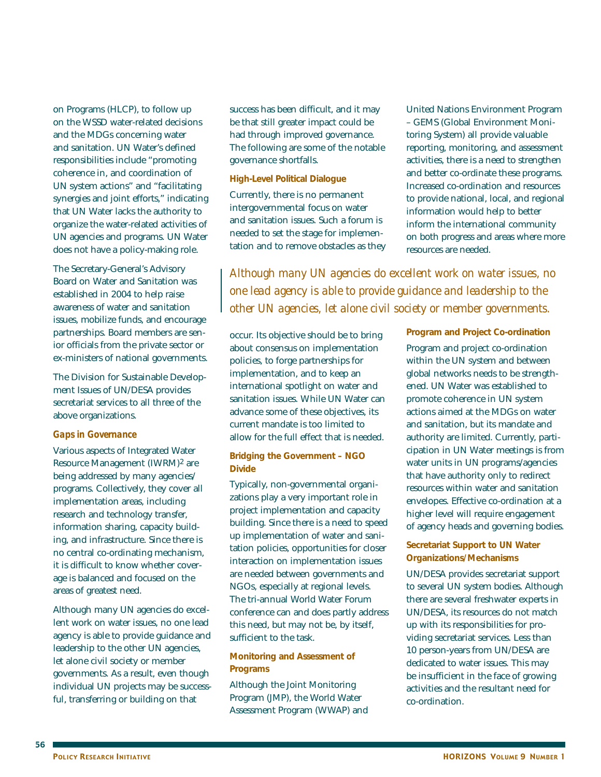on Programs (HLCP), to follow up on the WSSD water-related decisions and the MDGs concerning water and sanitation. UN Water's defined responsibilities include "promoting coherence in, and coordination of UN system actions" and "facilitating synergies and joint efforts," indicating that UN Water lacks the authority to organize the water-related activities of UN agencies and programs. UN Water does not have a policy-making role.

The Secretary-General's Advisory Board on Water and Sanitation was established in 2004 to help raise awareness of water and sanitation issues, mobilize funds, and encourage partnerships. Board members are senior officials from the private sector or ex-ministers of national governments.

The Division for Sustainable Development Issues of UN/DESA provides secretariat services to all three of the above organizations.

#### *Gaps in Governance*

Various aspects of Integrated Water Resource Management (IWRM)2 are being addressed by many agencies/ programs. Collectively, they cover all implementation areas, including research and technology transfer, information sharing, capacity building, and infrastructure. Since there is no central co-ordinating mechanism, it is difficult to know whether coverage is balanced and focused on the areas of greatest need.

Although many UN agencies do excellent work on water issues, no one lead agency is able to provide guidance and leadership to the other UN agencies, let alone civil society or member governments. As a result, even though individual UN projects may be successful, transferring or building on that

success has been difficult, and it may be that still greater impact could be had through improved governance. The following are some of the notable governance shortfalls.

#### **High-Level Political Dialogue**

Currently, there is no permanent intergovernmental focus on water and sanitation issues. Such a forum is needed to set the stage for implementation and to remove obstacles as they United Nations Environment Program – GEMS (Global Environment Monitoring System) all provide valuable reporting, monitoring, and assessment activities, there is a need to strengthen and better co-ordinate these programs. Increased co-ordination and resources to provide national, local, and regional information would help to better inform the international community on both progress and areas where more resources are needed.

*Although many UN agencies do excellent work on water issues, no one lead agency is able to provide guidance and leadership to the other UN agencies, let alone civil society or member governments.*

occur. Its objective should be to bring about consensus on implementation policies, to forge partnerships for implementation, and to keep an international spotlight on water and sanitation issues. While UN Water can advance some of these objectives, its current mandate is too limited to allow for the full effect that is needed.

#### **Bridging the Government – NGO Divide**

Typically, non-governmental organizations play a very important role in project implementation and capacity building. Since there is a need to speed up implementation of water and sanitation policies, opportunities for closer interaction on implementation issues are needed between governments and NGOs, especially at regional levels. The tri-annual World Water Forum conference can and does partly address this need, but may not be, by itself, sufficient to the task.

#### **Monitoring and Assessment of Programs**

Although the Joint Monitoring Program (JMP), the World Water Assessment Program (WWAP) and **Program and Project Co-ordination**  Program and project co-ordination within the UN system and between global networks needs to be strengthened. UN Water was established to promote coherence in UN system actions aimed at the MDGs on water and sanitation, but its mandate and authority are limited. Currently, participation in UN Water meetings is from water units in UN programs/agencies that have authority only to redirect resources within water and sanitation envelopes. Effective co-ordination at a higher level will require engagement of agency heads and governing bodies.

#### **Secretariat Support to UN Water Organizations/Mechanisms**

UN/DESA provides secretariat support to several UN system bodies. Although there are several freshwater experts in UN/DESA, its resources do not match up with its responsibilities for providing secretariat services. Less than 10 person-years from UN/DESA are dedicated to water issues. This may be insufficient in the face of growing activities and the resultant need for co-ordination.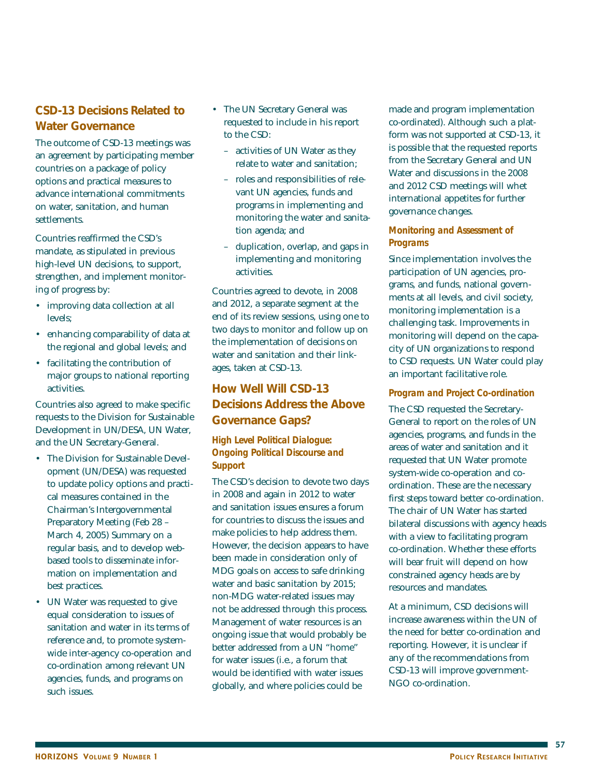# **CSD-13 Decisions Related to Water Governance**

The outcome of CSD-13 meetings was an agreement by participating member countries on a package of policy options and practical measures to advance international commitments on water, sanitation, and human settlements.

Countries reaffirmed the CSD's mandate, as stipulated in previous high-level UN decisions, to support, strengthen, and implement monitoring of progress by:

- improving data collection at all levels;
- enhancing comparability of data at the regional and global levels; and
- facilitating the contribution of major groups to national reporting activities.

Countries also agreed to make specific requests to the Division for Sustainable Development in UN/DESA, UN Water, and the UN Secretary-General.

- The Division for Sustainable Development (UN/DESA) was requested to update policy options and practical measures contained in the Chairman's Intergovernmental Preparatory Meeting (Feb 28 – March 4, 2005) Summary on a regular basis, and to develop webbased tools to disseminate information on implementation and best practices.
- UN Water was requested to give equal consideration to issues of sanitation and water in its terms of reference and, to promote systemwide inter-agency co-operation and co-ordination among relevant UN agencies, funds, and programs on such issues.
- The UN Secretary General was requested to include in his report to the CSD:
	- activities of UN Water as they relate to water and sanitation;
	- roles and responsibilities of relevant UN agencies, funds and programs in implementing and monitoring the water and sanitation agenda; and
	- duplication, overlap, and gaps in implementing and monitoring activities.

Countries agreed to devote, in 2008 and 2012, a separate segment at the end of its review sessions, using one to two days to monitor and follow up on the implementation of decisions on water and sanitation and their linkages, taken at CSD-13.

# **How Well Will CSD-13 Decisions Address the Above Governance Gaps?**

#### *High Level Political Dialogue: Ongoing Political Discourse and Support*

The CSD's decision to devote two days in 2008 and again in 2012 to water and sanitation issues ensures a forum for countries to discuss the issues and make policies to help address them. However, the decision appears to have been made in consideration only of MDG goals on access to safe drinking water and basic sanitation by 2015; non-MDG water-related issues may not be addressed through this process. Management of water resources is an ongoing issue that would probably be better addressed from a UN "home" for water issues (i.e., a forum that would be identified with water issues globally, and where policies could be

made and program implementation co-ordinated). Although such a platform was not supported at CSD-13, it is possible that the requested reports from the Secretary General and UN Water and discussions in the 2008 and 2012 CSD meetings will whet international appetites for further governance changes.

## *Monitoring and Assessment of Programs*

Since implementation involves the participation of UN agencies, programs, and funds, national governments at all levels, and civil society, monitoring implementation is a challenging task. Improvements in monitoring will depend on the capacity of UN organizations to respond to CSD requests. UN Water could play an important facilitative role.

## *Program and Project Co-ordination*

The CSD requested the Secretary-General to report on the roles of UN agencies, programs, and funds in the areas of water and sanitation and it requested that UN Water promote system-wide co-operation and coordination. These are the necessary first steps toward better co-ordination. The chair of UN Water has started bilateral discussions with agency heads with a view to facilitating program co-ordination. Whether these efforts will bear fruit will depend on how constrained agency heads are by resources and mandates.

At a minimum, CSD decisions will increase awareness within the UN of the need for better co-ordination and reporting. However, it is unclear if any of the recommendations from CSD-13 will improve government-NGO co-ordination.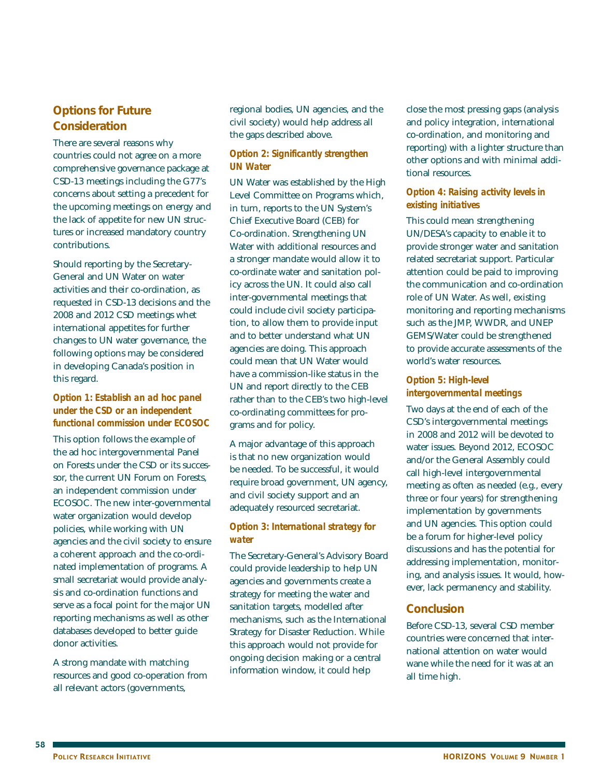## **Options for Future Consideration**

There are several reasons why countries could not agree on a more comprehensive governance package at CSD-13 meetings including the G77's concerns about setting a precedent for the upcoming meetings on energy and the lack of appetite for new UN structures or increased mandatory country contributions.

Should reporting by the Secretary-General and UN Water on water activities and their co-ordination, as requested in CSD-13 decisions and the 2008 and 2012 CSD meetings whet international appetites for further changes to UN water governance, the following options may be considered in developing Canada's position in this regard.

#### *Option 1: Establish an ad hoc panel under the CSD or an independent functional commission under ECOSOC*

This option follows the example of the ad hoc intergovernmental Panel on Forests under the CSD or its successor, the current UN Forum on Forests, an independent commission under ECOSOC. The new inter-governmental water organization would develop policies, while working with UN agencies and the civil society to ensure a coherent approach and the co-ordinated implementation of programs. A small secretariat would provide analysis and co-ordination functions and serve as a focal point for the major UN reporting mechanisms as well as other databases developed to better guide donor activities.

A strong mandate with matching resources and good co-operation from all relevant actors (governments,

regional bodies, UN agencies, and the civil society) would help address all the gaps described above.

#### *Option 2: Significantly strengthen UN Water*

UN Water was established by the High Level Committee on Programs which, in turn, reports to the UN System's Chief Executive Board (CEB) for Co-ordination. Strengthening UN Water with additional resources and a stronger mandate would allow it to co-ordinate water and sanitation policy across the UN. It could also call inter-governmental meetings that could include civil society participation, to allow them to provide input and to better understand what UN agencies are doing. This approach could mean that UN Water would have a commission-like status in the UN and report directly to the CEB rather than to the CEB's two high-level co-ordinating committees for programs and for policy.

A major advantage of this approach is that no new organization would be needed. To be successful, it would require broad government, UN agency, and civil society support and an adequately resourced secretariat.

### *Option 3: International strategy for water*

The Secretary-General's Advisory Board could provide leadership to help UN agencies and governments create a strategy for meeting the water and sanitation targets, modelled after mechanisms, such as the International Strategy for Disaster Reduction. While this approach would not provide for ongoing decision making or a central information window, it could help

close the most pressing gaps (analysis and policy integration, international co-ordination, and monitoring and reporting) with a lighter structure than other options and with minimal additional resources.

#### *Option 4: Raising activity levels in existing initiatives*

This could mean strengthening UN/DESA's capacity to enable it to provide stronger water and sanitation related secretariat support. Particular attention could be paid to improving the communication and co-ordination role of UN Water. As well, existing monitoring and reporting mechanisms such as the JMP, WWDR, and UNEP GEMS/Water could be strengthened to provide accurate assessments of the world's water resources.

### *Option 5: High-level intergovernmental meetings*

Two days at the end of each of the CSD's intergovernmental meetings in 2008 and 2012 will be devoted to water issues. Beyond 2012, ECOSOC and/or the General Assembly could call high-level intergovernmental meeting as often as needed (e.g., every three or four years) for strengthening implementation by governments and UN agencies. This option could be a forum for higher-level policy discussions and has the potential for addressing implementation, monitoring, and analysis issues. It would, however, lack permanency and stability.

## **Conclusion**

Before CSD-13, several CSD member countries were concerned that international attention on water would wane while the need for it was at an all time high.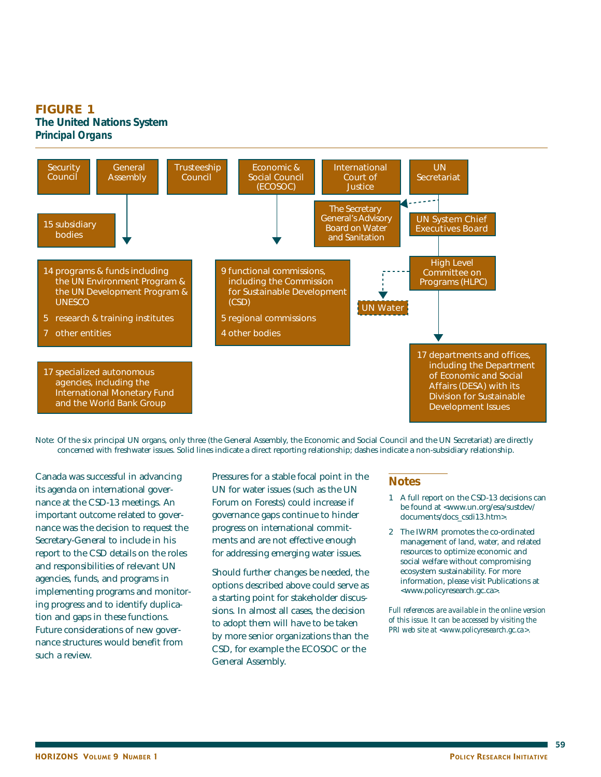## **FIGURE 1 The United Nations System**  *Principal Organs*



Note: Of the six principal UN organs, only three (the General Assembly, the Economic and Social Council and the UN Secretariat) are directly concerned with freshwater issues. Solid lines indicate a direct reporting relationship; dashes indicate a non-subsidiary relationship.

Canada was successful in advancing its agenda on international governance at the CSD-13 meetings. An important outcome related to governance was the decision to request the Secretary-General to include in his report to the CSD details on the roles and responsibilities of relevant UN agencies, funds, and programs in implementing programs and monitoring progress and to identify duplication and gaps in these functions. Future considerations of new governance structures would benefit from such a review.

Pressures for a stable focal point in the UN for water issues (such as the UN Forum on Forests) could increase if governance gaps continue to hinder progress on international commitments and are not effective enough for addressing emerging water issues.

Should further changes be needed, the options described above could serve as a starting point for stakeholder discussions. In almost all cases, the decision to adopt them will have to be taken by more senior organizations than the CSD, for example the ECOSOC or the General Assembly.

#### **Notes**

- 1 A full report on the CSD-13 decisions can be found at <www.un.org/esa/sustdev/ documents/docs\_csdi13.htm>.
- 2 The IWRM promotes the co-ordinated management of land, water, and related resources to optimize economic and social welfare without compromising ecosystem sustainability. For more information, please visit Publications at <www.policyresearch.gc.ca>.

*Full references are available in the online version of this issue. It can be accessed by visiting the PRI web site at <www.policyresearch.gc.ca>.*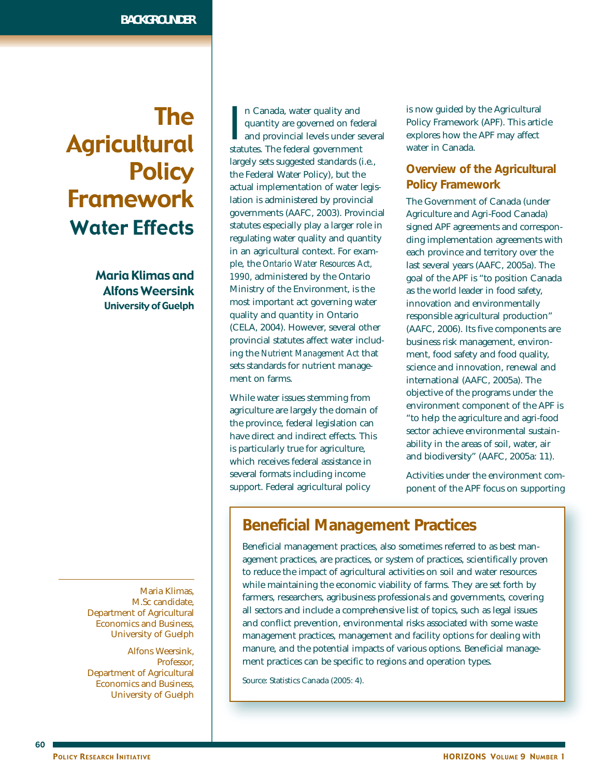# The Agricultural **Policy** Framework Water Effects

Maria Klimas and Alfons Weersink University of Guelph

Maria Klimas, M.Sc candidate, Department of Agricultural Economics and Business, University of Guelph

Alfons Weersink, Professor, Department of Agricultural Economics and Business, University of Guelph In Canada, water quality and<br>quantity are governed on fed<br>and provincial levels under so<br>statutes. The federal government n Canada, water quality and quantity are governed on federal and provincial levels under several largely sets suggested standards (i.e., the Federal Water Policy), but the actual implementation of water legislation is administered by provincial governments (AAFC, 2003). Provincial statutes especially play a larger role in regulating water quality and quantity in an agricultural context. For example, the *Ontario Water Resources Act, 1990*, administered by the Ontario Ministry of the Environment, is the most important act governing water quality and quantity in Ontario (CELA, 2004). However, several other provincial statutes affect water including the *Nutrient Management Act* that sets standards for nutrient management on farms.

While water issues stemming from agriculture are largely the domain of the province, federal legislation can have direct and indirect effects. This is particularly true for agriculture, which receives federal assistance in several formats including income support. Federal agricultural policy

is now guided by the Agricultural Policy Framework (APF). This article explores how the APF may affect water in Canada.

# **Overview of the Agricultural Policy Framework**

The Government of Canada (under Agriculture and Agri-Food Canada) signed APF agreements and corresponding implementation agreements with each province and territory over the last several years (AAFC, 2005a). The goal of the APF is "to position Canada as the world leader in food safety, innovation and environmentally responsible agricultural production" (AAFC, 2006). Its five components are business risk management, environment, food safety and food quality, science and innovation, renewal and international (AAFC, 2005a). The objective of the programs under the environment component of the APF is "to help the agriculture and agri-food sector achieve environmental sustainability in the areas of soil, water, air and biodiversity" (AAFC, 2005a: 11).

Activities under the environment component of the APF focus on supporting

# **Beneficial Management Practices**

Beneficial management practices, also sometimes referred to as best management practices, are practices, or system of practices, scientifically proven to reduce the impact of agricultural activities on soil and water resources while maintaining the economic viability of farms. They are set forth by farmers, researchers, agribusiness professionals and governments, covering all sectors and include a comprehensive list of topics, such as legal issues and conflict prevention, environmental risks associated with some waste management practices, management and facility options for dealing with manure, and the potential impacts of various options. Beneficial management practices can be specific to regions and operation types.

Source: Statistics Canada (2005: 4).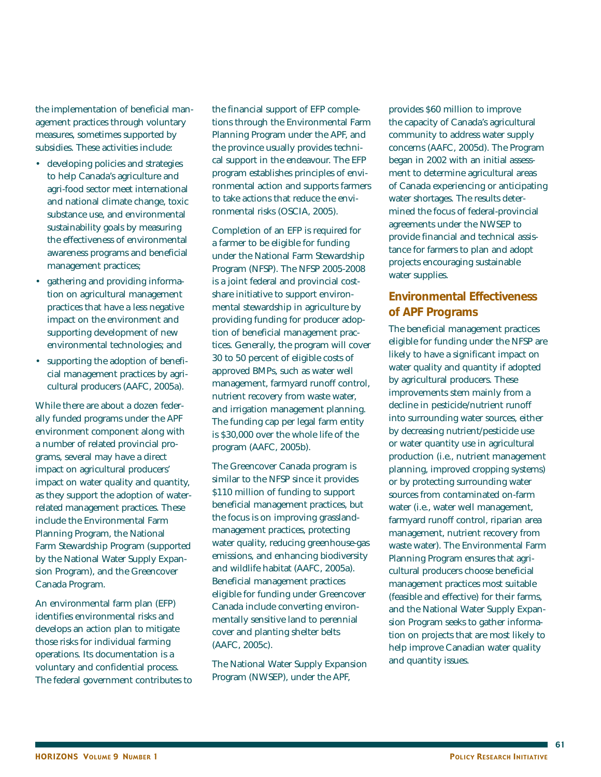the implementation of beneficial management practices through voluntary measures, sometimes supported by subsidies. These activities include:

- developing policies and strategies to help Canada's agriculture and agri-food sector meet international and national climate change, toxic substance use, and environmental sustainability goals by measuring the effectiveness of environmental awareness programs and beneficial management practices;
- gathering and providing information on agricultural management practices that have a less negative impact on the environment and supporting development of new environmental technologies; and
- supporting the adoption of beneficial management practices by agricultural producers (AAFC, 2005a).

While there are about a dozen federally funded programs under the APF environment component along with a number of related provincial programs, several may have a direct impact on agricultural producers' impact on water quality and quantity, as they support the adoption of waterrelated management practices. These include the Environmental Farm Planning Program, the National Farm Stewardship Program (supported by the National Water Supply Expansion Program), and the Greencover Canada Program.

An environmental farm plan (EFP) identifies environmental risks and develops an action plan to mitigate those risks for individual farming operations. Its documentation is a voluntary and confidential process. The federal government contributes to the financial support of EFP completions through the Environmental Farm Planning Program under the APF, and the province usually provides technical support in the endeavour. The EFP program establishes principles of environmental action and supports farmers to take actions that reduce the environmental risks (OSCIA, 2005).

Completion of an EFP is required for a farmer to be eligible for funding under the National Farm Stewardship Program (NFSP). The NFSP 2005-2008 is a joint federal and provincial costshare initiative to support environmental stewardship in agriculture by providing funding for producer adoption of beneficial management practices. Generally, the program will cover 30 to 50 percent of eligible costs of approved BMPs, such as water well management, farmyard runoff control, nutrient recovery from waste water, and irrigation management planning. The funding cap per legal farm entity is \$30,000 over the whole life of the program (AAFC, 2005b).

The Greencover Canada program is similar to the NFSP since it provides \$110 million of funding to support beneficial management practices, but the focus is on improving grasslandmanagement practices, protecting water quality, reducing greenhouse-gas emissions, and enhancing biodiversity and wildlife habitat (AAFC, 2005a). Beneficial management practices eligible for funding under Greencover Canada include converting environmentally sensitive land to perennial cover and planting shelter belts (AAFC, 2005c).

The National Water Supply Expansion Program (NWSEP), under the APF,

provides \$60 million to improve the capacity of Canada's agricultural community to address water supply concerns (AAFC, 2005d). The Program began in 2002 with an initial assessment to determine agricultural areas of Canada experiencing or anticipating water shortages. The results determined the focus of federal-provincial agreements under the NWSEP to provide financial and technical assistance for farmers to plan and adopt projects encouraging sustainable water supplies.

## **Environmental Effectiveness of APF Programs**

The beneficial management practices eligible for funding under the NFSP are likely to have a significant impact on water quality and quantity if adopted by agricultural producers. These improvements stem mainly from a decline in pesticide/nutrient runoff into surrounding water sources, either by decreasing nutrient/pesticide use or water quantity use in agricultural production (i.e., nutrient management planning, improved cropping systems) or by protecting surrounding water sources from contaminated on-farm water (i.e., water well management, farmyard runoff control, riparian area management, nutrient recovery from waste water). The Environmental Farm Planning Program ensures that agricultural producers choose beneficial management practices most suitable (feasible and effective) for their farms, and the National Water Supply Expansion Program seeks to gather information on projects that are most likely to help improve Canadian water quality and quantity issues.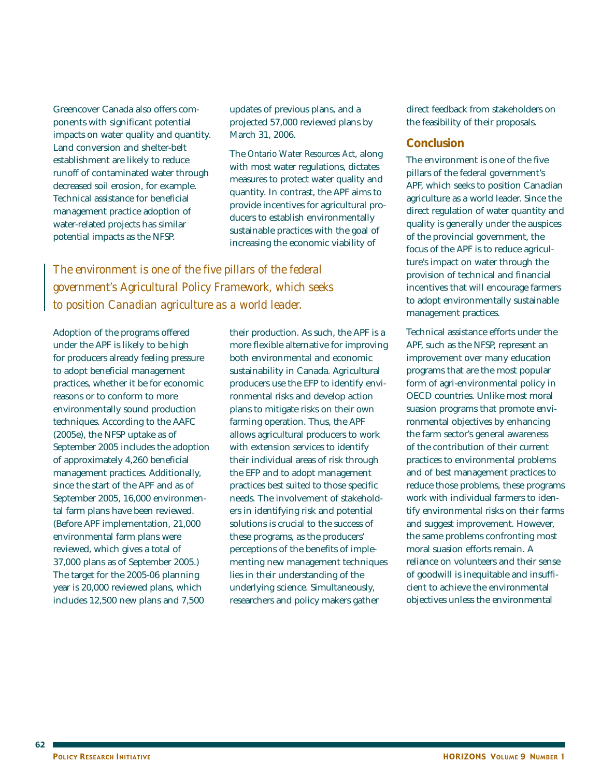Greencover Canada also offers components with significant potential impacts on water quality and quantity. Land conversion and shelter-belt establishment are likely to reduce runoff of contaminated water through decreased soil erosion, for example. Technical assistance for beneficial management practice adoption of water-related projects has similar potential impacts as the NFSP.

updates of previous plans, and a projected 57,000 reviewed plans by March 31, 2006.

The *Ontario Water Resources Act*, along with most water regulations, dictates measures to protect water quality and quantity. In contrast, the APF aims to provide incentives for agricultural producers to establish environmentally sustainable practices with the goal of increasing the economic viability of

*The environment is one of the five pillars of the federal government's Agricultural Policy Framework, which seeks to position Canadian agriculture as a world leader.*

Adoption of the programs offered under the APF is likely to be high for producers already feeling pressure to adopt beneficial management practices, whether it be for economic reasons or to conform to more environmentally sound production techniques. According to the AAFC (2005e), the NFSP uptake as of September 2005 includes the adoption of approximately 4,260 beneficial management practices. Additionally, since the start of the APF and as of September 2005, 16,000 environmental farm plans have been reviewed. (Before APF implementation, 21,000 environmental farm plans were reviewed, which gives a total of 37,000 plans as of September 2005.) The target for the 2005-06 planning year is 20,000 reviewed plans, which includes 12,500 new plans and 7,500

their production. As such, the APF is a more flexible alternative for improving both environmental and economic sustainability in Canada. Agricultural producers use the EFP to identify environmental risks and develop action plans to mitigate risks on their own farming operation. Thus, the APF allows agricultural producers to work with extension services to identify their individual areas of risk through the EFP and to adopt management practices best suited to those specific needs. The involvement of stakeholders in identifying risk and potential solutions is crucial to the success of these programs, as the producers' perceptions of the benefits of implementing new management techniques lies in their understanding of the underlying science. Simultaneously, researchers and policy makers gather

direct feedback from stakeholders on the feasibility of their proposals.

### **Conclusion**

The environment is one of the five pillars of the federal government's APF, which seeks to position Canadian agriculture as a world leader. Since the direct regulation of water quantity and quality is generally under the auspices of the provincial government, the focus of the APF is to reduce agriculture's impact on water through the provision of technical and financial incentives that will encourage farmers to adopt environmentally sustainable management practices.

Technical assistance efforts under the APF, such as the NFSP, represent an improvement over many education programs that are the most popular form of agri-environmental policy in OECD countries. Unlike most moral suasion programs that promote environmental objectives by enhancing the farm sector's general awareness of the contribution of their current practices to environmental problems and of best management practices to reduce those problems, these programs work with individual farmers to identify environmental risks on their farms and suggest improvement. However, the same problems confronting most moral suasion efforts remain. A reliance on volunteers and their sense of goodwill is inequitable and insufficient to achieve the environmental objectives unless the environmental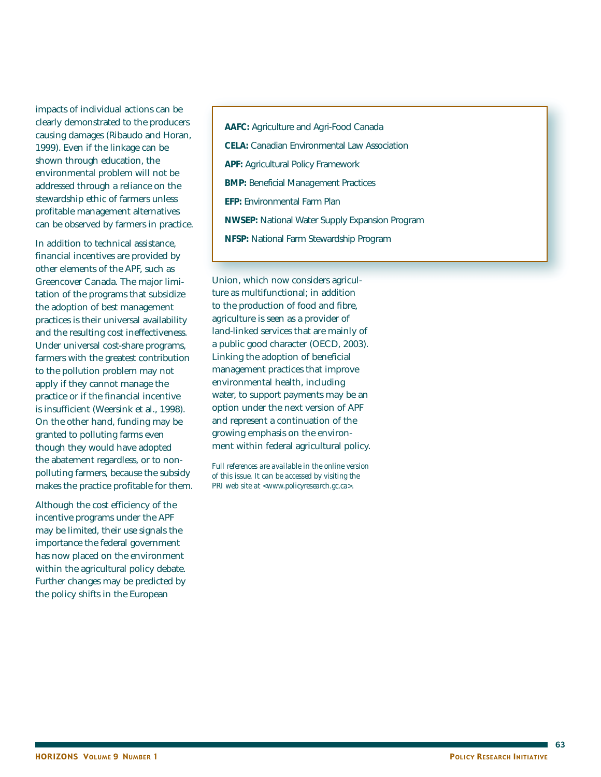impacts of individual actions can be clearly demonstrated to the producers causing damages (Ribaudo and Horan, 1999). Even if the linkage can be shown through education, the environmental problem will not be addressed through a reliance on the stewardship ethic of farmers unless profitable management alternatives can be observed by farmers in practice.

In addition to technical assistance, financial incentives are provided by other elements of the APF, such as Greencover Canada. The major limitation of the programs that subsidize the adoption of best management practices is their universal availability and the resulting cost ineffectiveness. Under universal cost-share programs, farmers with the greatest contribution to the pollution problem may not apply if they cannot manage the practice or if the financial incentive is insufficient (Weersink et al., 1998). On the other hand, funding may be granted to polluting farms even though they would have adopted the abatement regardless, or to nonpolluting farmers, because the subsidy makes the practice profitable for them.

Although the cost efficiency of the incentive programs under the APF may be limited, their use signals the importance the federal government has now placed on the environment within the agricultural policy debate. Further changes may be predicted by the policy shifts in the European

**AAFC:** Agriculture and Agri-Food Canada **CELA:** Canadian Environmental Law Association **APF:** Agricultural Policy Framework **BMP:** Beneficial Management Practices **EFP:** Environmental Farm Plan **NWSEP:** National Water Supply Expansion Program **NFSP:** National Farm Stewardship Program

Union, which now considers agriculture as multifunctional; in addition to the production of food and fibre, agriculture is seen as a provider of land-linked services that are mainly of a public good character (OECD, 2003). Linking the adoption of beneficial management practices that improve environmental health, including water, to support payments may be an option under the next version of APF and represent a continuation of the growing emphasis on the environment within federal agricultural policy.

*Full references are available in the online version of this issue. It can be accessed by visiting the PRI web site at <www.policyresearch.gc.ca>.*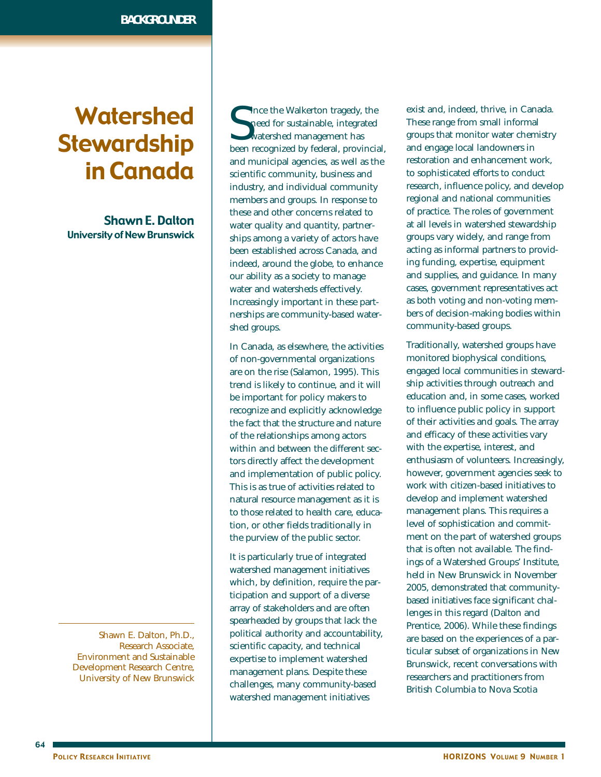# Watershed **Stewardship** in Canada

Shawn E. Dalton University of New Brunswick

Shawn E. Dalton, Ph.D., Research Associate, Environment and Sustainable Development Research Centre, University of New Brunswick

 $\begin{tabular}{l} Since the Walkerton taggedy, the need for sustainable, integrated watershed management has been recognized by federal, provincia, and the other research is performed. \end{tabular}$ Ince the Walkerton tragedy, the need for sustainable, integrated watershed management has and municipal agencies, as well as the scientific community, business and industry, and individual community members and groups. In response to these and other concerns related to water quality and quantity, partnerships among a variety of actors have been established across Canada, and indeed, around the globe, to enhance our ability as a society to manage water and watersheds effectively. Increasingly important in these partnerships are community-based watershed groups.

In Canada, as elsewhere, the activities of non-governmental organizations are on the rise (Salamon, 1995). This trend is likely to continue, and it will be important for policy makers to recognize and explicitly acknowledge the fact that the structure and nature of the relationships among actors within and between the different sectors directly affect the development and implementation of public policy. This is as true of activities related to natural resource management as it is to those related to health care, education, or other fields traditionally in the purview of the public sector.

It is particularly true of integrated watershed management initiatives which, by definition, require the participation and support of a diverse array of stakeholders and are often spearheaded by groups that lack the political authority and accountability, scientific capacity, and technical expertise to implement watershed management plans. Despite these challenges, many community-based watershed management initiatives

exist and, indeed, thrive, in Canada. These range from small informal groups that monitor water chemistry and engage local landowners in restoration and enhancement work, to sophisticated efforts to conduct research, influence policy, and develop regional and national communities of practice. The roles of government at all levels in watershed stewardship groups vary widely, and range from acting as informal partners to providing funding, expertise, equipment and supplies, and guidance. In many cases, government representatives act as both voting and non-voting members of decision-making bodies within community-based groups.

Traditionally, watershed groups have monitored biophysical conditions, engaged local communities in stewardship activities through outreach and education and, in some cases, worked to influence public policy in support of their activities and goals. The array and efficacy of these activities vary with the expertise, interest, and enthusiasm of volunteers. Increasingly, however, government agencies seek to work with citizen-based initiatives to develop and implement watershed management plans. This requires a level of sophistication and commitment on the part of watershed groups that is often not available. The findings of a Watershed Groups' Institute, held in New Brunswick in November 2005, demonstrated that communitybased initiatives face significant challenges in this regard (Dalton and Prentice, 2006). While these findings are based on the experiences of a particular subset of organizations in New Brunswick, recent conversations with researchers and practitioners from British Columbia to Nova Scotia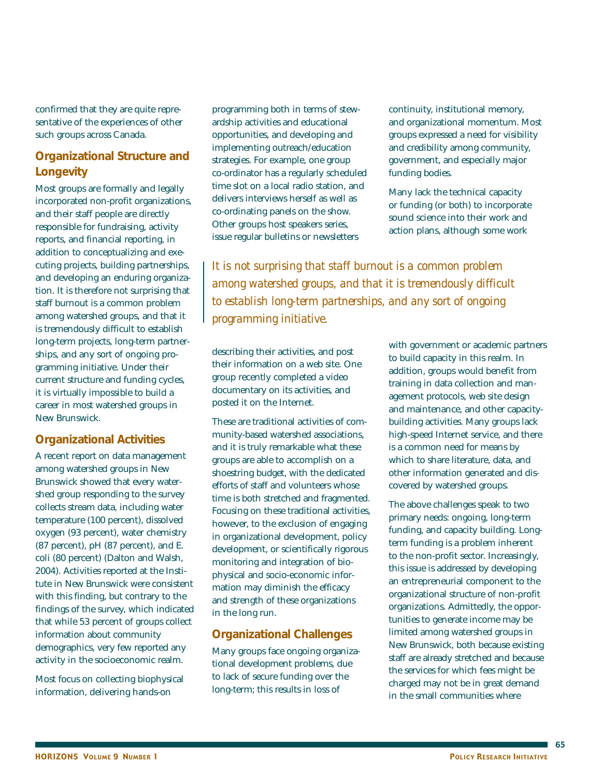confirmed that they are quite representative of the experiences of other such groups across Canada.

## **Organizational Structure and Longevity**

Most groups are formally and legally incorporated non-profit organizations, and their staff people are directly responsible for fundraising, activity reports, and financial reporting, in addition to conceptualizing and executing projects, building partnerships, and developing an enduring organization. It is therefore not surprising that staff burnout is a common problem among watershed groups, and that it is tremendously difficult to establish long-term projects, long-term partnerships, and any sort of ongoing programming initiative. Under their current structure and funding cycles, it is virtually impossible to build a career in most watershed groups in New Brunswick.

## **Organizational Activities**

A recent report on data management among watershed groups in New Brunswick showed that every watershed group responding to the survey collects stream data, including water temperature (100 percent), dissolved oxygen (93 percent), water chemistry (87 percent), pH (87 percent), and E. coli (80 percent) (Dalton and Walsh, 2004). Activities reported at the Institute in New Brunswick were consistent with this finding, but contrary to the findings of the survey, which indicated that while 53 percent of groups collect information about community demographics, very few reported any activity in the socioeconomic realm.

Most focus on collecting biophysical information, delivering hands-on

programming both in terms of stewardship activities and educational opportunities, and developing and implementing outreach/education strategies. For example, one group co-ordinator has a regularly scheduled time slot on a local radio station, and delivers interviews herself as well as co-ordinating panels on the show. Other groups host speakers series, issue regular bulletins or newsletters

continuity, institutional memory, and organizational momentum. Most groups expressed a need for visibility and credibility among community, government, and especially major funding bodies.

Many lack the technical capacity or funding (or both) to incorporate sound science into their work and action plans, although some work

*It is not surprising that staff burnout is a common problem among watershed groups, and that it is tremendously difficult to establish long-term partnerships, and any sort of ongoing programming initiative.*

describing their activities, and post their information on a web site. One group recently completed a video documentary on its activities, and posted it on the Internet.

These are traditional activities of community-based watershed associations, and it is truly remarkable what these groups are able to accomplish on a shoestring budget, with the dedicated efforts of staff and volunteers whose time is both stretched and fragmented. Focusing on these traditional activities, however, to the exclusion of engaging in organizational development, policy development, or scientifically rigorous monitoring and integration of biophysical and socio-economic information may diminish the efficacy and strength of these organizations in the long run.

## **Organizational Challenges**

Many groups face ongoing organizational development problems, due to lack of secure funding over the long-term; this results in loss of

with government or academic partners to build capacity in this realm. In addition, groups would benefit from training in data collection and management protocols, web site design and maintenance, and other capacitybuilding activities. Many groups lack high-speed Internet service, and there is a common need for means by which to share literature, data, and other information generated and discovered by watershed groups.

The above challenges speak to two primary needs: ongoing, long-term funding, and capacity building. Longterm funding is a problem inherent to the non-profit sector. Increasingly, this issue is addressed by developing an entrepreneurial component to the organizational structure of non-profit organizations. Admittedly, the opportunities to generate income may be limited among watershed groups in New Brunswick, both because existing staff are already stretched and because the services for which fees might be charged may not be in great demand in the small communities where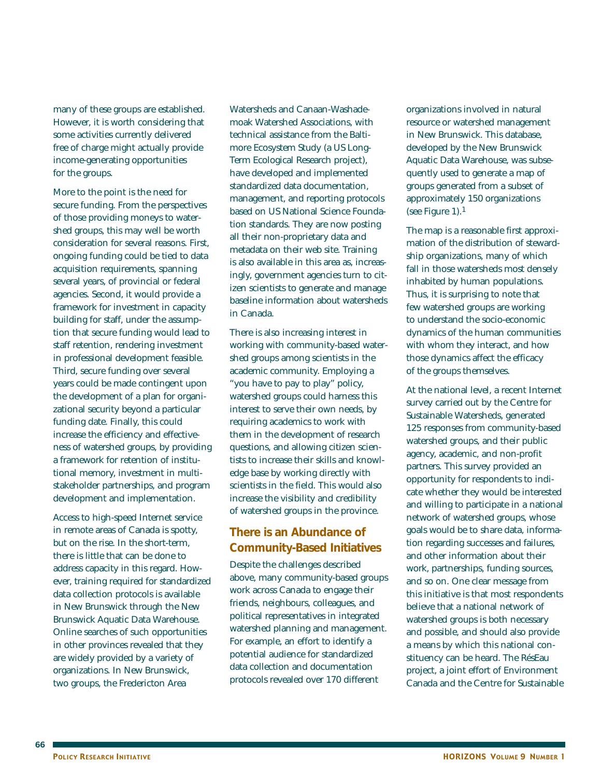many of these groups are established. However, it is worth considering that some activities currently delivered free of charge might actually provide income-generating opportunities for the groups.

More to the point is the need for secure funding. From the perspectives of those providing moneys to watershed groups, this may well be worth consideration for several reasons. First, ongoing funding could be tied to data acquisition requirements, spanning several years, of provincial or federal agencies. Second, it would provide a framework for investment in capacity building for staff, under the assumption that secure funding would lead to staff retention, rendering investment in professional development feasible. Third, secure funding over several years could be made contingent upon the development of a plan for organizational security beyond a particular funding date. Finally, this could increase the efficiency and effectiveness of watershed groups, by providing a framework for retention of institutional memory, investment in multistakeholder partnerships, and program development and implementation.

Access to high-speed Internet service in remote areas of Canada is spotty, but on the rise. In the short-term, there is little that can be done to address capacity in this regard. However, training required for standardized data collection protocols is available in New Brunswick through the New Brunswick Aquatic Data Warehouse. Online searches of such opportunities in other provinces revealed that they are widely provided by a variety of organizations. In New Brunswick, two groups, the Fredericton Area

Watersheds and Canaan-Washademoak Watershed Associations, with technical assistance from the Baltimore Ecosystem Study (a US Long-Term Ecological Research project), have developed and implemented standardized data documentation, management, and reporting protocols based on US National Science Foundation standards. They are now posting all their non-proprietary data and metadata on their web site. Training is also available in this area as, increasingly, government agencies turn to citizen scientists to generate and manage baseline information about watersheds in Canada.

There is also increasing interest in working with community-based watershed groups among scientists in the academic community. Employing a "you have to pay to play" policy, watershed groups could harness this interest to serve their own needs, by requiring academics to work with them in the development of research questions, and allowing citizen scientists to increase their skills and knowledge base by working directly with scientists in the field. This would also increase the visibility and credibility of watershed groups in the province.

## **There is an Abundance of Community-Based Initiatives**

Despite the challenges described above, many community-based groups work across Canada to engage their friends, neighbours, colleagues, and political representatives in integrated watershed planning and management. For example, an effort to identify a potential audience for standardized data collection and documentation protocols revealed over 170 different

organizations involved in natural resource or watershed management in New Brunswick. This database, developed by the New Brunswick Aquatic Data Warehouse, was subsequently used to generate a map of groups generated from a subset of approximately 150 organizations (see Figure 1).1

The map is a reasonable first approximation of the distribution of stewardship organizations, many of which fall in those watersheds most densely inhabited by human populations. Thus, it is surprising to note that few watershed groups are working to understand the socio-economic dynamics of the human communities with whom they interact, and how those dynamics affect the efficacy of the groups themselves.

At the national level, a recent Internet survey carried out by the Centre for Sustainable Watersheds, generated 125 responses from community-based watershed groups, and their public agency, academic, and non-profit partners. This survey provided an opportunity for respondents to indicate whether they would be interested and willing to participate in a national network of watershed groups, whose goals would be to share data, information regarding successes and failures, and other information about their work, partnerships, funding sources, and so on. One clear message from this initiative is that most respondents believe that a national network of watershed groups is both necessary and possible, and should also provide a means by which this national constituency can be heard. The RésEau project, a joint effort of Environment Canada and the Centre for Sustainable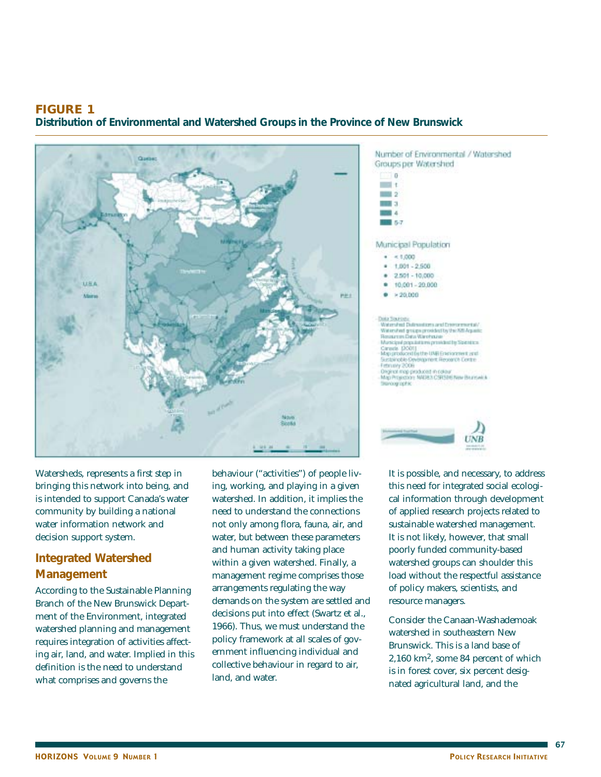## **FIGURE 1**

**Distribution of Environmental and Watershed Groups in the Province of New Brunswick**



Watersheds, represents a first step in bringing this network into being, and is intended to support Canada's water community by building a national water information network and decision support system.

# **Integrated Watershed Management**

According to the Sustainable Planning Branch of the New Brunswick Department of the Environment, integrated watershed planning and management requires integration of activities affecting air, land, and water. Implied in this definition is the need to understand what comprises and governs the

behaviour ("activities") of people living, working, and playing in a given watershed. In addition, it implies the need to understand the connections not only among flora, fauna, air, and water, but between these parameters and human activity taking place within a given watershed. Finally, a management regime comprises those arrangements regulating the way demands on the system are settled and decisions put into effect (Swartz et al., 1966). Thus, we must understand the policy framework at all scales of government influencing individual and collective behaviour in regard to air, land, and water.



Number of Environmental / Watershed

this need for integrated social ecological information through development of applied research projects related to sustainable watershed management. It is not likely, however, that small poorly funded community-based watershed groups can shoulder this load without the respectful assistance of policy makers, scientists, and resource managers.

Consider the Canaan-Washademoak watershed in southeastern New Brunswick. This is a land base of 2,160 km2, some 84 percent of which is in forest cover, six percent designated agricultural land, and the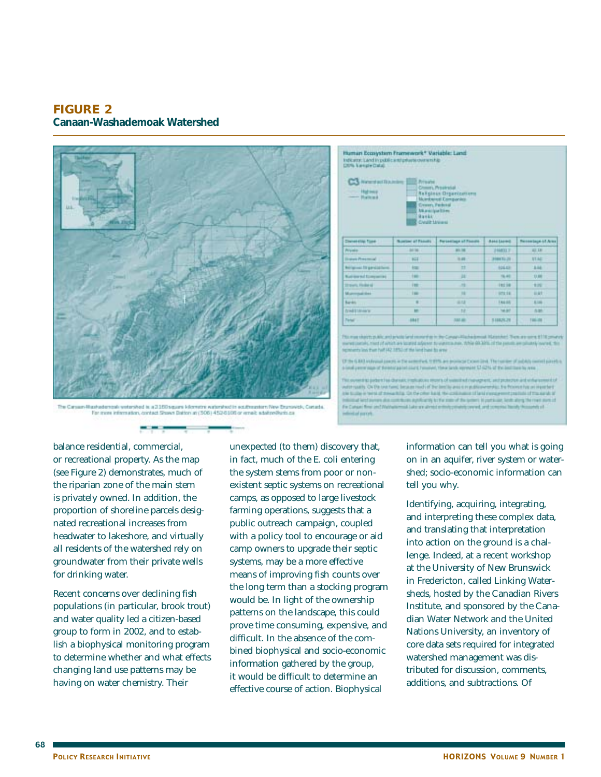**FIGURE 2 Canaan-Washademoak Watershed**



shelencek yeteyited is a 2150 square kilometre watershed in edultmenters filey Enumiretic, Canada For more information, contact Shows Datton at (506) 452-6106 or email: adalres@urb.ca

----



(File G.B.) independ course in the potential, 11970, are assistant Canad **Glove The Fee** 

with such Octo technol beam red of be limite and employments. Follows he at inserted In builty is twist of missa fully. On the other hand, the costs and of land showare and practices of the six skills reliated land average also contributes applicantly to the state of the system is particular. Seek along the reals authori-Fix Cursus three and Waltersmisk Lake an almost at start parcels

balance residential, commercial, or recreational property. As the map (see Figure 2) demonstrates, much of the riparian zone of the main stem is privately owned. In addition, the proportion of shoreline parcels designated recreational increases from headwater to lakeshore, and virtually all residents of the watershed rely on groundwater from their private wells for drinking water.

Recent concerns over declining fish populations (in particular, brook trout) and water quality led a citizen-based group to form in 2002, and to establish a biophysical monitoring program to determine whether and what effects changing land use patterns may be having on water chemistry. Their

unexpected (to them) discovery that, in fact, much of the E. coli entering the system stems from poor or nonexistent septic systems on recreational camps, as opposed to large livestock farming operations, suggests that a public outreach campaign, coupled with a policy tool to encourage or aid camp owners to upgrade their septic systems, may be a more effective means of improving fish counts over the long term than a stocking program would be. In light of the ownership patterns on the landscape, this could prove time consuming, expensive, and difficult. In the absence of the combined biophysical and socio-economic information gathered by the group, it would be difficult to determine an effective course of action. Biophysical

information can tell you what is going on in an aquifer, river system or watershed; socio-economic information can tell you why.

Identifying, acquiring, integrating, and interpreting these complex data, and translating that interpretation into action on the ground is a challenge. Indeed, at a recent workshop at the University of New Brunswick in Fredericton, called Linking Watersheds, hosted by the Canadian Rivers Institute, and sponsored by the Canadian Water Network and the United Nations University, an inventory of core data sets required for integrated watershed management was distributed for discussion, comments, additions, and subtractions. Of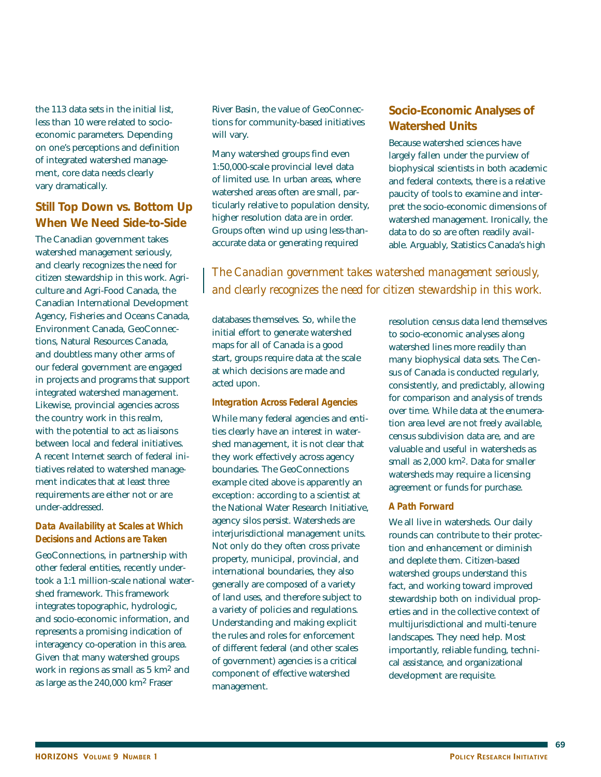the 113 data sets in the initial list, less than 10 were related to socioeconomic parameters. Depending on one's perceptions and definition of integrated watershed management, core data needs clearly vary dramatically.

## **Still Top Down vs. Bottom Up When We Need Side-to-Side**

The Canadian government takes watershed management seriously, and clearly recognizes the need for citizen stewardship in this work. Agriculture and Agri-Food Canada, the Canadian International Development Agency, Fisheries and Oceans Canada, Environment Canada, GeoConnections, Natural Resources Canada, and doubtless many other arms of our federal government are engaged in projects and programs that support integrated watershed management. Likewise, provincial agencies across the country work in this realm, with the potential to act as liaisons between local and federal initiatives. A recent Internet search of federal initiatives related to watershed management indicates that at least three requirements are either not or are under-addressed.

#### *Data Availability at Scales at Which Decisions and Actions are Taken*

GeoConnections, in partnership with other federal entities, recently undertook a 1:1 million-scale national watershed framework. This framework integrates topographic, hydrologic, and socio-economic information, and represents a promising indication of interagency co-operation in this area. Given that many watershed groups work in regions as small as 5 km2 and as large as the 240,000 km2 Fraser

River Basin, the value of GeoConnections for community-based initiatives will vary.

Many watershed groups find even 1:50,000-scale provincial level data of limited use. In urban areas, where watershed areas often are small, particularly relative to population density, higher resolution data are in order. Groups often wind up using less-thanaccurate data or generating required

## **Socio-Economic Analyses of Watershed Units**

Because watershed sciences have largely fallen under the purview of biophysical scientists in both academic and federal contexts, there is a relative paucity of tools to examine and interpret the socio-economic dimensions of watershed management. Ironically, the data to do so are often readily available. Arguably, Statistics Canada's high

*The Canadian government takes watershed management seriously, and clearly recognizes the need for citizen stewardship in this work.*

databases themselves. So, while the initial effort to generate watershed maps for all of Canada is a good start, groups require data at the scale at which decisions are made and acted upon.

#### *Integration Across Federal Agencies*

While many federal agencies and entities clearly have an interest in watershed management, it is not clear that they work effectively across agency boundaries. The GeoConnections example cited above is apparently an exception: according to a scientist at the National Water Research Initiative, agency silos persist. Watersheds are interjurisdictional management units. Not only do they often cross private property, municipal, provincial, and international boundaries, they also generally are composed of a variety of land uses, and therefore subject to a variety of policies and regulations. Understanding and making explicit the rules and roles for enforcement of different federal (and other scales of government) agencies is a critical component of effective watershed management.

resolution census data lend themselves to socio-economic analyses along watershed lines more readily than many biophysical data sets. The Census of Canada is conducted regularly, consistently, and predictably, allowing for comparison and analysis of trends over time. While data at the enumeration area level are not freely available, census subdivision data are, and are valuable and useful in watersheds as small as 2,000 km2. Data for smaller watersheds may require a licensing agreement or funds for purchase.

#### *A Path Forward*

We all live in watersheds. Our daily rounds can contribute to their protection and enhancement or diminish and deplete them. Citizen-based watershed groups understand this fact, and working toward improved stewardship both on individual properties and in the collective context of multijurisdictional and multi-tenure landscapes. They need help. Most importantly, reliable funding, technical assistance, and organizational development are requisite.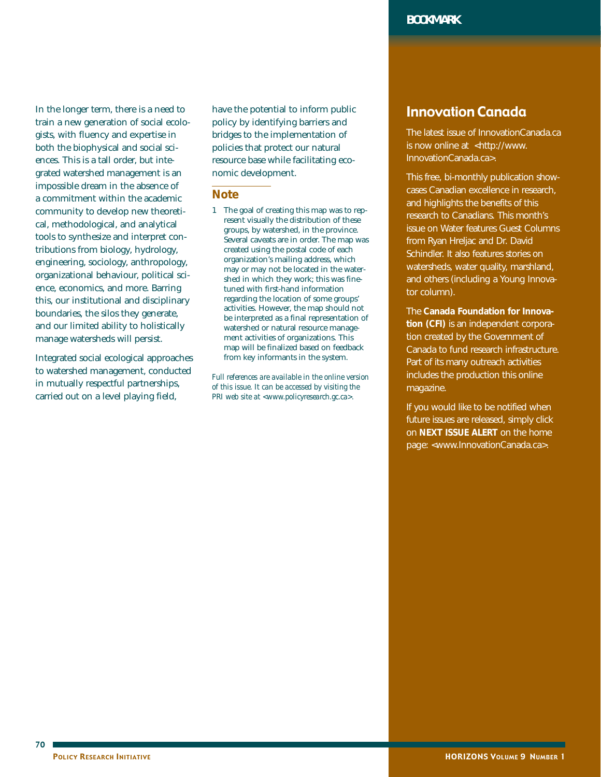In the longer term, there is a need to train a new generation of social ecologists, with fluency and expertise in both the biophysical and social sciences. This is a tall order, but integrated watershed management is an impossible dream in the absence of a commitment within the academic community to develop new theoretical, methodological, and analytical tools to synthesize and interpret contributions from biology, hydrology, engineering, sociology, anthropology, organizational behaviour, political science, economics, and more. Barring this, our institutional and disciplinary boundaries, the silos they generate, and our limited ability to holistically manage watersheds will persist.

Integrated social ecological approaches to watershed management, conducted in mutually respectful partnerships, carried out on a level playing field,

have the potential to inform public policy by identifying barriers and bridges to the implementation of policies that protect our natural resource base while facilitating economic development.

#### **Note**

1 The goal of creating this map was to represent visually the distribution of these groups, by watershed, in the province. Several caveats are in order. The map was created using the postal code of each organization's mailing address, which may or may not be located in the watershed in which they work; this was finetuned with first-hand information regarding the location of some groups' activities. However, the map should not be interpreted as a final representation of watershed or natural resource management activities of organizations. This map will be finalized based on feedback from key informants in the system.

*Full references are available in the online version of this issue. It can be accessed by visiting the PRI web site at <www.policyresearch.gc.ca>.*

# Innovation Canada

The latest issue of InnovationCanada.ca is now online at <http://www. InnovationCanada.ca>.

This free, bi-monthly publication showcases Canadian excellence in research, and highlights the benefits of this research to Canadians. This month's issue on Water features Guest Columns from Ryan Hreljac and Dr. David Schindler. It also features stories on watersheds, water quality, marshland, and others (including a Young Innovator column).

The **Canada Foundation for Innovation (CFI)** is an independent corporation created by the Government of Canada to fund research infrastructure. Part of its many outreach activities includes the production this online magazine.

If you would like to be notified when future issues are released, simply click on **NEXT ISSUE ALERT** on the home page: <www.InnovationCanada.ca>.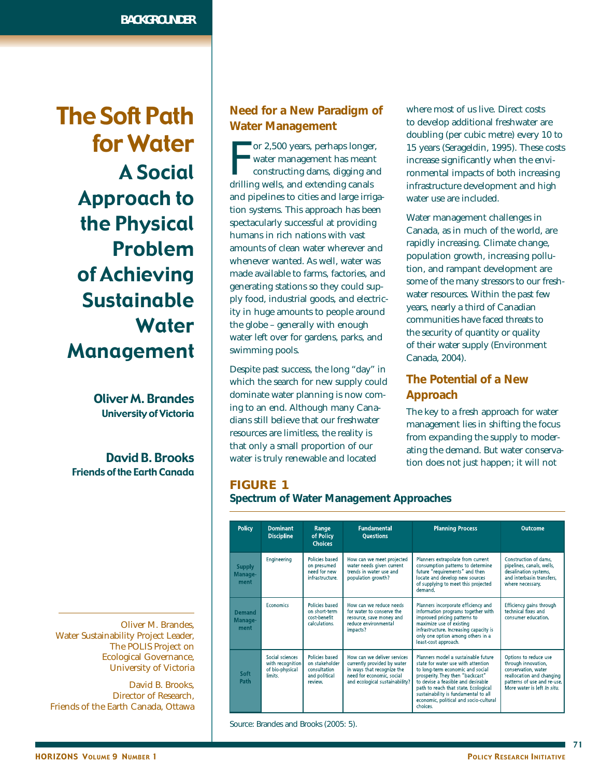The Soft Path for Water A Social Approach to the Physical Problem of Achieving Sustainable **Water** Management

> Oliver M. Brandes University of Victoria

David B. Brooks Friends of the Earth Canada

Oliver M. Brandes, Water Sustainability Project Leader, The POLIS Project on Ecological Governance, University of Victoria

David B. Brooks, Director of Research, Friends of the Earth Canada, Ottawa

## **Need for a New Paradigm of Water Management**

The or 2,500 years, perhaps longer<br>water management has mean<br>constructing dams, digging an<br>drilling wells, and extending canals or 2,500 years, perhaps longer, water management has meant constructing dams, digging and and pipelines to cities and large irrigation systems. This approach has been spectacularly successful at providing humans in rich nations with vast amounts of clean water wherever and whenever wanted. As well, water was made available to farms, factories, and generating stations so they could supply food, industrial goods, and electricity in huge amounts to people around the globe – generally with enough water left over for gardens, parks, and swimming pools.

Despite past success, the long "day" in which the search for new supply could dominate water planning is now coming to an end. Although many Canadians still believe that our freshwater resources are limitless, the reality is that only a small proportion of our water is truly renewable and located

where most of us live. Direct costs to develop additional freshwater are doubling (per cubic metre) every 10 to 15 years (Serageldin, 1995). These costs increase significantly when the environmental impacts of both increasing infrastructure development and high water use are included.

Water management challenges in Canada, as in much of the world, are rapidly increasing. Climate change, population growth, increasing pollution, and rampant development are some of the many stressors to our freshwater resources. Within the past few years, nearly a third of Canadian communities have faced threats to the security of quantity or quality of their water supply (Environment Canada, 2004).

# **The Potential of a New Approach**

The key to a fresh approach for water management lies in shifting the focus from expanding the supply to moderating the demand. But water conservation does not just happen; it will not

# **FIGURE 1**

**Spectrum of Water Management Approaches**

| <b>Policy</b>                    | <b>Dominant</b><br><b>Discipline</b>                                                 | Range<br>of Policy<br><b>Choices</b>                                         | <b>Fundamental</b><br><b>Questions</b>                                                                                                                  | <b>Planning Process</b>                                                                                                                                                                                                                                                                                                       | <b>Outcome</b>                                                                                                                                                 |
|----------------------------------|--------------------------------------------------------------------------------------|------------------------------------------------------------------------------|---------------------------------------------------------------------------------------------------------------------------------------------------------|-------------------------------------------------------------------------------------------------------------------------------------------------------------------------------------------------------------------------------------------------------------------------------------------------------------------------------|----------------------------------------------------------------------------------------------------------------------------------------------------------------|
| <b>Supply</b><br>Manage-<br>ment | Engineering                                                                          | Policies based<br>on presumed<br>need for new<br>infrastructure.             | How can we meet projected<br>water needs given current<br>trends in water use and<br>population growth?                                                 | Planners extrapolate from current<br>consumption patterns to determine<br>future "requirements" and then<br>locate and develop new sources<br>of supplying to meet this projected<br>demand                                                                                                                                   | Construction of dams,<br>pipelines, canals, wells,<br>desalination systems,<br>and interbasin transfers,<br>where necessary.                                   |
| <b>Demand</b><br>Manage-<br>ment | Policies based<br><b>Economics</b><br>on short-term<br>cost-benefit<br>calculations. |                                                                              | How can we reduce needs<br>for water to conserve the<br>resource, save money and<br>reduce environmental<br>impacts?                                    | Planners incorporate efficiency and<br>information programs together with<br>improved pricing patterns to<br>maximize use of existing<br>infrastructure. Increasing capacity is<br>only one option among others in a<br>least-cost approach.                                                                                  | Efficiency gains through<br>technical fixes and<br>consumer education.                                                                                         |
| Soft<br>Path                     | Social sciences<br>with recognition<br>of bio-physical<br><b>limits</b>              | Policies based<br>on stakeholder<br>consultation<br>and political<br>review. | How can we deliver services<br>currently provided by water<br>in ways that recognize the<br>need for economic, social<br>and ecological sustainability? | Planners model a sustainable future<br>state for water use with attention<br>to long-term economic and social<br>prosperity. They then "backcast"<br>to devise a feasible and desirable<br>path to reach that state. Ecological<br>sustainability is fundamental to all<br>economic, political and socio-cultural<br>choices. | Options to reduce use<br>through innovation,<br>conservation, water<br>reallocation and changing<br>patterns of use and re-use.<br>More water is left In situ. |

Source: Brandes and Brooks (2005: 5).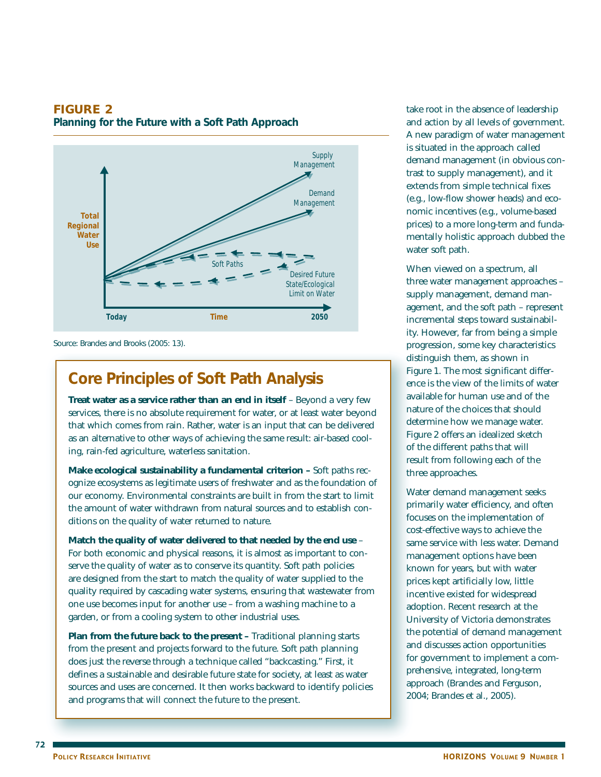## **FIGURE 2**

**Planning for the Future with a Soft Path Approach**



Source: Brandes and Brooks (2005: 13).

# **Core Principles of Soft Path Analysis**

**Treat water as a service rather than an end in itself** – Beyond a very few services, there is no absolute requirement for water, or at least water beyond that which comes from rain. Rather, water is an input that can be delivered as an alternative to other ways of achieving the same result: air-based cooling, rain-fed agriculture, waterless sanitation.

**Make ecological sustainability a fundamental criterion –** Soft paths recognize ecosystems as legitimate users of freshwater and as the foundation of our economy. Environmental constraints are built in from the start to limit the amount of water withdrawn from natural sources and to establish conditions on the quality of water returned to nature.

**Match the quality of water delivered to that needed by the end use** – For both economic and physical reasons, it is almost as important to conserve the quality of water as to conserve its quantity. Soft path policies are designed from the start to match the quality of water supplied to the quality required by cascading water systems, ensuring that wastewater from one use becomes input for another use – from a washing machine to a garden, or from a cooling system to other industrial uses.

**Plan from the future back to the present –** Traditional planning starts from the present and projects forward to the future. Soft path planning does just the reverse through a technique called "backcasting." First, it defines a sustainable and desirable future state for society, at least as water sources and uses are concerned. It then works backward to identify policies and programs that will connect the future to the present.

take root in the absence of leadership and action by all levels of government. A new paradigm of water management is situated in the approach called demand management (in obvious contrast to supply management), and it extends from simple technical fixes (e.g., low-flow shower heads) and economic incentives (e.g., volume-based prices) to a more long-term and fundamentally holistic approach dubbed the water soft path.

When viewed on a spectrum, all three water management approaches – supply management, demand management, and the soft path – represent incremental steps toward sustainability. However, far from being a simple progression, some key characteristics distinguish them, as shown in Figure 1. The most significant difference is the view of the limits of water available for human use and of the nature of the choices that should determine how we manage water. Figure 2 offers an idealized sketch of the different paths that will result from following each of the three approaches.

Water demand management seeks primarily water efficiency, and often focuses on the implementation of cost-effective ways to achieve the same service with less water. Demand management options have been known for years, but with water prices kept artificially low, little incentive existed for widespread adoption. Recent research at the University of Victoria demonstrates the potential of demand management and discusses action opportunities for government to implement a comprehensive, integrated, long-term approach (Brandes and Ferguson, 2004; Brandes et al., 2005).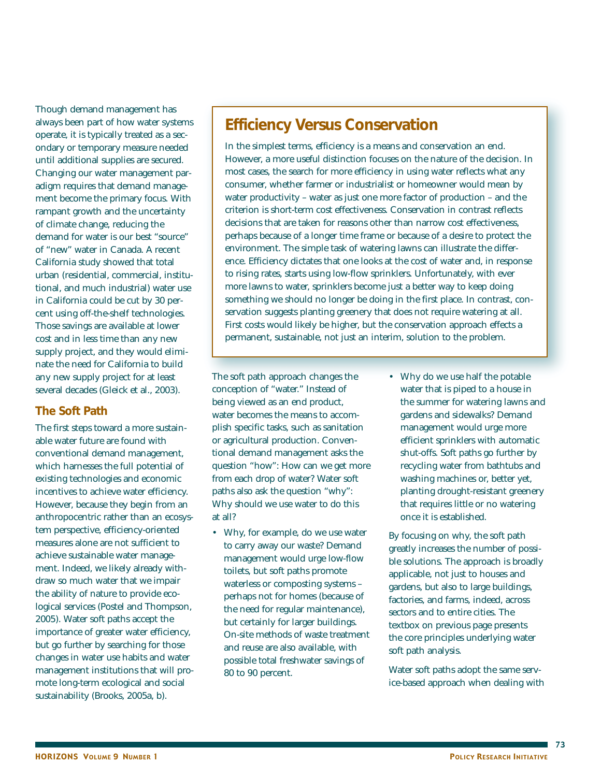Though demand management has always been part of how water systems operate, it is typically treated as a secondary or temporary measure needed until additional supplies are secured. Changing our water management paradigm requires that demand management become the primary focus. With rampant growth and the uncertainty of climate change, reducing the demand for water is our best "source" of "new" water in Canada. A recent California study showed that total urban (residential, commercial, institutional, and much industrial) water use in California could be cut by 30 percent using off-the-shelf technologies. Those savings are available at lower cost and in less time than any new supply project, and they would eliminate the need for California to build any new supply project for at least several decades (Gleick et al., 2003).

### **The Soft Path**

The first steps toward a more sustainable water future are found with conventional demand management, which harnesses the full potential of existing technologies and economic incentives to achieve water efficiency. However, because they begin from an anthropocentric rather than an ecosystem perspective, efficiency-oriented measures alone are not sufficient to achieve sustainable water management. Indeed, we likely already withdraw so much water that we impair the ability of nature to provide ecological services (Postel and Thompson, 2005). Water soft paths accept the importance of greater water efficiency, but go further by searching for those changes in water use habits and water management institutions that will promote long-term ecological and social sustainability (Brooks, 2005a, b).

## **Efficiency Versus Conservation**

In the simplest terms, efficiency is a means and conservation an end. However, a more useful distinction focuses on the nature of the decision. In most cases, the search for more efficiency in using water reflects what any consumer, whether farmer or industrialist or homeowner would mean by water productivity – water as just one more factor of production – and the criterion is short-term cost effectiveness. Conservation in contrast reflects decisions that are taken for reasons other than narrow cost effectiveness, perhaps because of a longer time frame or because of a desire to protect the environment. The simple task of watering lawns can illustrate the difference. Efficiency dictates that one looks at the cost of water and, in response to rising rates, starts using low-flow sprinklers. Unfortunately, with ever more lawns to water, sprinklers become just a better way to keep doing something we should no longer be doing in the first place. In contrast, conservation suggests planting greenery that does not require watering at all. First costs would likely be higher, but the conservation approach effects a permanent, sustainable, not just an interim, solution to the problem.

The soft path approach changes the conception of "water." Instead of being viewed as an end product, water becomes the means to accomplish specific tasks, such as sanitation or agricultural production. Conventional demand management asks the question "how": How can we get more from each drop of water? Water soft paths also ask the question "why": Why should we use water to do this at all?

- Why, for example, do we use water to carry away our waste? Demand management would urge low-flow toilets, but soft paths promote waterless or composting systems – perhaps not for homes (because of the need for regular maintenance), but certainly for larger buildings. On-site methods of waste treatment and reuse are also available, with possible total freshwater savings of 80 to 90 percent.
- Why do we use half the potable water that is piped to a house in the summer for watering lawns and gardens and sidewalks? Demand management would urge more efficient sprinklers with automatic shut-offs. Soft paths go further by recycling water from bathtubs and washing machines or, better yet, planting drought-resistant greenery that requires little or no watering once it is established.

By focusing on why, the soft path greatly increases the number of possible solutions. The approach is broadly applicable, not just to houses and gardens, but also to large buildings, factories, and farms, indeed, across sectors and to entire cities. The textbox on previous page presents the core principles underlying water soft path analysis.

Water soft paths adopt the same service-based approach when dealing with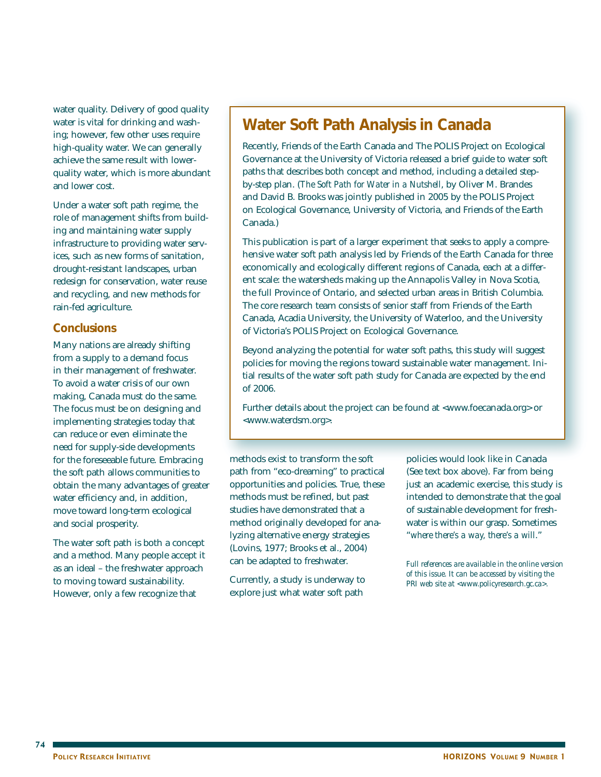water quality. Delivery of good quality water is vital for drinking and washing; however, few other uses require high-quality water. We can generally achieve the same result with lowerquality water, which is more abundant and lower cost.

Under a water soft path regime, the role of management shifts from building and maintaining water supply infrastructure to providing water services, such as new forms of sanitation, drought-resistant landscapes, urban redesign for conservation, water reuse and recycling, and new methods for rain-fed agriculture.

### **Conclusions**

Many nations are already shifting from a supply to a demand focus in their management of freshwater. To avoid a water crisis of our own making, Canada must do the same. The focus must be on designing and implementing strategies today that can reduce or even eliminate the need for supply-side developments for the foreseeable future. Embracing the soft path allows communities to obtain the many advantages of greater water efficiency and, in addition, move toward long-term ecological and social prosperity.

The water soft path is both a concept and a method. Many people accept it as an ideal – the freshwater approach to moving toward sustainability. However, only a few recognize that

# **Water Soft Path Analysis in Canada**

Recently, Friends of the Earth Canada and The POLIS Project on Ecological Governance at the University of Victoria released a brief guide to water soft paths that describes both concept and method, including a detailed stepby-step plan. (*The Soft Path for Water in a Nutshell*, by Oliver M. Brandes and David B. Brooks was jointly published in 2005 by the POLIS Project on Ecological Governance, University of Victoria, and Friends of the Earth Canada.)

This publication is part of a larger experiment that seeks to apply a comprehensive water soft path analysis led by Friends of the Earth Canada for three economically and ecologically different regions of Canada, each at a different scale: the watersheds making up the Annapolis Valley in Nova Scotia, the full Province of Ontario, and selected urban areas in British Columbia. The core research team consists of senior staff from Friends of the Earth Canada, Acadia University, the University of Waterloo, and the University of Victoria's POLIS Project on Ecological Governance.

Beyond analyzing the potential for water soft paths, this study will suggest policies for moving the regions toward sustainable water management. Initial results of the water soft path study for Canada are expected by the end of 2006.

Further details about the project can be found at <www.foecanada.org> or <www.waterdsm.org>.

methods exist to transform the soft path from "eco-dreaming" to practical opportunities and policies. True, these methods must be refined, but past studies have demonstrated that a method originally developed for analyzing alternative energy strategies (Lovins, 1977; Brooks et al., 2004) can be adapted to freshwater.

Currently, a study is underway to explore just what water soft path

policies would look like in Canada (See text box above). Far from being just an academic exercise, this study is intended to demonstrate that the goal of sustainable development for freshwater is within our grasp. Sometimes "*where there's a way, there's a will*."

*Full references are available in the online version of this issue. It can be accessed by visiting the PRI web site at <www.policyresearch.gc.ca>.*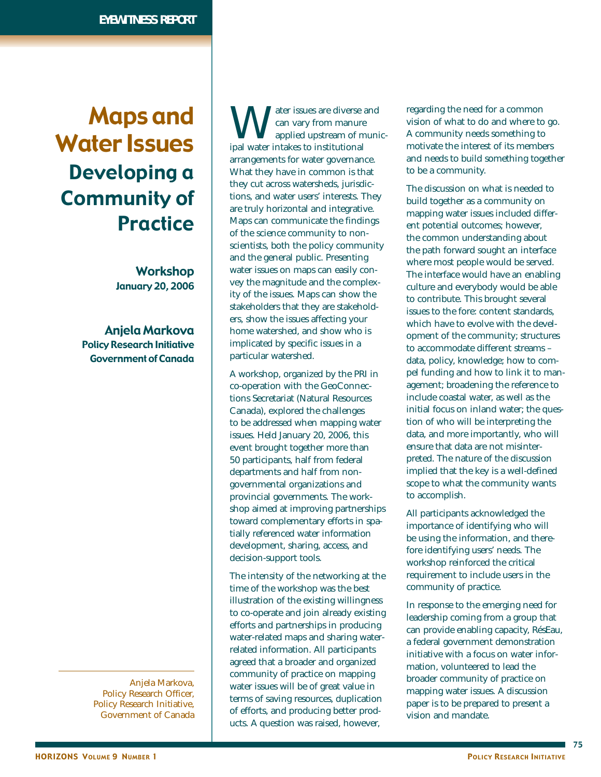# Maps and Water Issues Developing a Community of Practice

**Workshop** January 20, 2006

Anjela Markova Policy Research Initiative Government of Canada

Anjela Markova, Policy Research Officer, Policy Research Initiative, Government of Canada

We are sixues are diverse and<br>applied upstream of munimal water intakes to institutional can vary from manure applied upstream of municipal water intakes to institutional arrangements for water governance. What they have in common is that they cut across watersheds, jurisdictions, and water users' interests. They are truly horizontal and integrative. Maps can communicate the findings of the science community to nonscientists, both the policy community and the general public. Presenting water issues on maps can easily convey the magnitude and the complexity of the issues. Maps can show the stakeholders that they are stakeholders, show the issues affecting your home watershed, and show who is implicated by specific issues in a particular watershed.

A workshop, organized by the PRI in co-operation with the GeoConnections Secretariat (Natural Resources Canada), explored the challenges to be addressed when mapping water issues. Held January 20, 2006, this event brought together more than 50 participants, half from federal departments and half from nongovernmental organizations and provincial governments. The workshop aimed at improving partnerships toward complementary efforts in spatially referenced water information development, sharing, access, and decision-support tools.

The intensity of the networking at the time of the workshop was the best illustration of the existing willingness to co-operate and join already existing efforts and partnerships in producing water-related maps and sharing waterrelated information. All participants agreed that a broader and organized community of practice on mapping water issues will be of great value in terms of saving resources, duplication of efforts, and producing better products. A question was raised, however,

regarding the need for a common vision of what to do and where to go. A community needs something to motivate the interest of its members and needs to build something together to be a community.

The discussion on what is needed to build together as a community on mapping water issues included different potential outcomes; however, the common understanding about the path forward sought an interface where most people would be served. The interface would have an enabling culture and everybody would be able to contribute. This brought several issues to the fore: content standards, which have to evolve with the development of the community; structures to accommodate different streams – data, policy, knowledge; how to compel funding and how to link it to management; broadening the reference to include coastal water, as well as the initial focus on inland water; the question of who will be interpreting the data, and more importantly, who will ensure that data are not misinterpreted. The nature of the discussion implied that the key is a well-defined scope to what the community wants to accomplish.

All participants acknowledged the importance of identifying who will be using the information, and therefore identifying users' needs. The workshop reinforced the critical requirement to include users in the community of practice.

In response to the emerging need for leadership coming from a group that can provide enabling capacity, RésEau, a federal government demonstration initiative with a focus on water information, volunteered to lead the broader community of practice on mapping water issues. A discussion paper is to be prepared to present a vision and mandate.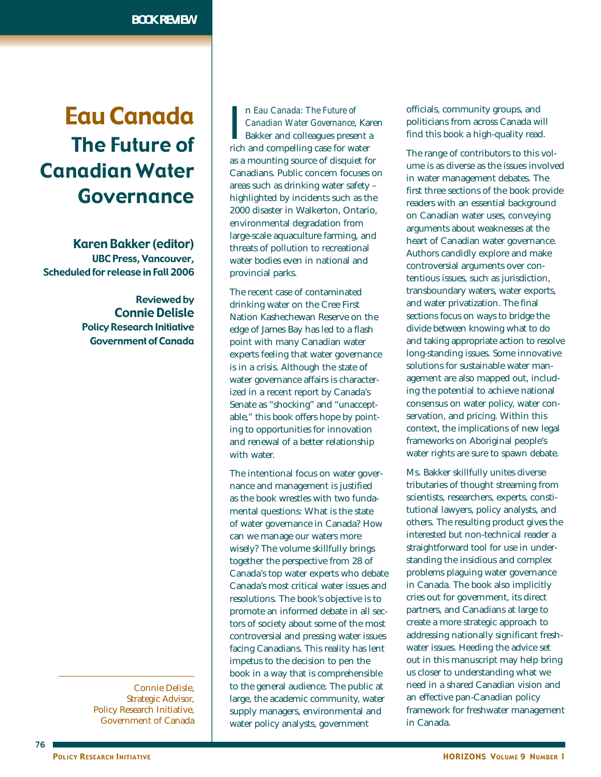# Eau Canada The Future of Canadian Water Governance

Karen Bakker (editor) UBC Press, Vancouver, Scheduled for release in Fall 2006

> Reviewed by Connie Delisle Policy Research Initiative Government of Canada

Connie Delisle, Strategic Advisor, Policy Research Initiative, Government of Canada

In Eau Canada: The Future of<br>Canadian Water Governance, Kar<br>Bakker and colleagues present a<br>rich and compelling case for water n *Eau Canada: The Future of Canadian Water Governance*, Karen Bakker and colleagues present a as a mounting source of disquiet for Canadians. Public concern focuses on areas such as drinking water safety – highlighted by incidents such as the 2000 disaster in Walkerton, Ontario, environmental degradation from large-scale aquaculture farming, and threats of pollution to recreational water bodies even in national and provincial parks.

The recent case of contaminated drinking water on the Cree First Nation Kashechewan Reserve on the edge of James Bay has led to a flash point with many Canadian water experts feeling that water governance is in a crisis. Although the state of water governance affairs is characterized in a recent report by Canada's Senate as "shocking" and "unacceptable," this book offers hope by pointing to opportunities for innovation and renewal of a better relationship with water.

The intentional focus on water governance and management is justified as the book wrestles with two fundamental questions: What is the state of water governance in Canada? How can we manage our waters more wisely? The volume skillfully brings together the perspective from 28 of Canada's top water experts who debate Canada's most critical water issues and resolutions. The book's objective is to promote an informed debate in all sectors of society about some of the most controversial and pressing water issues facing Canadians. This reality has lent impetus to the decision to pen the book in a way that is comprehensible to the general audience. The public at large, the academic community, water supply managers, environmental and water policy analysts, government

officials, community groups, and politicians from across Canada will find this book a high-quality read.

The range of contributors to this volume is as diverse as the issues involved in water management debates. The first three sections of the book provide readers with an essential background on Canadian water uses, conveying arguments about weaknesses at the heart of Canadian water governance. Authors candidly explore and make controversial arguments over contentious issues, such as jurisdiction, transboundary waters, water exports, and water privatization. The final sections focus on ways to bridge the divide between knowing what to do and taking appropriate action to resolve long-standing issues. Some innovative solutions for sustainable water management are also mapped out, including the potential to achieve national consensus on water policy, water conservation, and pricing. Within this context, the implications of new legal frameworks on Aboriginal people's water rights are sure to spawn debate.

Ms. Bakker skillfully unites diverse tributaries of thought streaming from scientists, researchers, experts, constitutional lawyers, policy analysts, and others. The resulting product gives the interested but non-technical reader a straightforward tool for use in understanding the insidious and complex problems plaguing water governance in Canada. The book also implicitly cries out for government, its direct partners, and Canadians at large to create a more strategic approach to addressing nationally significant freshwater issues. Heeding the advice set out in this manuscript may help bring us closer to understanding what we need in a shared Canadian vision and an effective pan-Canadian policy framework for freshwater management in Canada.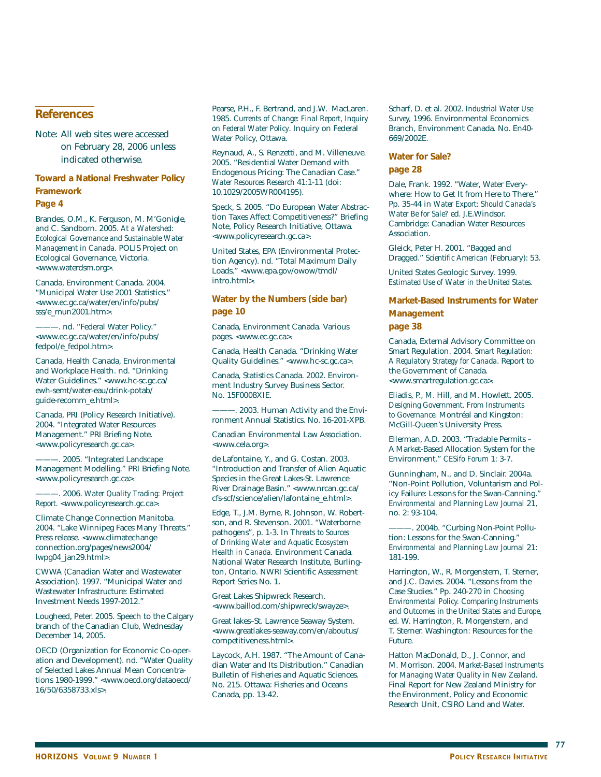#### **References**

Note: All web sites were accessed on February 28, 2006 unless indicated otherwise.

**Toward a National Freshwater Policy Framework**

**Page 4**

Brandes, O.M., K. Ferguson, M. M'Gonigle, and C. Sandborn. 2005. *At a Watershed: Ecological Governance and Sustainable Water Management in Canada.* POLIS Project on Ecological Governance, Victoria. <www.waterdsm.org>.

Canada, Environment Canada. 2004. "Municipal Water Use 2001 Statistics." <www.ec.gc.ca/water/en/info/pubs/ sss/e\_mun2001.htm>.

-. nd. "Federal Water Policy." <www.ec.gc.ca/water/en/info/pubs/ fedpol/e\_fedpol.htm>.

Canada, Health Canada, Environmental and Workplace Health. nd. "Drinking Water Guidelines." <www.hc-sc.gc.ca/ ewh-semt/water-eau/drink-potab/ guide-recomm\_e.html>.

Canada, PRI (Policy Research Initiative). 2004. "Integrated Water Resources Management." PRI Briefing Note. <www.policyresearch.gc.ca>.

-. 2005. "Integrated Landscape Management Modelling." PRI Briefing Note. <www.policyresearch.gc.ca>.

———. 2006. *Water Quality Trading: Project Report.* <www.policyresearch.gc.ca>.

Climate Change Connection Manitoba. 2004. "Lake Winnipeg Faces Many Threats." Press release. <www.climatechange connection.org/pages/news2004/ lwpg04\_jan29.html>.

CWWA (Canadian Water and Wastewater Association). 1997. "Municipal Water and Wastewater Infrastructure: Estimated Investment Needs 1997-2012.

Lougheed, Peter. 2005. Speech to the Calgary branch of the Canadian Club, Wednesday December 14, 2005.

OECD (Organization for Economic Co-operation and Development). nd. "Water Quality of Selected Lakes Annual Mean Concentrations 1980-1999." <www.oecd.org/dataoecd/ 16/50/6358733.xls>.

Pearse, P.H., F. Bertrand, and J.W. MacLaren. 1985. *Currents of Change: Final Report, Inquiry on Federal Water Policy*. Inquiry on Federal Water Policy, Ottawa.

Reynaud, A., S. Renzetti, and M. Villeneuve. 2005. "Residential Water Demand with Endogenous Pricing: The Canadian Case." *Water Resources Research* 41:1-11 (doi: 10.1029/2005WR004195).

Speck, S. 2005. "Do European Water Abstraction Taxes Affect Competitiveness?" Briefing Note, Policy Research Initiative, Ottawa. <www.policyresearch.gc.ca>.

United States, EPA (Environmental Protection Agency). nd. "Total Maximum Daily Loads." <www.epa.gov/owow/tmdl/ intro.html>.

**Water by the Numbers (side bar) page 10**

Canada, Environment Canada. Various pages. <www.ec.gc.ca>.

Canada, Health Canada. "Drinking Water Quality Guidelines." <www.hc-sc.gc.ca>.

Canada, Statistics Canada. 2002. Environment Industry Survey Business Sector. No. 15F0008XIE.

-. 2003. Human Activity and the Environment Annual Statistics. No. 16-201-XPB.

Canadian Environmental Law Association. <www.cela.org>.

de Lafontaine, Y., and G. Costan. 2003. "Introduction and Transfer of Alien Aquatic Species in the Great Lakes-St. Lawrence River Drainage Basin." <www.nrcan.gc.ca/ cfs-scf/science/alien/lafontaine\_e.html>.

Edge, T., J.M. Byrne, R. Johnson, W. Robertson, and R. Stevenson. 2001. "Waterborne pathogens", p. 1-3. In *Threats to Sources of Drinking Water and Aquatic Ecosystem Health in Canada.* Environment Canada. National Water Research Institute, Burlington, Ontario. NWRI Scientific Assessment Report Series No. 1.

Great Lakes Shipwreck Research. <www.baillod.com/shipwreck/swayze>.

Great lakes–St. Lawrence Seaway System. <www.greatlakes-seaway.com/en/aboutus/ competitiveness.html>.

Laycock, A.H. 1987. "The Amount of Canadian Water and Its Distribution." Canadian Bulletin of Fisheries and Aquatic Sciences. No. 215. Ottawa: Fisheries and Oceans Canada, pp. 13-42.

Scharf, D. et al. 2002. *Industrial Water Use Survey,* 1996. Environmental Economics Branch, Environment Canada. No. En40- 669/2002E.

#### **Water for Sale?**

#### **page 28**

Dale, Frank. 1992. "Water, Water Everywhere: How to Get It from Here to There." Pp. 35-44 in *Water Export: Should Canada's Water Be for Sale?* ed. J.E.Windsor. Cambridge: Canadian Water Resources Association.

Gleick, Peter H. 2001. "Bagged and Dragged." *Scientific American* (February): 53.

United States Geologic Survey. 1999. *Estimated Use of Water in the United States.*

## **Market-Based Instruments for Water Management**

#### **page 38**

Canada, External Advisory Committee on Smart Regulation. 2004. *Smart Regulation: A Regulatory Strategy for Canada*. Report to the Government of Canada. <www.smartregulation.gc.ca>.

Eliadis, P., M. Hill, and M. Howlett. 2005. *Designing Government. From Instruments to Governance*. Montréal and Kingston: McGill-Queen's University Press.

Ellerman, A.D. 2003. "Tradable Permits – A Market-Based Allocation System for the Environment." *CESifo Forum* 1: 3-7.

Gunningham, N., and D. Sinclair. 2004a. "Non-Point Pollution, Voluntarism and Policy Failure: Lessons for the Swan-Canning." *Environmental and Planning Law Journal* 21, no. 2: 93-104.

-. 2004b. "Curbing Non-Point Pollution: Lessons for the Swan-Canning." *Environmental and Planning Law Journal* 21: 181-199.

Harrington, W., R. Morgenstern, T. Sterner, and J.C. Davies. 2004. "Lessons from the Case Studies." Pp. 240-270 in *Choosing Environmental Policy. Comparing Instruments and Outcomes in the United States and Europe*, ed. W. Harrington, R. Morgenstern, and T. Sterner. Washington: Resources for the Future.

Hatton MacDonald, D., J. Connor, and M. Morrison. 2004. *Market-Based Instruments for Managing Water Quality in New Zealand*. Final Report for New Zealand Ministry for the Environment, Policy and Economic Research Unit, CSIRO Land and Water.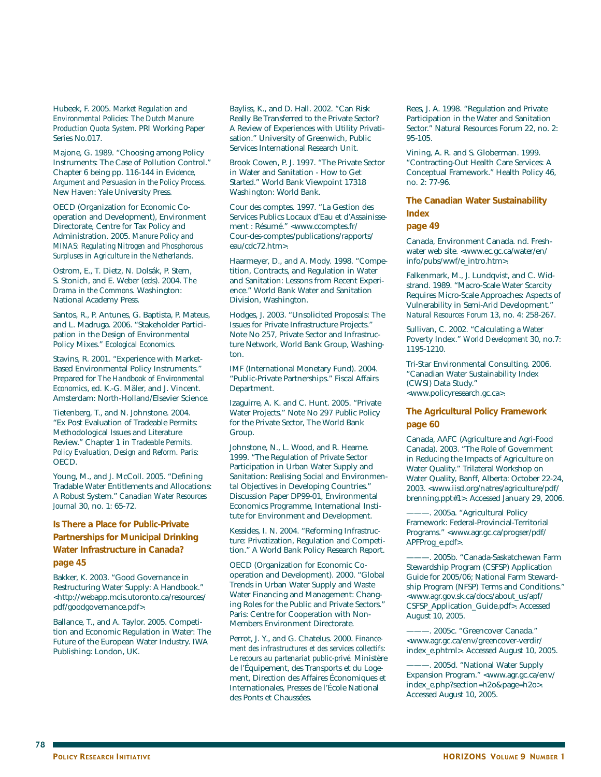Hubeek, F. 2005. *Market Regulation and Environmental Policies: The Dutch Manure Production Quota System*. PRI Working Paper Series No.017.

Majone, G. 1989. "Choosing among Policy Instruments: The Case of Pollution Control." Chapter 6 being pp. 116-144 in *Evidence, Argument and Persuasion in the Policy Process*. New Haven: Yale University Press.

OECD (Organization for Economic Cooperation and Development), Environment Directorate, Centre for Tax Policy and Administration. 2005. *Manure Policy and MINAS: Regulating Nitrogen and Phosphorous Surpluses in Agriculture in the Netherlands*.

Ostrom, E., T. Dietz, N. Dolsák, P. Stern, S. Stonich, and E. Weber (eds). 2004. *The Drama in the Commons*. Washington: National Academy Press.

Santos, R., P. Antunes, G. Baptista, P. Mateus, and L. Madruga. 2006. "Stakeholder Participation in the Design of Environmental Policy Mixes." *Ecological Economics*.

Stavins, R. 2001. "Experience with Market-Based Environmental Policy Instruments." Prepared for *The Handbook of Environmental Economics*, ed. K.-G. Mäler, and J. Vincent. Amsterdam: North-Holland/Elsevier Science.

Tietenberg, T., and N. Johnstone. 2004. "Ex Post Evaluation of Tradeable Permits: Methodological Issues and Literature Review." Chapter 1 in *Tradeable Permits. Policy Evaluation, Design and Reform*. Paris: OECD.

Young, M., and J. McColl. 2005. "Defining Tradable Water Entitlements and Allocations: A Robust System." *Canadian Water Resources Journal* 30, no. 1: 65-72.

**Is There a Place for Public-Private** 

#### **Partnerships for Municipal Drinking Water Infrastructure in Canada? page 45**

Bakker, K. 2003. "Good Governance in Restructuring Water Supply: A Handbook." <http://webapp.mcis.utoronto.ca/resources/ pdf/goodgovernance.pdf>.

Ballance, T., and A. Taylor. 2005. Competition and Economic Regulation in Water: The Future of the European Water Industry. IWA Publishing: London, UK.

Bayliss, K., and D. Hall. 2002. "Can Risk Really Be Transferred to the Private Sector? A Review of Experiences with Utility Privatisation." University of Greenwich, Public Services International Research Unit.

Brook Cowen, P. J. 1997. "The Private Sector in Water and Sanitation - How to Get Started." World Bank Viewpoint 17318 Washington: World Bank.

Cour des comptes. 1997. "La Gestion des Services Publics Locaux d'Eau et d'Assainissement : Résumé." <www.ccomptes.fr/ Cour-des-comptes/publications/rapports/ eau/cdc72.htm>.

Haarmeyer, D., and A. Mody. 1998. "Competition, Contracts, and Regulation in Water and Sanitation: Lessons from Recent Experience." World Bank Water and Sanitation Division, Washington.

Hodges, J. 2003. "Unsolicited Proposals: The Issues for Private Infrastructure Projects." Note No 257, Private Sector and Infrastructure Network, World Bank Group, Washington.

IMF (International Monetary Fund). 2004. "Public-Private Partnerships." Fiscal Affairs Department.

Izaguirre, A. K. and C. Hunt. 2005. "Private Water Projects." Note No 297 Public Policy for the Private Sector, The World Bank Group.

Johnstone, N., L. Wood, and R. Hearne. 1999. "The Regulation of Private Sector Participation in Urban Water Supply and Sanitation: Realising Social and Environmental Objectives in Developing Countries." Discussion Paper DP99-01, Environmental Economics Programme, International Institute for Environment and Development.

Kessides, I. N. 2004. "Reforming Infrastructure: Privatization, Regulation and Competition." A World Bank Policy Research Report.

OECD (Organization for Economic Cooperation and Development). 2000. "Global Trends in Urban Water Supply and Waste Water Financing and Management: Changing Roles for the Public and Private Sectors." Paris: Centre for Cooperation with Non-Members Environment Directorate.

Perrot, J. Y., and G. Chatelus. 2000. *Financement des infrastructures et des services collectifs: Le recours au partenariat public-privé.* Ministère de l'Équipement, des Transports et du Logement, Direction des Affaires Économiques et Internationales, Presses de l'École National des Ponts et Chaussées.

Rees, J. A. 1998. "Regulation and Private Participation in the Water and Sanitation Sector." Natural Resources Forum 22, no. 2: 95-105.

Vining, A. R. and S. Globerman. 1999. "Contracting-Out Health Care Services: A Conceptual Framework." Health Policy 46, no. 2: 77-96.

**The Canadian Water Sustainability Index**

#### **page 49**

Canada, Environment Canada. nd. Freshwater web site. <www.ec.gc.ca/water/en/ info/pubs/wwf/e\_intro.htm>.

Falkenmark, M., J. Lundqvist, and C. Widstrand. 1989. "Macro-Scale Water Scarcity Requires Micro-Scale Approaches: Aspects of Vulnerability in Semi-Arid Development." *Natural Resources Forum* 13, no. 4: 258-267.

Sullivan, C. 2002. "Calculating a Water Poverty Index." *World Development* 30, no.7: 1195-1210.

Tri-Star Environmental Consulting. 2006. "Canadian Water Sustainability Index (CWSI) Data Study." <www.policyresearch.gc.ca>.

#### **The Agricultural Policy Framework page 60**

Canada, AAFC (Agriculture and Agri-Food Canada). 2003. "The Role of Government in Reducing the Impacts of Agriculture on Water Quality." Trilateral Workshop on Water Quality, Banff, Alberta: October 22-24, 2003. <www.iisd.org/natres/agriculture/pdf/ brenning.ppt#1>. Accessed January 29, 2006.

-. 2005a. "Agricultural Policy Framework: Federal-Provincial-Territorial Programs." <www.agr.gc.ca/progser/pdf/ APFProg\_e.pdf>.

———. 2005b. "Canada-Saskatchewan Farm Stewardship Program (CSFSP) Application Guide for 2005/06; National Farm Stewardship Program (NFSP) Terms and Conditions." <www.agr.gov.sk.ca/docs/about\_us/apf/ CSFSP\_Application\_Guide.pdf>. Accessed August 10, 2005.

-. 2005c. "Greencover Canada." <www.agr.gc.ca/env/greencover-verdir/ index\_e.phtml>. Accessed August 10, 2005.

-. 2005d. "National Water Supply Expansion Program." <www.agr.gc.ca/env/ index\_e.php?section=h2o&page=h2o>. Accessed August 10, 2005.